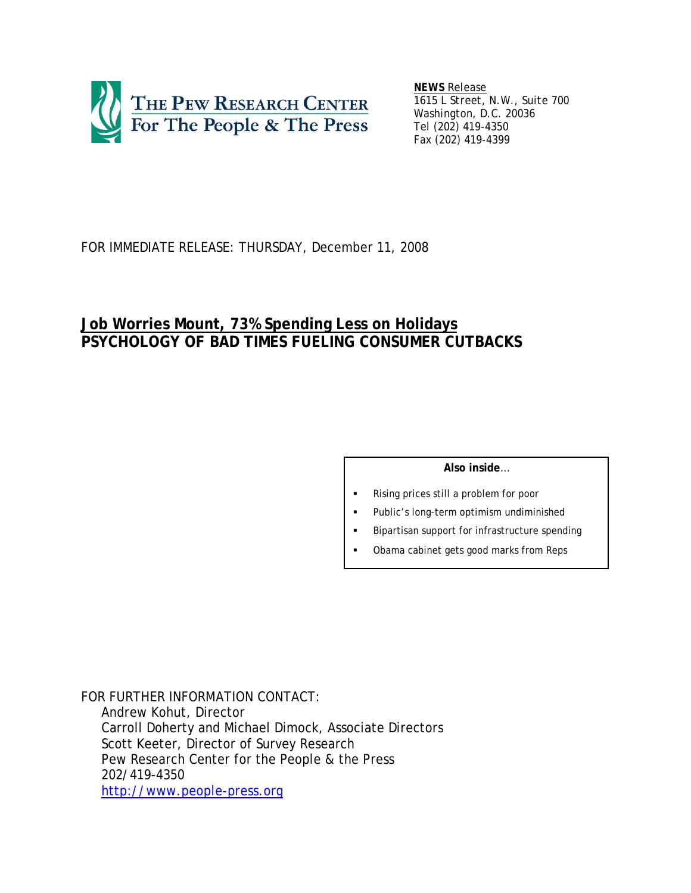

*NEWS Release 1615 L Street, N.W., Suite 700 Washington, D.C. 20036 Tel (202) 419-4350 Fax (202) 419-4399*

# FOR IMMEDIATE RELEASE: THURSDAY, December 11, 2008

# **Job Worries Mount, 73% Spending Less on Holidays PSYCHOLOGY OF BAD TIMES FUELING CONSUMER CUTBACKS**

### **Also inside**…

- Rising prices still a problem for poor
- Public's long-term optimism undiminished
- Bipartisan support for infrastructure spending
- Obama cabinet gets good marks from Reps

*FOR FURTHER INFORMATION CONTACT*: Andrew Kohut, Director Carroll Doherty and Michael Dimock, Associate Directors Scott Keeter, Director of Survey Research Pew Research Center for the People & the Press 202/419-4350 http://www.people-press.org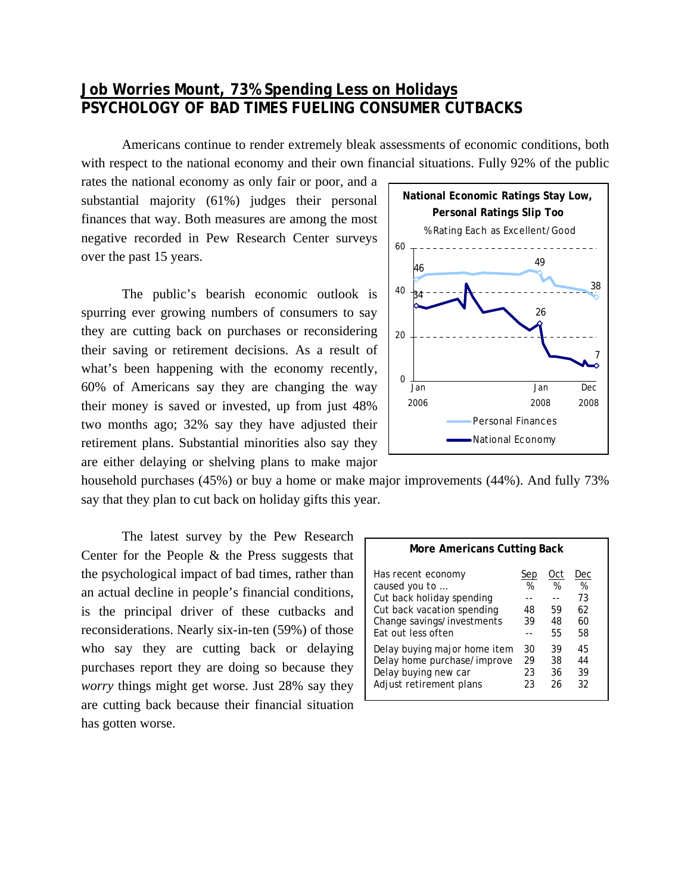# **Job Worries Mount, 73% Spending Less on Holidays PSYCHOLOGY OF BAD TIMES FUELING CONSUMER CUTBACKS**

Americans continue to render extremely bleak assessments of economic conditions, both with respect to the national economy and their own financial situations. Fully 92% of the public

rates the national economy as only fair or poor, and a substantial majority (61%) judges their personal finances that way. Both measures are among the most negative recorded in Pew Research Center surveys over the past 15 years.

 The public's bearish economic outlook is spurring ever growing numbers of consumers to say they are cutting back on purchases or reconsidering their saving or retirement decisions. As a result of what's been happening with the economy recently, 60% of Americans say they are changing the way their money is saved or invested, up from just 48% two months ago; 32% say they have adjusted their retirement plans. Substantial minorities also say they are either delaying or shelving plans to make major



household purchases (45%) or buy a home or make major improvements (44%). And fully 73% say that they plan to cut back on holiday gifts this year.

The latest survey by the Pew Research Center for the People & the Press suggests that the psychological impact of bad times, rather than an actual decline in people's financial conditions, is the principal driver of these cutbacks and reconsiderations. Nearly six-in-ten (59%) of those who say they are cutting back or delaying purchases report they are doing so because they *worry* things might get worse. Just 28% say they are cutting back because their financial situation has gotten worse.

| <b>More Americans Cutting Back</b>                                                                                                                 |                      |                            |                                  |  |  |
|----------------------------------------------------------------------------------------------------------------------------------------------------|----------------------|----------------------------|----------------------------------|--|--|
| Has recent economy<br>caused you to<br>Cut back holiday spending<br>Cut back vacation spending<br>Change savings/investments<br>Fat out less often | Sep<br>%<br>48<br>39 | Oct<br>%<br>59<br>48<br>55 | Dec<br>%<br>73<br>62<br>60<br>58 |  |  |
| Delay buying major home item<br>Delay home purchase/improve<br>Delay buying new car<br>Adjust retirement plans                                     | 30<br>29<br>23<br>23 | 39<br>38<br>36<br>26       | 45<br>44<br>39<br>32             |  |  |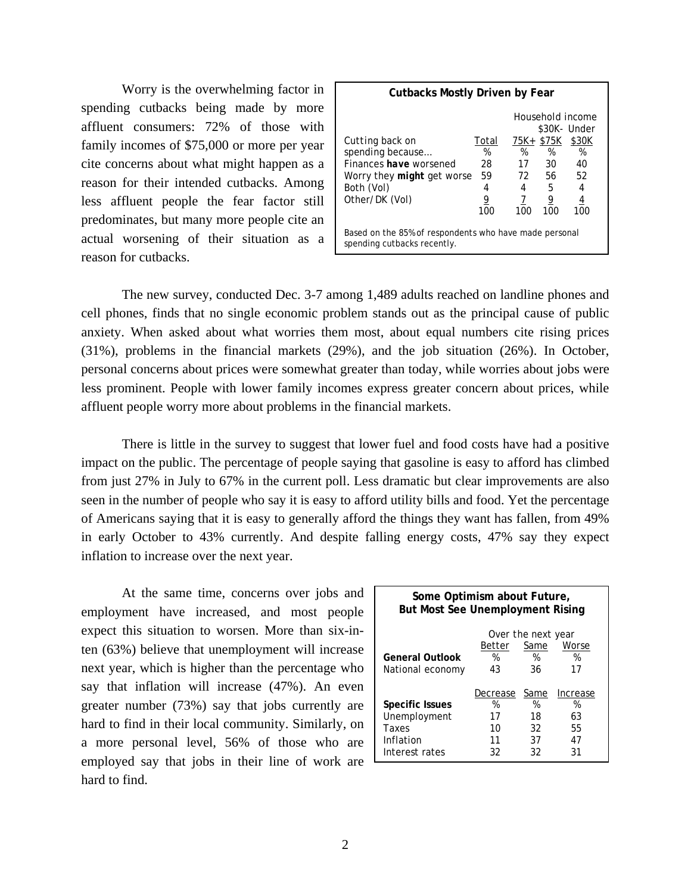Worry is the overwhelming factor in spending cutbacks being made by more affluent consumers: 72% of those with family incomes of \$75,000 or more per year cite concerns about what might happen as a reason for their intended cutbacks. Among less affluent people the fear factor still predominates, but many more people cite an actual worsening of their situation as a reason for cutbacks.

| <b>Cutbacks Mostly Driven by Fear</b>                                                                                              |                                         |                                   |                                         |                                                                             |  |
|------------------------------------------------------------------------------------------------------------------------------------|-----------------------------------------|-----------------------------------|-----------------------------------------|-----------------------------------------------------------------------------|--|
| Cutting back on<br>spending because<br>Finances have worsened<br>Worry they <i>might</i> get worse<br>Both (Vol)<br>Other/DK (Vol) | Total<br>%<br>28<br>59<br>4<br>9<br>100 | 75K+<br>%<br>17<br>72<br>4<br>100 | \$75K<br>%<br>30<br>56<br>5<br>9<br>100 | Household income<br>\$30K- Under<br>\$30K<br>%<br>40<br>52<br>4<br>4<br>100 |  |
| Based on the 85% of respondents who have made personal<br>spending cutbacks recently.                                              |                                         |                                   |                                         |                                                                             |  |

The new survey, conducted Dec. 3-7 among 1,489 adults reached on landline phones and cell phones, finds that no single economic problem stands out as the principal cause of public anxiety. When asked about what worries them most, about equal numbers cite rising prices (31%), problems in the financial markets (29%), and the job situation (26%). In October, personal concerns about prices were somewhat greater than today, while worries about jobs were less prominent. People with lower family incomes express greater concern about prices, while affluent people worry more about problems in the financial markets.

 There is little in the survey to suggest that lower fuel and food costs have had a positive impact on the public. The percentage of people saying that gasoline is easy to afford has climbed from just 27% in July to 67% in the current poll. Less dramatic but clear improvements are also seen in the number of people who say it is easy to afford utility bills and food. Yet the percentage of Americans saying that it is easy to generally afford the things they want has fallen, from 49% in early October to 43% currently. And despite falling energy costs, 47% say they expect inflation to increase over the next year.

 At the same time, concerns over jobs and employment have increased, and most people expect this situation to worsen. More than six-inten (63%) believe that unemployment will increase next year, which is higher than the percentage who say that inflation will increase (47%). An even greater number (73%) say that jobs currently are hard to find in their local community. Similarly, on a more personal level, 56% of those who are employed say that jobs in their line of work are hard to find.

| Some Optimism about Future,<br><b>But Most See Unemployment Rising</b> |               |           |               |  |  |
|------------------------------------------------------------------------|---------------|-----------|---------------|--|--|
| Over the next year                                                     |               |           |               |  |  |
| Worse<br>Same<br>Better                                                |               |           |               |  |  |
| <b>General Outlook</b>                                                 | %             | %         | %             |  |  |
| National economy                                                       | 43            | 36        | 17            |  |  |
| Specific Issues                                                        | Decrease<br>% | Same<br>% | Increase<br>% |  |  |
| Unemployment                                                           | 17            | 18        | 63            |  |  |
| Taxes                                                                  | 10            | 32        | 55            |  |  |
| Inflation                                                              | 11            | 37        | 47            |  |  |
| Interest rates                                                         | 32            | 32        | 31            |  |  |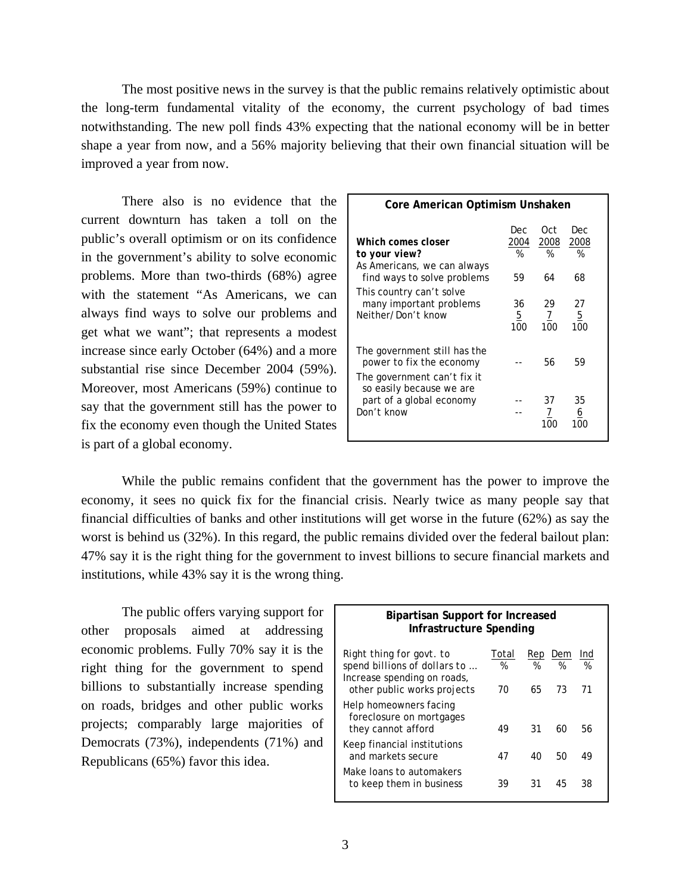The most positive news in the survey is that the public remains relatively optimistic about the long-term fundamental vitality of the economy, the current psychology of bad times notwithstanding. The new poll finds 43% expecting that the national economy will be in better shape a year from now, and a 56% majority believing that their own financial situation will be improved a year from now.

 There also is no evidence that the current downturn has taken a toll on the public's overall optimism or on its confidence in the government's ability to solve economic problems. More than two-thirds (68%) agree with the statement "As Americans, we can always find ways to solve our problems and get what we want"; that represents a modest increase since early October (64%) and a more substantial rise since December 2004 (59%). Moreover, most Americans (59%) continue to say that the government still has the power to fix the economy even though the United States is part of a global economy.

| Core American Optimism Unshaken                                                         |                |                |                             |  |  |
|-----------------------------------------------------------------------------------------|----------------|----------------|-----------------------------|--|--|
| Which comes closer                                                                      | Dec<br>2004    | Oct.<br>2008   | Dec<br>2008                 |  |  |
| to your view?                                                                           | %              | %              | %                           |  |  |
| As Americans, we can always<br>find ways to solve problems                              | 59             | 64             | 68                          |  |  |
| This country can't solve<br>many important problems<br>Neither/Don't know               | 36<br>5<br>100 | 29<br>7<br>100 | 27<br>$\overline{5}$<br>100 |  |  |
| The government still has the<br>power to fix the economy<br>The government can't fix it |                | 56             | 59                          |  |  |
| so easily because we are<br>part of a global economy<br>Don't know                      |                | 37<br>7<br>100 | 35<br>6<br>100              |  |  |

While the public remains confident that the government has the power to improve the economy, it sees no quick fix for the financial crisis. Nearly twice as many people say that financial difficulties of banks and other institutions will get worse in the future (62%) as say the worst is behind us (32%). In this regard, the public remains divided over the federal bailout plan: 47% say it is the right thing for the government to invest billions to secure financial markets and institutions, while 43% say it is the wrong thing.

The public offers varying support for other proposals aimed at addressing economic problems. Fully 70% say it is the right thing for the government to spend billions to substantially increase spending on roads, bridges and other public works projects; comparably large majorities of Democrats (73%), independents (71%) and Republicans (65%) favor this idea.

| <b>Bipartisan Support for Increased</b><br>Infrastructure Spending                                                     |                  |                |                |                |  |
|------------------------------------------------------------------------------------------------------------------------|------------------|----------------|----------------|----------------|--|
| Right thing for govt. to<br>spend billions of dollars to<br>Increase spending on roads,<br>other public works projects | Total<br>%<br>70 | Rep<br>%<br>65 | Dem<br>%<br>73 | Ind<br>%<br>71 |  |
| Help homeowners facing<br>foreclosure on mortgages<br>they cannot afford                                               | 49               | 31             | 60             | 56             |  |
| Keep financial institutions<br>and markets secure                                                                      | 47               | 40             | 50             | 49             |  |
| Make Joans to automakers<br>to keep them in business                                                                   | 39               | 31             | 45             | 38             |  |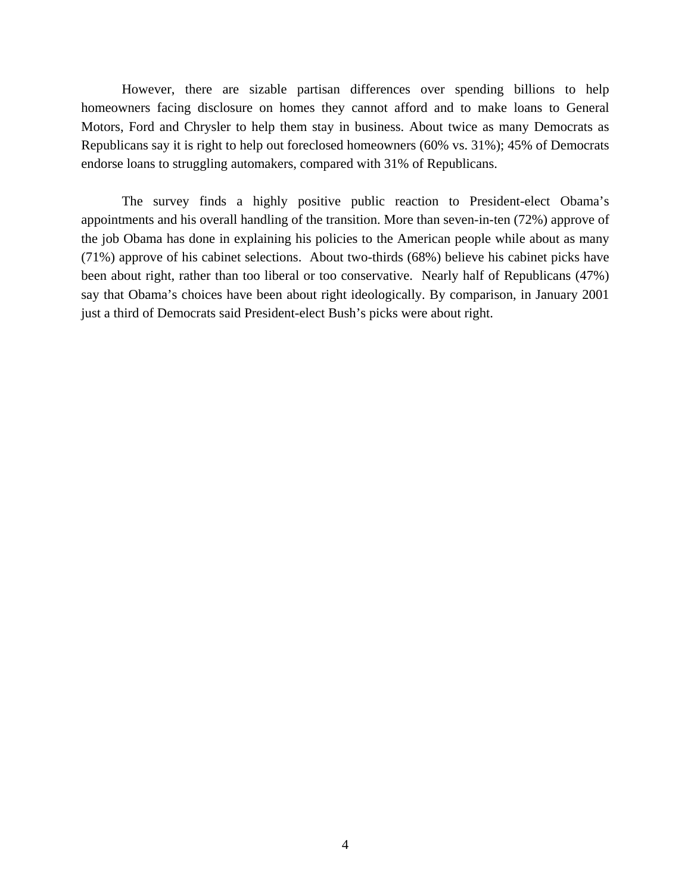However, there are sizable partisan differences over spending billions to help homeowners facing disclosure on homes they cannot afford and to make loans to General Motors, Ford and Chrysler to help them stay in business. About twice as many Democrats as Republicans say it is right to help out foreclosed homeowners (60% vs. 31%); 45% of Democrats endorse loans to struggling automakers, compared with 31% of Republicans.

 The survey finds a highly positive public reaction to President-elect Obama's appointments and his overall handling of the transition. More than seven-in-ten (72%) approve of the job Obama has done in explaining his policies to the American people while about as many (71%) approve of his cabinet selections. About two-thirds (68%) believe his cabinet picks have been about right, rather than too liberal or too conservative. Nearly half of Republicans (47%) say that Obama's choices have been about right ideologically. By comparison, in January 2001 just a third of Democrats said President-elect Bush's picks were about right.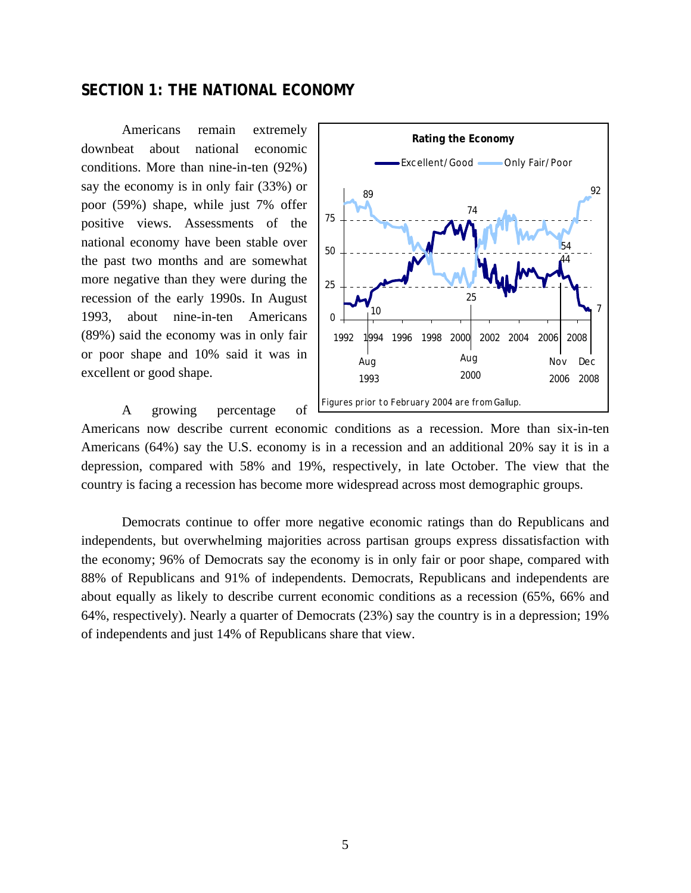# **SECTION 1: THE NATIONAL ECONOMY**

Americans remain extremely downbeat about national economic conditions. More than nine-in-ten (92%) say the economy is in only fair (33%) or poor (59%) shape, while just 7% offer positive views. Assessments of the national economy have been stable over the past two months and are somewhat more negative than they were during the recession of the early 1990s. In August 1993, about nine-in-ten Americans (89%) said the economy was in only fair or poor shape and 10% said it was in excellent or good shape.

A growing percentage of



Americans now describe current economic conditions as a recession. More than six-in-ten Americans (64%) say the U.S. economy is in a recession and an additional 20% say it is in a depression, compared with 58% and 19%, respectively, in late October. The view that the country is facing a recession has become more widespread across most demographic groups.

Democrats continue to offer more negative economic ratings than do Republicans and independents, but overwhelming majorities across partisan groups express dissatisfaction with the economy; 96% of Democrats say the economy is in only fair or poor shape, compared with 88% of Republicans and 91% of independents. Democrats, Republicans and independents are about equally as likely to describe current economic conditions as a recession (65%, 66% and 64%, respectively). Nearly a quarter of Democrats (23%) say the country is in a depression; 19% of independents and just 14% of Republicans share that view.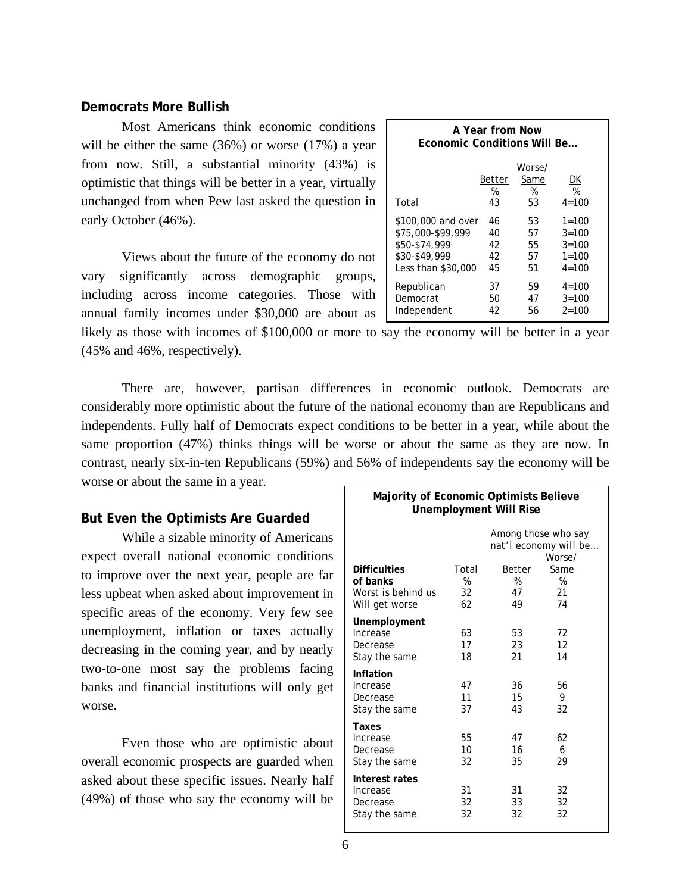### **Democrats More Bullish**

Most Americans think economic conditions will be either the same (36%) or worse (17%) a year from now. Still, a substantial minority (43%) is optimistic that things will be better in a year, virtually unchanged from when Pew last asked the question in early October (46%).

 Views about the future of the economy do not vary significantly across demographic groups, including across income categories. Those with annual family incomes under \$30,000 are about as

| A Year from Now<br><b>Economic Conditions Will Be</b> |        |                |           |  |  |
|-------------------------------------------------------|--------|----------------|-----------|--|--|
|                                                       | Better | Worse/<br>Same | DK        |  |  |
| Total                                                 | %      | ℅              | %         |  |  |
|                                                       | 43     | 53             | $4 = 100$ |  |  |
| \$100,000 and over                                    | 46     | 53             | $1 = 100$ |  |  |
| \$75,000-\$99,999                                     | 40     | 57             | $3 = 100$ |  |  |
| \$50-\$74,999                                         | 42     | 55             | $3 = 100$ |  |  |
| \$30-\$49.999                                         | 42     | 57             | $1 = 100$ |  |  |
| Less than \$30,000                                    | 45     | 51             | $4 = 100$ |  |  |
| Republican                                            | 37     | 59             | $4 = 100$ |  |  |
| Democrat                                              | 50     | 47             | $3 = 100$ |  |  |
| Independent                                           | 42     | 56             | $2 = 100$ |  |  |

likely as those with incomes of \$100,000 or more to say the economy will be better in a year (45% and 46%, respectively).

There are, however, partisan differences in economic outlook. Democrats are considerably more optimistic about the future of the national economy than are Republicans and independents. Fully half of Democrats expect conditions to be better in a year, while about the same proportion (47%) thinks things will be worse or about the same as they are now. In contrast, nearly six-in-ten Republicans (59%) and 56% of independents say the economy will be worse or about the same in a year.

### **But Even the Optimists Are Guarded**

 While a sizable minority of Americans expect overall national economic conditions to improve over the next year, people are far less upbeat when asked about improvement in specific areas of the economy. Very few see unemployment, inflation or taxes actually decreasing in the coming year, and by nearly two-to-one most say the problems facing banks and financial institutions will only get worse.

 Even those who are optimistic about overall economic prospects are guarded when asked about these specific issues. Nearly half (49%) of those who say the economy will be

| Majority of Economic Optimists Believe<br><b>Unemployment Will Rise</b> |       |        |                                                        |  |
|-------------------------------------------------------------------------|-------|--------|--------------------------------------------------------|--|
|                                                                         |       |        | Among those who say<br>nat'l economy will be<br>Worse/ |  |
| <b>Difficulties</b>                                                     | Total | Better | Same                                                   |  |
| of banks                                                                | %     | %      | %                                                      |  |
| Worst is behind us                                                      | 32    | 47     | 21                                                     |  |
| Will get worse                                                          | 62    | 49     | 74                                                     |  |
| Unemployment                                                            |       |        |                                                        |  |
| Increase                                                                | 63    | 53     | 72                                                     |  |
| Decrease                                                                | 17    | 23     | 12                                                     |  |
| Stay the same                                                           | 18    | 21     | 14                                                     |  |
| Inflation                                                               |       |        |                                                        |  |
| Increase                                                                | 47    | 36     | 56                                                     |  |
| Decrease                                                                | 11    | 15     | 9                                                      |  |
| Stay the same                                                           | 37    | 43     | 32                                                     |  |
| Taxes                                                                   |       |        |                                                        |  |
| Increase                                                                | 55    | 47     | 62                                                     |  |
| Decrease                                                                | 10    | 16     | 6                                                      |  |
| Stay the same                                                           | 32    | 35     | 29                                                     |  |
| Interest rates                                                          |       |        |                                                        |  |
| Increase                                                                | 31    | 31     | 32                                                     |  |
| Decrease                                                                | 32    | 33     | 32                                                     |  |
| Stay the same                                                           | 32    | 32     | 32                                                     |  |
|                                                                         |       |        |                                                        |  |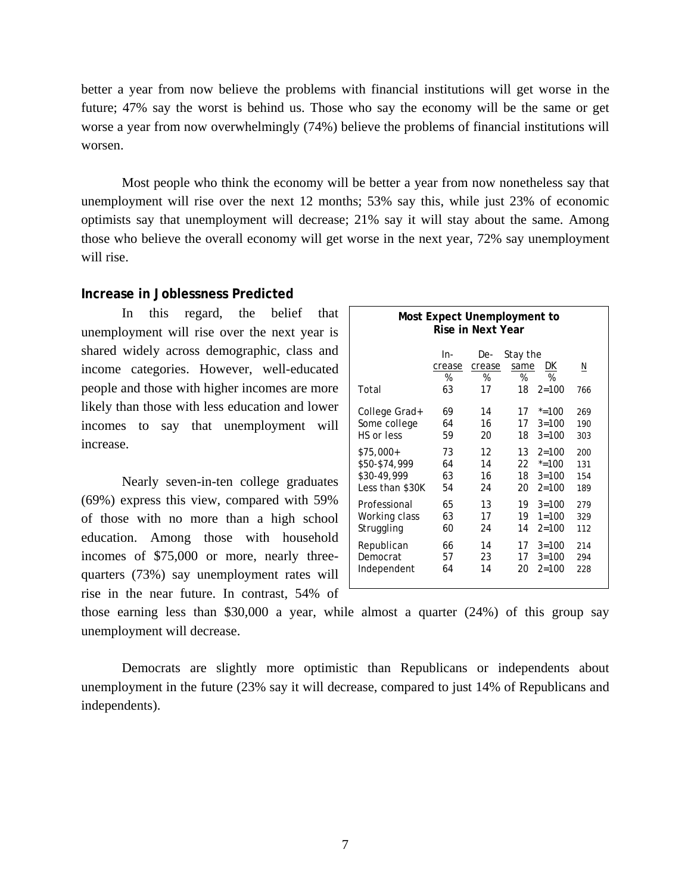better a year from now believe the problems with financial institutions will get worse in the future; 47% say the worst is behind us. Those who say the economy will be the same or get worse a year from now overwhelmingly (74%) believe the problems of financial institutions will worsen.

 Most people who think the economy will be better a year from now nonetheless say that unemployment will rise over the next 12 months; 53% say this, while just 23% of economic optimists say that unemployment will decrease; 21% say it will stay about the same. Among those who believe the overall economy will get worse in the next year, 72% say unemployment will rise.

# **Increase in Joblessness Predicted**

In this regard, the belief that unemployment will rise over the next year is shared widely across demographic, class and income categories. However, well-educated people and those with higher incomes are more likely than those with less education and lower incomes to say that unemployment will increase.

Nearly seven-in-ten college graduates (69%) express this view, compared with 59% of those with no more than a high school education. Among those with household incomes of \$75,000 or more, nearly threequarters (73%) say unemployment rates will rise in the near future. In contrast, 54% of

| Most Expect Unemployment to<br>Rise in Next Year |                          |                          |                             |                      |          |  |
|--------------------------------------------------|--------------------------|--------------------------|-----------------------------|----------------------|----------|--|
| Total                                            | ln-<br>crease<br>%<br>63 | De-<br>crease<br>%<br>17 | Stay the<br>same<br>%<br>18 | DK<br>%<br>$2 = 100$ | N<br>766 |  |
| College Grad+                                    | 69                       | 14                       | 17                          | $* = 100$            | 269      |  |
| Some college                                     | 64                       | 16                       | 17                          | $3 = 100$            | 190      |  |
| HS or less                                       | 59                       | 20                       | 18                          | $3 = 100$            | 303      |  |
| $$75,000+$                                       | 73                       | 12                       | 13                          | $2 = 100$            | 200      |  |
| \$50-\$74,999                                    | 64                       | 14                       | 22                          | $* = 100$            | 131      |  |
| \$30-49,999                                      | 63                       | 16                       | 18                          | $3 = 100$            | 154      |  |
| Less than \$30K                                  | 54                       | 24                       | 20                          | $2 = 100$            | 189      |  |
| Professional                                     | 65                       | 13                       | 19                          | $3 = 100$            | 279      |  |
| Working class                                    | 63                       | 17                       | 19                          | $1 = 100$            | 329      |  |
| Struggling                                       | 60                       | 24                       | 14                          | $2 = 100$            | 112      |  |
| Republican                                       | 66                       | 14                       | 17                          | $3 = 100$            | 214      |  |
| Democrat                                         | 57                       | 23                       | 17                          | $3 = 100$            | 294      |  |
| Independent                                      | 64                       | 14                       | 20                          | $2 = 100$            | 228      |  |

those earning less than \$30,000 a year, while almost a quarter (24%) of this group say unemployment will decrease.

Democrats are slightly more optimistic than Republicans or independents about unemployment in the future (23% say it will decrease, compared to just 14% of Republicans and independents).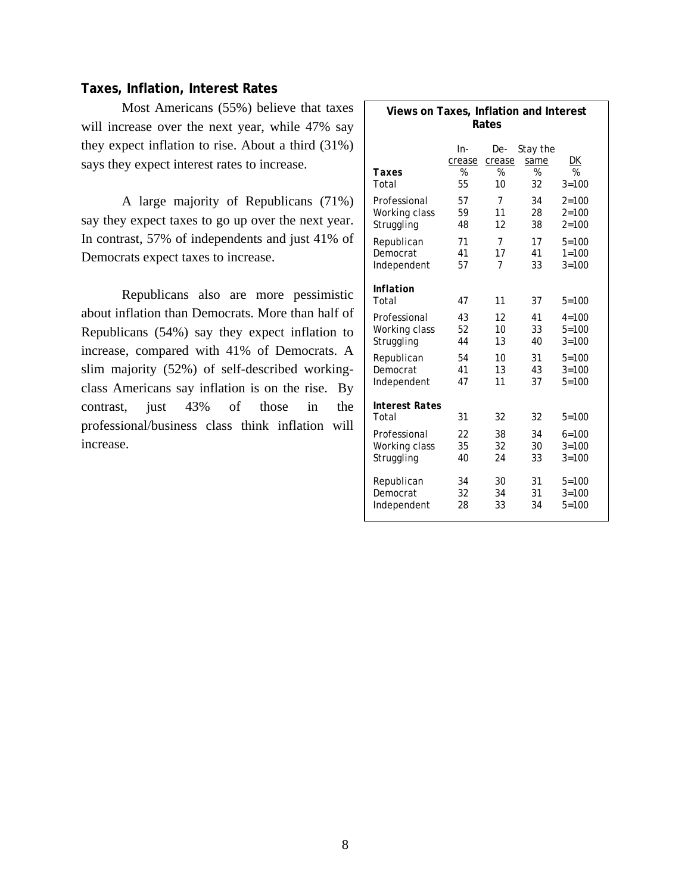# **Taxes, Inflation, Interest Rates**

Most Americans (55%) believe that taxes will increase over the next year, while 47% say they expect inflation to rise. About a third (31%) says they expect interest rates to increase.

A large majority of Republicans (71%) say they expect taxes to go up over the next year. In contrast, 57% of independents and just 41% of Democrats expect taxes to increase.

Republicans also are more pessimistic about inflation than Democrats. More than half of Republicans (54%) say they expect inflation to increase, compared with 41% of Democrats. A slim majority (52%) of self-described workingclass Americans say inflation is on the rise. By contrast, just 43% of those in the professional/business class think inflation will increase.

| Views on Taxes, Inflation and Interest<br>Rates |                    |                    |                       |           |  |
|-------------------------------------------------|--------------------|--------------------|-----------------------|-----------|--|
| Taxes                                           | In-<br>crease<br>% | De-<br>crease<br>% | Stay the<br>same<br>% | DK<br>%   |  |
| Total                                           | 55                 | 10                 | 32                    | $3 = 100$ |  |
| Professional                                    | 57                 | 7                  | 34                    | $2 = 100$ |  |
| Working class                                   | 59                 | 11                 | 28                    | $2 = 100$ |  |
| Struggling                                      | 48                 | 12                 | 38                    | $2 = 100$ |  |
| Republican                                      | 71                 | 7                  | 17                    | $5 = 100$ |  |
| Democrat                                        | 41                 | 17                 | 41                    | $1 = 100$ |  |
| Independent                                     | 57                 | 7                  | 33                    | $3 = 100$ |  |
| Inflation<br>Total                              | 47                 | 11                 | 37                    | $5 = 100$ |  |
| Professional                                    | 43                 | 12                 | 41                    | $4 = 100$ |  |
| Working class                                   | 52                 | 10                 | 33                    | $5 = 100$ |  |
| Struggling                                      | 44                 | 13                 | 40                    | $3 = 100$ |  |
| Republican                                      | 54                 | 10                 | 31                    | $5 = 100$ |  |
| Democrat                                        | 41                 | 13                 | 43                    | $3 = 100$ |  |
| Independent                                     | 47                 | 11                 | 37                    | $5 = 100$ |  |
| <b>Interest Rates</b><br>Total                  | 31                 | 32                 | 32                    | $5 = 100$ |  |
| Professional                                    | 22                 | 38                 | 34                    | $6 = 100$ |  |
| Working class                                   | 35                 | 32                 | 30                    | $3 = 100$ |  |
| Struggling                                      | 40                 | 24                 | 33                    | $3 = 100$ |  |
| Republican                                      | 34                 | 30                 | 31                    | $5 = 100$ |  |
| Democrat                                        | 32                 | 34                 | 31                    | $3 = 100$ |  |
| Independent                                     | 28                 | 33                 | 34                    | $5 = 100$ |  |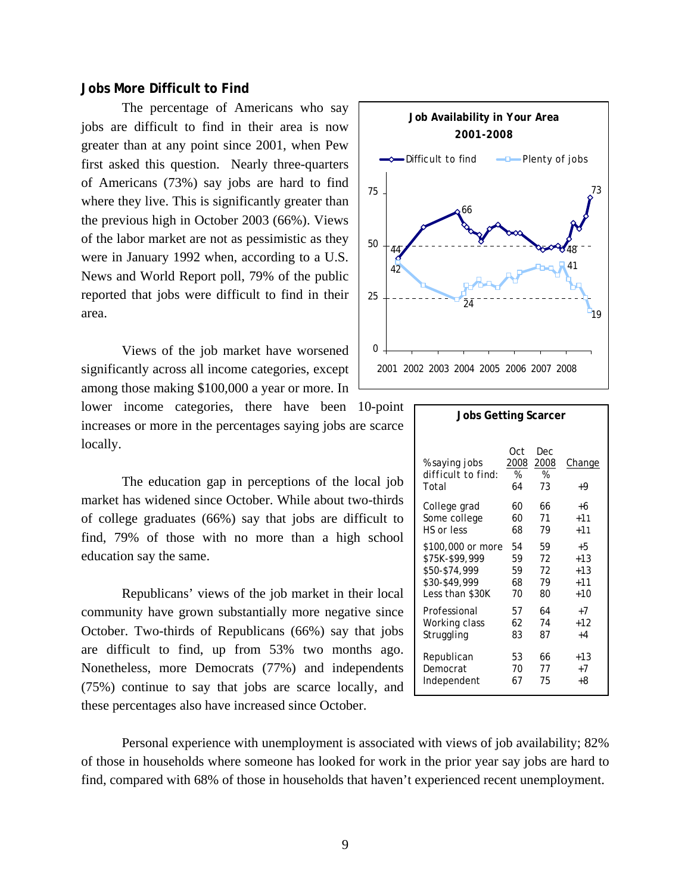#### **Jobs More Difficult to Find**

The percentage of Americans who say jobs are difficult to find in their area is now greater than at any point since 2001, when Pew first asked this question. Nearly three-quarters of Americans (73%) say jobs are hard to find where they live. This is significantly greater than the previous high in October 2003 (66%). Views of the labor market are not as pessimistic as they were in January 1992 when, according to a U.S. News and World Report poll, 79% of the public reported that jobs were difficult to find in their area.

 Views of the job market have worsened significantly across all income categories, except among those making \$100,000 a year or more. In lower income categories, there have been 10-point increases or more in the percentages saying jobs are scarce locally.

 The education gap in perceptions of the local job market has widened since October. While about two-thirds of college graduates (66%) say that jobs are difficult to find, 79% of those with no more than a high school education say the same.

Republicans' views of the job market in their local community have grown substantially more negative since October. Two-thirds of Republicans (66%) say that jobs are difficult to find, up from 53% two months ago. Nonetheless, more Democrats (77%) and independents (75%) continue to say that jobs are scarce locally, and these percentages also have increased since October.



| Jobs Getting Scarcer                         |                        |                        |              |  |
|----------------------------------------------|------------------------|------------------------|--------------|--|
| % saying jobs<br>difficult to find:<br>Total | Oct<br>2008<br>%<br>64 | Dec<br>2008<br>%<br>73 | Change<br>+9 |  |
| College grad                                 | 60                     | 66                     | +6           |  |
| Some college                                 | 60                     | 71                     | $+11$        |  |
| HS or less                                   | 68                     | 79                     | $+11$        |  |
| \$100,000 or more                            | 54                     | 59                     | $+5$         |  |
| \$75K-\$99,999                               | 59                     | 72                     | $+1.3$       |  |
| \$50-\$74,999                                | 59                     | 72                     | $+13$        |  |
| \$30-\$49,999                                | 68                     | 79                     | $+11$        |  |
| Less than \$30K                              | 70                     | 80                     | +10          |  |
| Professional                                 | 57                     | 64                     | $+7$         |  |
| Working class                                | 62                     | 74                     | +12          |  |
| Struggling                                   | 83                     | 87                     | $+4$         |  |
| Republican                                   | 53                     | 66                     | $+13$        |  |
| Democrat                                     | 70                     | 77                     | $+7$         |  |
| Independent                                  | 67                     | 75                     | +8           |  |

Personal experience with unemployment is associated with views of job availability; 82% of those in households where someone has looked for work in the prior year say jobs are hard to find, compared with 68% of those in households that haven't experienced recent unemployment.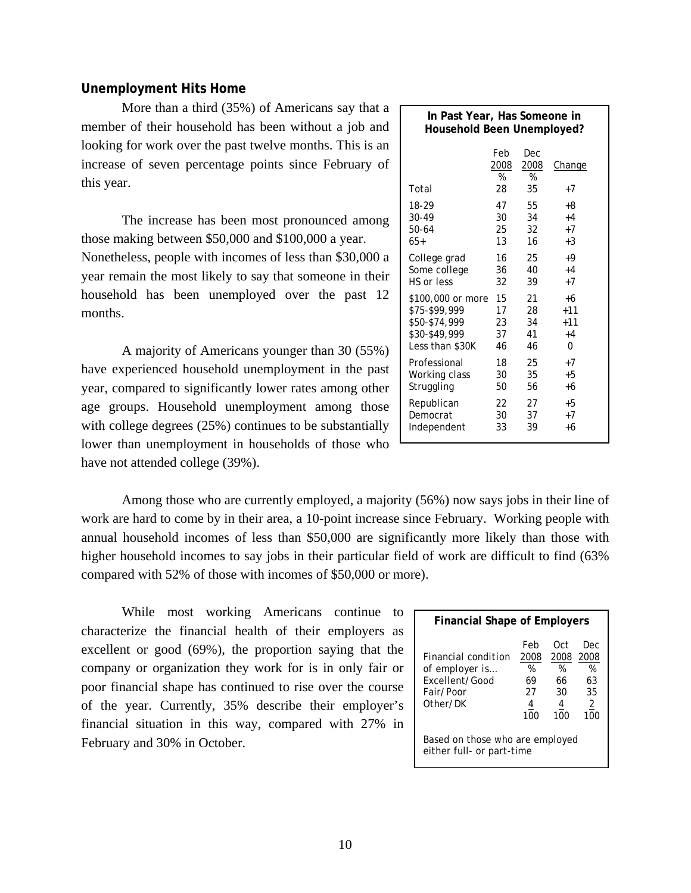# **Unemployment Hits Home**

 More than a third (35%) of Americans say that a member of their household has been without a job and looking for work over the past twelve months. This is an increase of seven percentage points since February of this year.

The increase has been most pronounced among those making between \$50,000 and \$100,000 a year. Nonetheless, people with incomes of less than \$30,000 a year remain the most likely to say that someone in their household has been unemployed over the past 12 months.

A majority of Americans younger than 30 (55%) have experienced household unemployment in the past year, compared to significantly lower rates among other age groups. Household unemployment among those with college degrees (25%) continues to be substantially lower than unemployment in households of those who have not attended college (39%).

| In Past Year, Has Someone in<br>Household Been Unemployed? |                        |                               |                |  |
|------------------------------------------------------------|------------------------|-------------------------------|----------------|--|
| Total                                                      | Feb<br>2008<br>%<br>28 | Dec<br><u>2008</u><br>%<br>35 | Change<br>$+7$ |  |
| 18-29                                                      | 47                     | 55                            | +8             |  |
| 30-49                                                      | 30                     | 34                            | $+4$           |  |
| 50-64                                                      | 25                     | 32                            | $+7$           |  |
| $65+$                                                      | 13                     | 16                            | $+3$           |  |
| College grad                                               | 16                     | 25                            | +9             |  |
| Some college                                               | 36                     | 40                            | $+4$           |  |
| HS or less                                                 | 32                     | 39                            | $+7$           |  |
| \$100,000 or more                                          | 15                     | 21                            | +6             |  |
| \$75-\$99,999                                              | 17                     | 28                            | $+11$          |  |
| \$50-\$74,999                                              | 23                     | 34                            | $+11$          |  |
| \$30-\$49,999                                              | 37                     | 41                            | $+4$           |  |
| Less than \$30K                                            | 46                     | 46                            | 0              |  |
| Professional                                               | 18                     | 25                            | $+7$           |  |
| Working class                                              | 30                     | 35                            | +5             |  |
| Struggling                                                 | 50                     | 56                            | +6             |  |
| Republican                                                 | 22                     | 27                            | +5             |  |
| Democrat                                                   | 30                     | 37                            | $+7$           |  |
| Independent                                                | 33                     | 39                            | +6             |  |

 Among those who are currently employed, a majority (56%) now says jobs in their line of work are hard to come by in their area, a 10-point increase since February. Working people with annual household incomes of less than \$50,000 are significantly more likely than those with higher household incomes to say jobs in their particular field of work are difficult to find (63% compared with 52% of those with incomes of \$50,000 or more).

 While most working Americans continue to characterize the financial health of their employers as excellent or good (69%), the proportion saying that the company or organization they work for is in only fair or poor financial shape has continued to rise over the course of the year. Currently, 35% describe their employer's financial situation in this way, compared with 27% in February and 30% in October.

| <b>Financial Shape of Employers</b>                                                     |                                                              |                                           |                                                       |  |  |  |
|-----------------------------------------------------------------------------------------|--------------------------------------------------------------|-------------------------------------------|-------------------------------------------------------|--|--|--|
| <i>Financial condition</i><br>of employer is<br>Excellent/Good<br>Fair/Poor<br>Other/DK | Feb<br>2008<br>%<br>69<br>27<br>4<br>100                     | Oct.<br>2008<br>%<br>66<br>30<br>4<br>100 | Dec<br>2008<br>%<br>63<br>35<br>$\overline{2}$<br>100 |  |  |  |
|                                                                                         | Based on those who are employed<br>either full- or part-time |                                           |                                                       |  |  |  |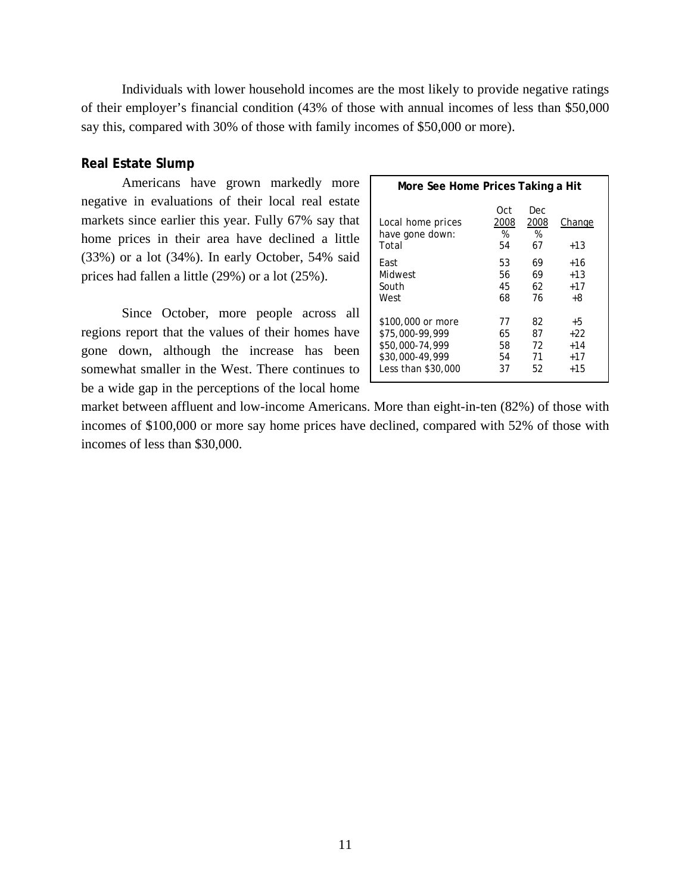Individuals with lower household incomes are the most likely to provide negative ratings of their employer's financial condition (43% of those with annual incomes of less than \$50,000 say this, compared with 30% of those with family incomes of \$50,000 or more).

### **Real Estate Slump**

Americans have grown markedly more negative in evaluations of their local real estate markets since earlier this year. Fully 67% say that home prices in their area have declined a little (33%) or a lot (34%). In early October, 54% said prices had fallen a little (29%) or a lot (25%).

Since October, more people across all regions report that the values of their homes have gone down, although the increase has been somewhat smaller in the West. There continues to be a wide gap in the perceptions of the local home

| More See Home Prices Taking a Hit             |                        |                        |                  |  |  |
|-----------------------------------------------|------------------------|------------------------|------------------|--|--|
| Local home prices<br>have gone down:<br>Total | Oct<br>2008<br>%<br>54 | Dec<br>2008<br>%<br>67 | Change<br>$+1.3$ |  |  |
| Fast                                          | 53                     | 69                     | +16              |  |  |
| Midwest                                       | 56                     | 69                     | $+1.3$           |  |  |
| South                                         | 45                     | 62                     | $+17$            |  |  |
| West                                          | 68                     | 76                     | +8               |  |  |
| \$100,000 or more                             | 77                     | 82                     | +5               |  |  |
| \$75,000-99,999                               | 65                     | 87                     | +22              |  |  |
| \$50,000-74,999                               | 58                     | 72                     | $+14$            |  |  |
| \$30,000-49,999                               | 54                     | 71                     | $+17$            |  |  |
| Less than \$30,000                            | 37                     | 52                     | $+1.5$           |  |  |

market between affluent and low-income Americans. More than eight-in-ten (82%) of those with incomes of \$100,000 or more say home prices have declined, compared with 52% of those with incomes of less than \$30,000.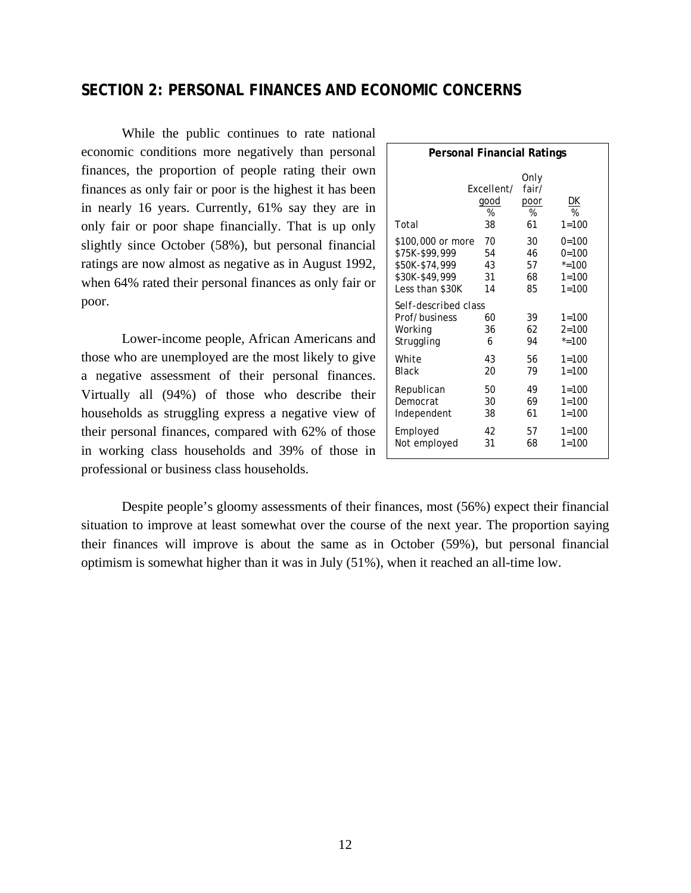# **SECTION 2: PERSONAL FINANCES AND ECONOMIC CONCERNS**

While the public continues to rate national economic conditions more negatively than personal finances, the proportion of people rating their own finances as only fair or poor is the highest it has been in nearly 16 years. Currently, 61% say they are in only fair or poor shape financially. That is up only slightly since October (58%), but personal financial ratings are now almost as negative as in August 1992, when 64% rated their personal finances as only fair or poor.

 Lower-income people, African Americans and those who are unemployed are the most likely to give a negative assessment of their personal finances. Virtually all (94%) of those who describe their households as struggling express a negative view of their personal finances, compared with 62% of those in working class households and 39% of those in professional or business class households.

| <b>Personal Financial Ratings</b>                              |                               |                                  |                                     |  |  |  |
|----------------------------------------------------------------|-------------------------------|----------------------------------|-------------------------------------|--|--|--|
| Total                                                          | Fxcellent/<br>good<br>%<br>38 | Only<br>fair/<br>poor<br>%<br>61 | <u>DК</u><br>%<br>$1 = 100$         |  |  |  |
| \$100,000 or more                                              | 70                            | 30                               | $0=100$                             |  |  |  |
| \$75K-\$99,999                                                 | 54                            | 46                               | $0 = 100$                           |  |  |  |
| \$50K-\$74,999                                                 | 43                            | 57                               | $* = 100$                           |  |  |  |
| \$30K-\$49,999                                                 | 31                            | 68                               | $1 = 100$                           |  |  |  |
| Less than \$30K                                                | 14                            | 85                               | $1 = 100$                           |  |  |  |
| Self-described class<br>Prof/business<br>Working<br>Struggling | 60<br>36<br>6                 | 39<br>62<br>94                   | $1 = 100$<br>$2 = 100$<br>$* = 100$ |  |  |  |
| White                                                          | 43                            | 56                               | $1 = 100$                           |  |  |  |
| <b>Black</b>                                                   | 20                            | 79                               | $1 = 100$                           |  |  |  |
| Republican                                                     | 50                            | 49                               | $1 = 100$                           |  |  |  |
| Democrat                                                       | 30                            | 69                               | $1 = 100$                           |  |  |  |
| Independent                                                    | 38                            | 61                               | $1 = 100$                           |  |  |  |
| Employed                                                       | 42                            | 57                               | $1 = 100$                           |  |  |  |
| Not employed                                                   | 31                            | 68                               | $1 = 100$                           |  |  |  |

Despite people's gloomy assessments of their finances, most (56%) expect their financial situation to improve at least somewhat over the course of the next year. The proportion saying their finances will improve is about the same as in October (59%), but personal financial optimism is somewhat higher than it was in July (51%), when it reached an all-time low.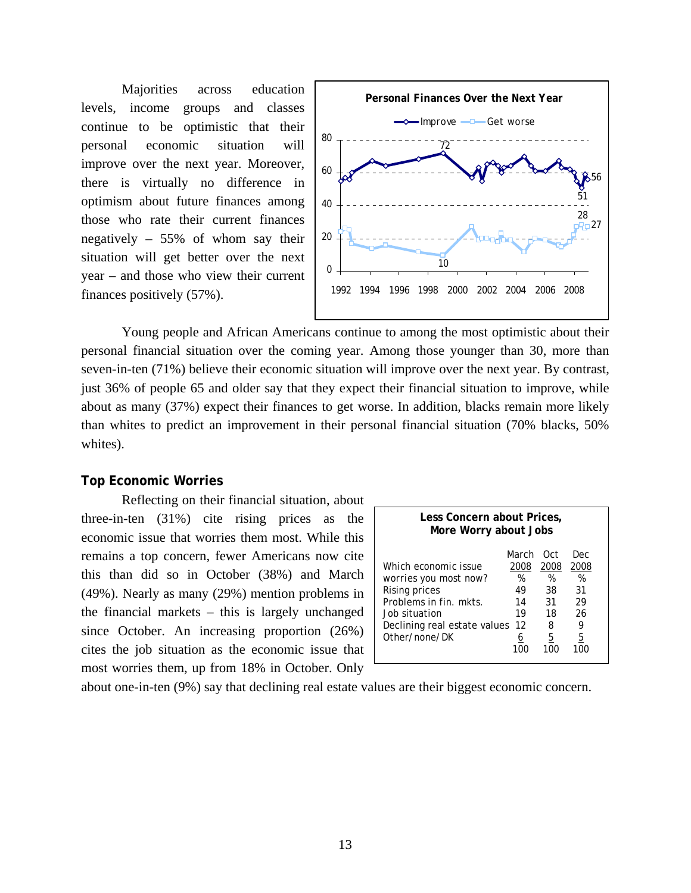Majorities across education levels, income groups and classes continue to be optimistic that their personal economic situation will improve over the next year. Moreover, there is virtually no difference in optimism about future finances among those who rate their current finances negatively – 55% of whom say their situation will get better over the next year – and those who view their current finances positively (57%).



Young people and African Americans continue to among the most optimistic about their personal financial situation over the coming year. Among those younger than 30, more than seven-in-ten (71%) believe their economic situation will improve over the next year. By contrast, just 36% of people 65 and older say that they expect their financial situation to improve, while about as many (37%) expect their finances to get worse. In addition, blacks remain more likely than whites to predict an improvement in their personal financial situation (70% blacks, 50% whites).

#### **Top Economic Worries**

Reflecting on their financial situation, about three-in-ten (31%) cite rising prices as the economic issue that worries them most. While this remains a top concern, fewer Americans now cite this than did so in October (38%) and March (49%). Nearly as many (29%) mention problems in the financial markets – this is largely unchanged since October. An increasing proportion (26%) cites the job situation as the economic issue that most worries them, up from 18% in October. Only

| Less Concern about Prices,<br>More Worry about Jobs                                                                                                        |                                                 |                                              |                                              |  |  |
|------------------------------------------------------------------------------------------------------------------------------------------------------------|-------------------------------------------------|----------------------------------------------|----------------------------------------------|--|--|
| Which economic issue<br>worries you most now?<br>Rising prices<br>Problems in fin. mkts.<br>Job situation<br>Declining real estate values<br>Other/none/DK | March<br>2008<br>%<br>49<br>14<br>19<br>12<br>6 | Oct<br>2008<br>%<br>38<br>31<br>18<br>8<br>5 | Dec<br>2008<br>%<br>31<br>29<br>26<br>9<br>5 |  |  |

about one-in-ten (9%) say that declining real estate values are their biggest economic concern.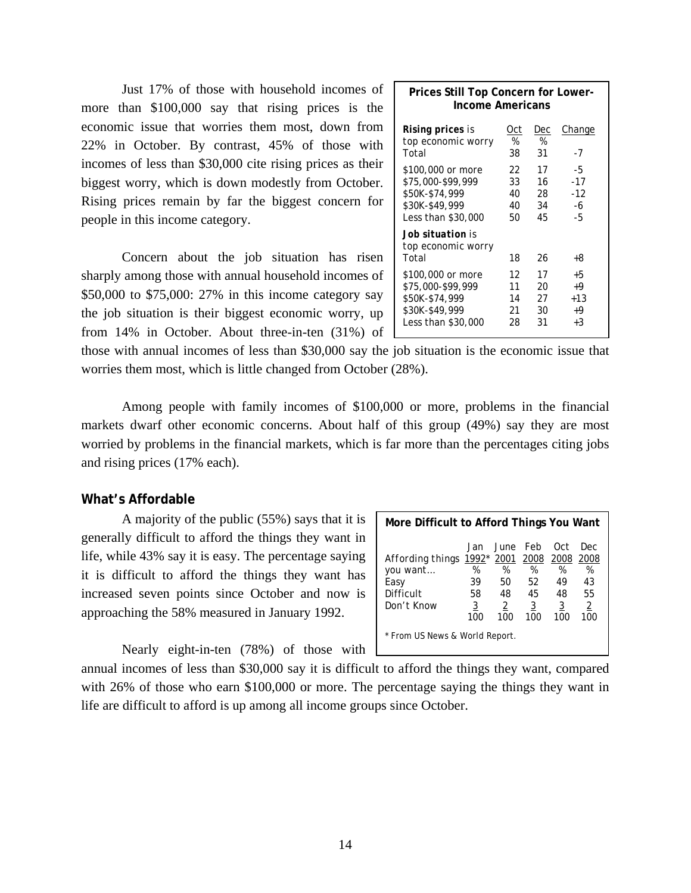Just 17% of those with household incomes of more than \$100,000 say that rising prices is the economic issue that worries them most, down from 22% in October. By contrast, 45% of those with incomes of less than \$30,000 cite rising prices as their biggest worry, which is down modestly from October. Rising prices remain by far the biggest concern for people in this income category.

 Concern about the job situation has risen sharply among those with annual household incomes of \$50,000 to \$75,000: 27% in this income category say the job situation is their biggest economic worry, up from 14% in October. About three-in-ten (31%) of

| Prices Still Top Concern for Lower-<br>Income Americans                                          |                            |                            |                                    |  |  |
|--------------------------------------------------------------------------------------------------|----------------------------|----------------------------|------------------------------------|--|--|
| Rising prices is<br>top economic worry<br>Total                                                  | Oct<br>%<br>38             | Dec<br>%<br>31             | Change<br>$-7$                     |  |  |
| \$100,000 or more<br>\$75,000-\$99,999<br>\$50K-\$74,999<br>\$30K-\$49,999<br>Less than \$30,000 | 22<br>33<br>40<br>40<br>50 | 17<br>16<br>28<br>34<br>45 | -5<br>$-17$<br>$-12$<br>-6<br>-5   |  |  |
| Job situation is<br>top economic worry<br>Total                                                  | 18                         | 26                         | +8                                 |  |  |
| \$100,000 or more<br>\$75,000-\$99,999<br>\$50K-\$74,999<br>\$30K-\$49,999<br>Less than \$30,000 | 12<br>11<br>14<br>21<br>28 | 17<br>20<br>27<br>30<br>31 | +5<br>$+9$<br>$+13$<br>+9<br>$+.3$ |  |  |

those with annual incomes of less than \$30,000 say the job situation is the economic issue that worries them most, which is little changed from October (28%).

 Among people with family incomes of \$100,000 or more, problems in the financial markets dwarf other economic concerns. About half of this group (49%) say they are most worried by problems in the financial markets, which is far more than the percentages citing jobs and rising prices (17% each).

#### **What's Affordable**

A majority of the public (55%) says that it is generally difficult to afford the things they want in life, while 43% say it is easy. The percentage saying it is difficult to afford the things they want has increased seven points since October and now is approaching the 58% measured in January 1992.

Nearly eight-in-ten (78%) of those with

| More Difficult to Afford Things You Want                                                  |                                        |                           |                                                        |                                   |                                               |
|-------------------------------------------------------------------------------------------|----------------------------------------|---------------------------|--------------------------------------------------------|-----------------------------------|-----------------------------------------------|
| Affording things 1992* 2001 2008 2008 2008<br>you want<br>Easy<br>Difficult<br>Don't Know | %<br>39<br>58<br>$\overline{3}$<br>100 | %<br>50<br>48<br>2<br>100 | Jan June Feb<br>%<br>52<br>45<br>$\overline{3}$<br>100 | Oct.<br>%<br>49<br>48<br>3<br>100 | Dec<br>%<br>43<br>55<br>$\overline{2}$<br>100 |
| * From US News & World Report.                                                            |                                        |                           |                                                        |                                   |                                               |

annual incomes of less than \$30,000 say it is difficult to afford the things they want, compared with 26% of those who earn \$100,000 or more. The percentage saying the things they want in life are difficult to afford is up among all income groups since October.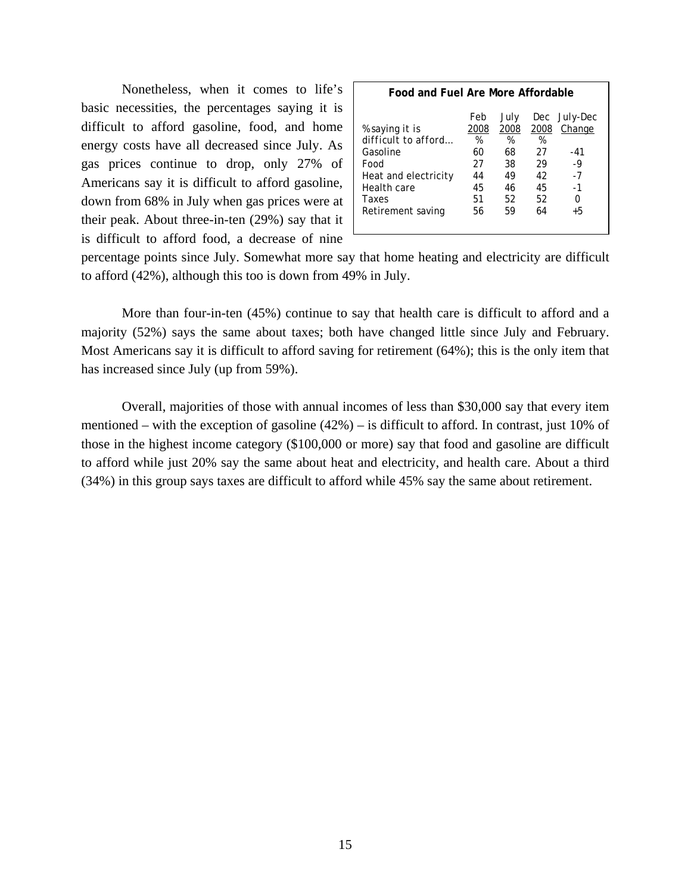Nonetheless, when it comes to life's basic necessities, the percentages saying it is difficult to afford gasoline, food, and home energy costs have all decreased since July. As gas prices continue to drop, only 27% of Americans say it is difficult to afford gasoline, down from 68% in July when gas prices were at their peak. About three-in-ten (29%) say that it is difficult to afford food, a decrease of nine

|  | Food and Fuel Are More Affordable |
|--|-----------------------------------|
|--|-----------------------------------|

| % saying it is       | Feb<br>2008 | July<br>2008 | 2008 | Dec July-Dec<br>Change |
|----------------------|-------------|--------------|------|------------------------|
| difficult to afford  | %           | %            | %    |                        |
| Gasoline             | 60          | 68           | 27   | -41                    |
| Food                 | 27          | 38           | 29   | $-9$                   |
| Heat and electricity | 44          | 49           | 42   | $-7$                   |
| Health care          | 45          | 46           | 45   | $-1$                   |
| Taxes                | 51          | 52           | 52   | Ω                      |
| Retirement saving    | 56          | 59           | 64   | $+5$                   |

percentage points since July. Somewhat more say that home heating and electricity are difficult to afford (42%), although this too is down from 49% in July.

More than four-in-ten (45%) continue to say that health care is difficult to afford and a majority (52%) says the same about taxes; both have changed little since July and February. Most Americans say it is difficult to afford saving for retirement (64%); this is the only item that has increased since July (up from 59%).

Overall, majorities of those with annual incomes of less than \$30,000 say that every item mentioned – with the exception of gasoline (42%) – is difficult to afford. In contrast, just 10% of those in the highest income category (\$100,000 or more) say that food and gasoline are difficult to afford while just 20% say the same about heat and electricity, and health care. About a third (34%) in this group says taxes are difficult to afford while 45% say the same about retirement.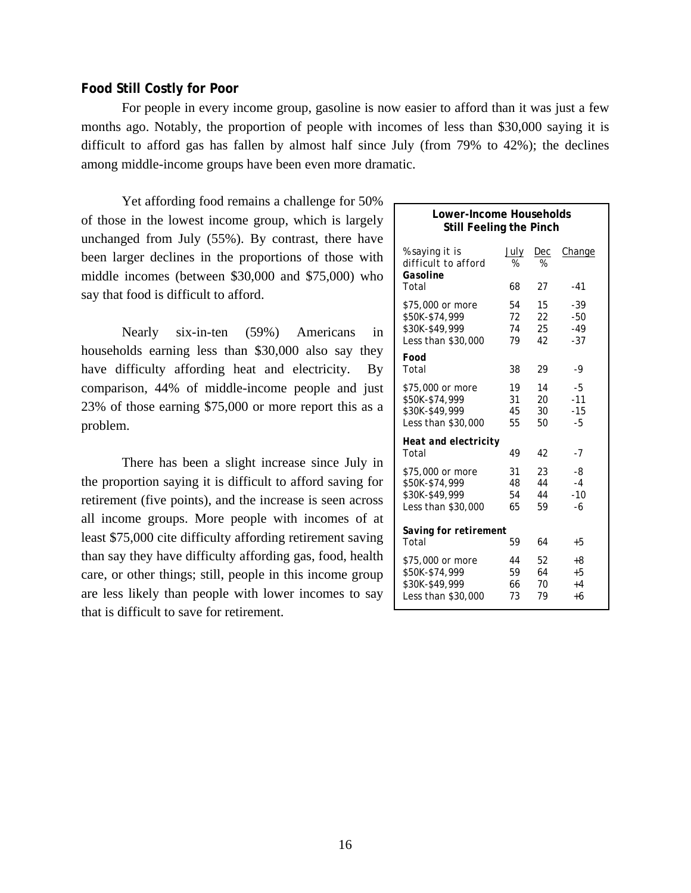#### **Food Still Costly for Poor**

For people in every income group, gasoline is now easier to afford than it was just a few months ago. Notably, the proportion of people with incomes of less than \$30,000 saying it is difficult to afford gas has fallen by almost half since July (from 79% to 42%); the declines among middle-income groups have been even more dramatic.

Yet affording food remains a challenge for 50% of those in the lowest income group, which is largely unchanged from July (55%). By contrast, there have been larger declines in the proportions of those with middle incomes (between \$30,000 and \$75,000) who say that food is difficult to afford.

Nearly six-in-ten (59%) Americans in households earning less than \$30,000 also say they have difficulty affording heat and electricity. By comparison, 44% of middle-income people and just 23% of those earning \$75,000 or more report this as a problem.

There has been a slight increase since July in the proportion saying it is difficult to afford saving for retirement (five points), and the increase is seen across all income groups. More people with incomes of at least \$75,000 cite difficulty affording retirement saving than say they have difficulty affording gas, food, health care, or other things; still, people in this income group are less likely than people with lower incomes to say that is difficult to save for retirement.

| Lower-Income Households<br><b>Still Feeling the Pinch</b>                  |                      |                      |                              |  |  |
|----------------------------------------------------------------------------|----------------------|----------------------|------------------------------|--|--|
| <i>% saying it is</i><br>difficult to afford<br>Gasoline                   | July<br>%            | Dec<br>%             | Change                       |  |  |
| Total                                                                      | 68                   | 27                   | $-41$                        |  |  |
| \$75,000 or more<br>\$50K-\$74,999<br>\$30K-\$49,999<br>Less than \$30,000 | 54<br>72<br>74<br>79 | 15<br>22<br>25<br>42 | -39<br>-50<br>$-49$<br>$-37$ |  |  |
| Food<br>Total                                                              | 38                   | 29                   | -9                           |  |  |
| \$75,000 or more<br>\$50K-\$74,999<br>\$30K-\$49,999<br>Less than \$30,000 | 19<br>31<br>45<br>55 | 14<br>20<br>30<br>50 | -5<br>$-11$<br>$-15$<br>$-5$ |  |  |
| Heat and electricity<br>Total                                              | 49                   | 42                   | - 7                          |  |  |
| \$75,000 or more<br>\$50K-\$74,999<br>\$30K-\$49,999<br>Less than \$30,000 | 31<br>48<br>54<br>65 | 23<br>44<br>44<br>59 | -8<br>$-4$<br>$-10$<br>-6    |  |  |
| Saving for retirement<br>Total                                             | 59                   | 64                   | +5                           |  |  |
| \$75,000 or more<br>\$50K-\$74,999<br>\$30K-\$49,999<br>Less than \$30,000 | 44<br>59<br>66<br>73 | 52<br>64<br>70<br>79 | +8<br>+5<br>$+4$<br>+6       |  |  |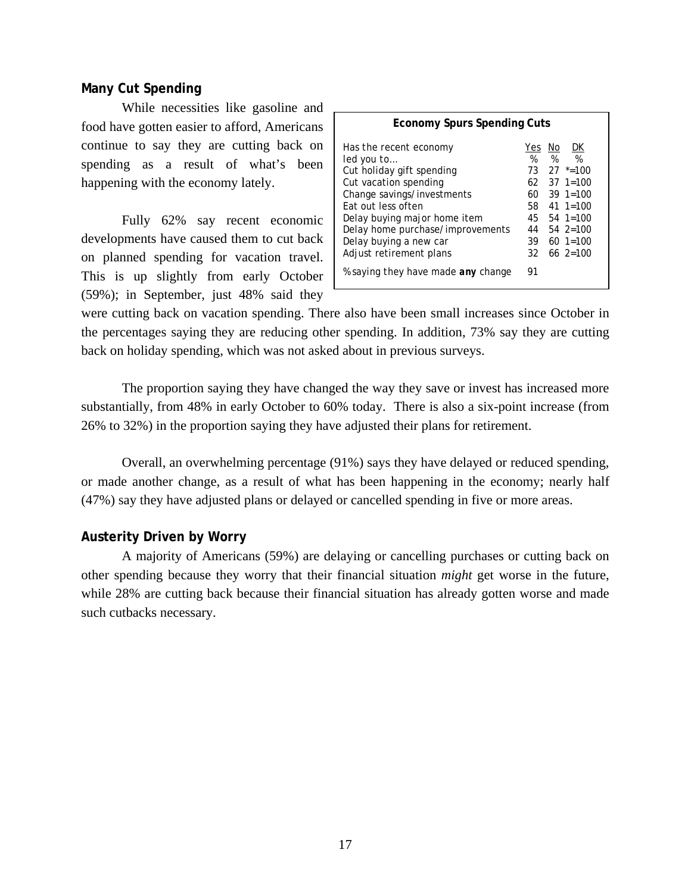# **Many Cut Spending**

While necessities like gasoline and food have gotten easier to afford, Americans continue to say they are cutting back on spending as a result of what's been happening with the economy lately.

Fully 62% say recent economic developments have caused them to cut back on planned spending for vacation travel. This is up slightly from early October (59%); in September, just 48% said they

| <b>Economy Spurs Spending Cuts</b>                                                                                                                                                                                                                                             |                                          |         |                                                                                                                                                                                                                              |  |  |  |
|--------------------------------------------------------------------------------------------------------------------------------------------------------------------------------------------------------------------------------------------------------------------------------|------------------------------------------|---------|------------------------------------------------------------------------------------------------------------------------------------------------------------------------------------------------------------------------------|--|--|--|
| Has the recent economy<br>led you to<br>Cut holiday gift spending<br>Cut vacation spending<br>Change savings/investments<br><b>Fat out less often</b><br>Delay buying major home item<br>Delay home purchase/improvements<br>Delay buying a new car<br>Adjust retirement plans | Yes<br>%<br>60.<br>58.<br>44<br>39<br>32 | No<br>% | DK<br>$\frac{0}{2}$<br>$73 \quad 27 \quad ^* = 100$<br>$62 \quad 37 \quad 1=100$<br>$39 \text{ } 1=100$<br>$41 \text{ } 1=100$<br>$45 \quad 54 \quad 1=100$<br>$54 \text{ } 2=100$<br>$60 \text{ } 1=100$<br>$66 \, 2 = 100$ |  |  |  |
| % saying they have made any change                                                                                                                                                                                                                                             | 91                                       |         |                                                                                                                                                                                                                              |  |  |  |

were cutting back on vacation spending. There also have been small increases since October in the percentages saying they are reducing other spending. In addition, 73% say they are cutting back on holiday spending, which was not asked about in previous surveys.

The proportion saying they have changed the way they save or invest has increased more substantially, from 48% in early October to 60% today. There is also a six-point increase (from 26% to 32%) in the proportion saying they have adjusted their plans for retirement.

Overall, an overwhelming percentage (91%) says they have delayed or reduced spending, or made another change, as a result of what has been happening in the economy; nearly half (47%) say they have adjusted plans or delayed or cancelled spending in five or more areas.

# **Austerity Driven by Worry**

 A majority of Americans (59%) are delaying or cancelling purchases or cutting back on other spending because they worry that their financial situation *might* get worse in the future, while 28% are cutting back because their financial situation has already gotten worse and made such cutbacks necessary.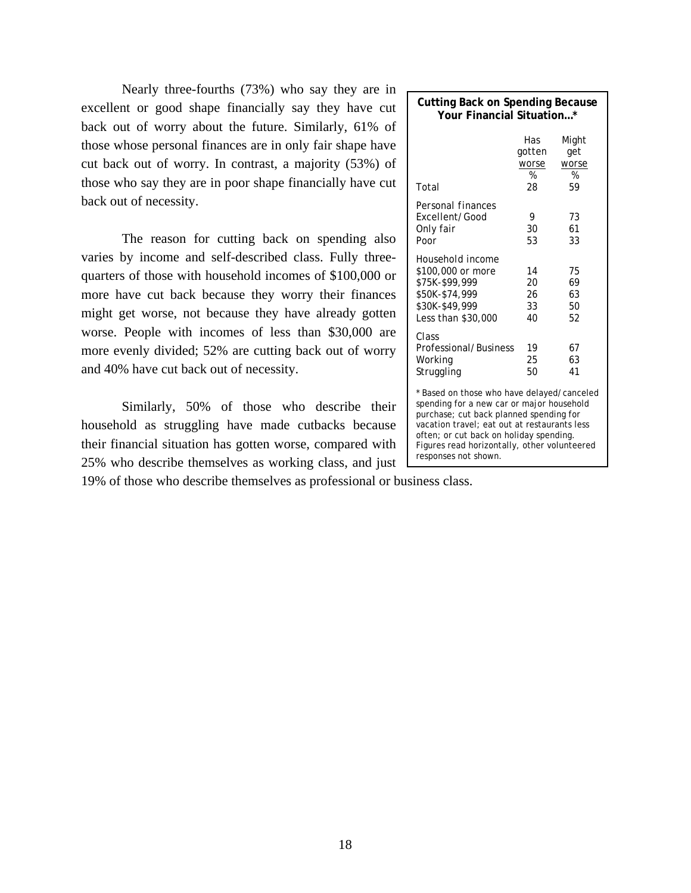Nearly three-fourths (73%) who say they are in excellent or good shape financially say they have cut back out of worry about the future. Similarly, 61% of those whose personal finances are in only fair shape have cut back out of worry. In contrast, a majority (53%) of those who say they are in poor shape financially have cut back out of necessity.

The reason for cutting back on spending also varies by income and self-described class. Fully threequarters of those with household incomes of \$100,000 or more have cut back because they worry their finances might get worse, not because they have already gotten worse. People with incomes of less than \$30,000 are more evenly divided; 52% are cutting back out of worry and 40% have cut back out of necessity.

Similarly, 50% of those who describe their household as struggling have made cutbacks because their financial situation has gotten worse, compared with 25% who describe themselves as working class, and just

19% of those who describe themselves as professional or business class.

| <b>Cutting Back on Spending Because</b><br>Your Financial Situation*                                                                                                                                                                                                                                  |                                   |                                  |  |  |  |  |  |
|-------------------------------------------------------------------------------------------------------------------------------------------------------------------------------------------------------------------------------------------------------------------------------------------------------|-----------------------------------|----------------------------------|--|--|--|--|--|
| Total                                                                                                                                                                                                                                                                                                 | Has<br>gotten<br>worse<br>%<br>28 | Might<br>get<br>worse<br>%<br>59 |  |  |  |  |  |
| Personal finances<br>Excellent/Good<br>Only fair<br>Poor                                                                                                                                                                                                                                              | 9<br>30<br>53                     | 73<br>61<br>33                   |  |  |  |  |  |
| Household income<br>\$100,000 or more<br>\$75K-\$99,999<br>\$50K-\$74,999<br>\$30K-\$49,999<br>Less than \$30,000                                                                                                                                                                                     | 14<br>20<br>26<br>33<br>40        | 75<br>69<br>63<br>50<br>52       |  |  |  |  |  |
| Class<br>Professional/Business<br>Working<br>Struggling                                                                                                                                                                                                                                               | 19<br>25<br>50                    | 67<br>63<br>41                   |  |  |  |  |  |
| * Based on those who have delayed/canceled<br>spending for a new car or major household<br>purchase; cut back planned spending for<br>vacation travel; eat out at restaurants less<br>often; or cut back on holiday spending.<br>Figures read horizontally, other volunteered<br>responses not shown. |                                   |                                  |  |  |  |  |  |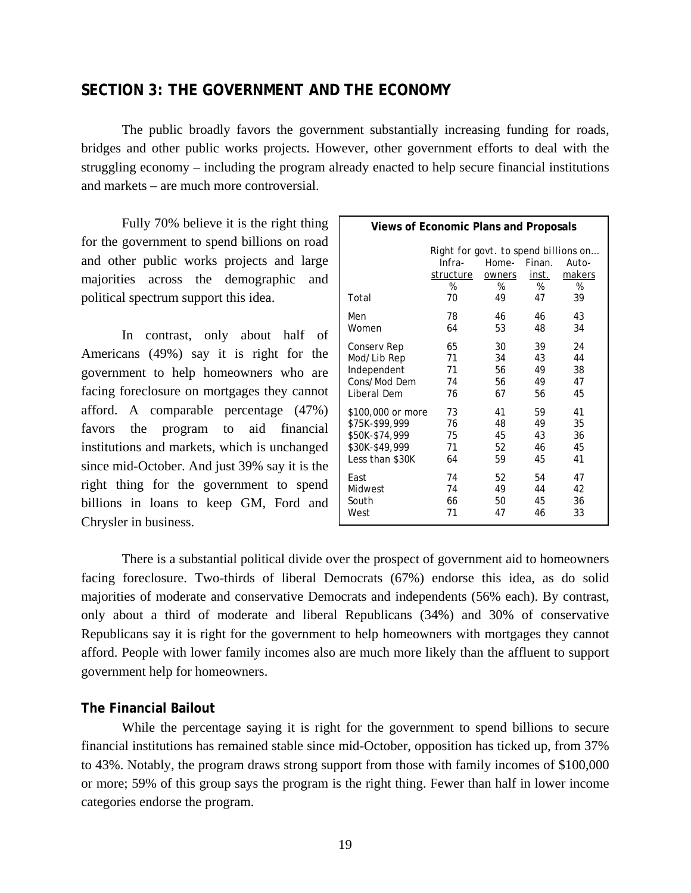# **SECTION 3: THE GOVERNMENT AND THE ECONOMY**

 The public broadly favors the government substantially increasing funding for roads, bridges and other public works projects. However, other government efforts to deal with the struggling economy – including the program already enacted to help secure financial institutions and markets – are much more controversial.

 Fully 70% believe it is the right thing for the government to spend billions on road and other public works projects and large majorities across the demographic and political spectrum support this idea.

In contrast, only about half of Americans (49%) say it is right for the government to help homeowners who are facing foreclosure on mortgages they cannot afford. A comparable percentage (47%) favors the program to aid financial institutions and markets, which is unchanged since mid-October. And just 39% say it is the right thing for the government to spend billions in loans to keep GM, Ford and Chrysler in business.

| <b>Views of Economic Plans and Proposals</b> |                                      |        |        |        |  |
|----------------------------------------------|--------------------------------------|--------|--------|--------|--|
|                                              | Right for govt. to spend billions on |        |        |        |  |
|                                              | Infra-                               | Home-  | Finan. | Auto-  |  |
|                                              | structure                            | owners | inst.  | makers |  |
|                                              | %                                    | %      | %      | %      |  |
| Total                                        | 70                                   | 49     | 47     | 39     |  |
| Men                                          | 78                                   | 46     | 46     | 43     |  |
| Women                                        | 64                                   | 53     | 48     | 34     |  |
| Conserv Rep                                  | 65                                   | 30     | 39     | 24     |  |
| Mod/Lib Rep                                  | 71                                   | 34     | 43     | 44     |  |
| Independent                                  | 71                                   | 56     | 49     | 38     |  |
| Cons/Mod Dem                                 | 74                                   | 56     | 49     | 47     |  |
| Liberal Dem                                  | 76                                   | 67     | 56     | 45     |  |
| \$100,000 or more                            | 73                                   | 41     | 59     | 41     |  |
| \$75K-\$99,999                               | 76                                   | 48     | 49     | 35     |  |
| \$50K-\$74,999                               | 75                                   | 45     | 43     | 36     |  |
| \$30K-\$49,999                               | 71                                   | 52     | 46     | 45     |  |
| Less than \$30K                              | 64                                   | 59     | 45     | 41     |  |
| East                                         | 74                                   | 52     | 54     | 47     |  |
| Midwest                                      | 74                                   | 49     | 44     | 42     |  |
| South                                        | 66                                   | 50     | 45     | 36     |  |
| West                                         | 71                                   | 47     | 46     | 33     |  |

 There is a substantial political divide over the prospect of government aid to homeowners facing foreclosure. Two-thirds of liberal Democrats (67%) endorse this idea, as do solid majorities of moderate and conservative Democrats and independents (56% each). By contrast, only about a third of moderate and liberal Republicans (34%) and 30% of conservative Republicans say it is right for the government to help homeowners with mortgages they cannot afford. People with lower family incomes also are much more likely than the affluent to support government help for homeowners.

# **The Financial Bailout**

 While the percentage saying it is right for the government to spend billions to secure financial institutions has remained stable since mid-October, opposition has ticked up, from 37% to 43%. Notably, the program draws strong support from those with family incomes of \$100,000 or more; 59% of this group says the program is the right thing. Fewer than half in lower income categories endorse the program.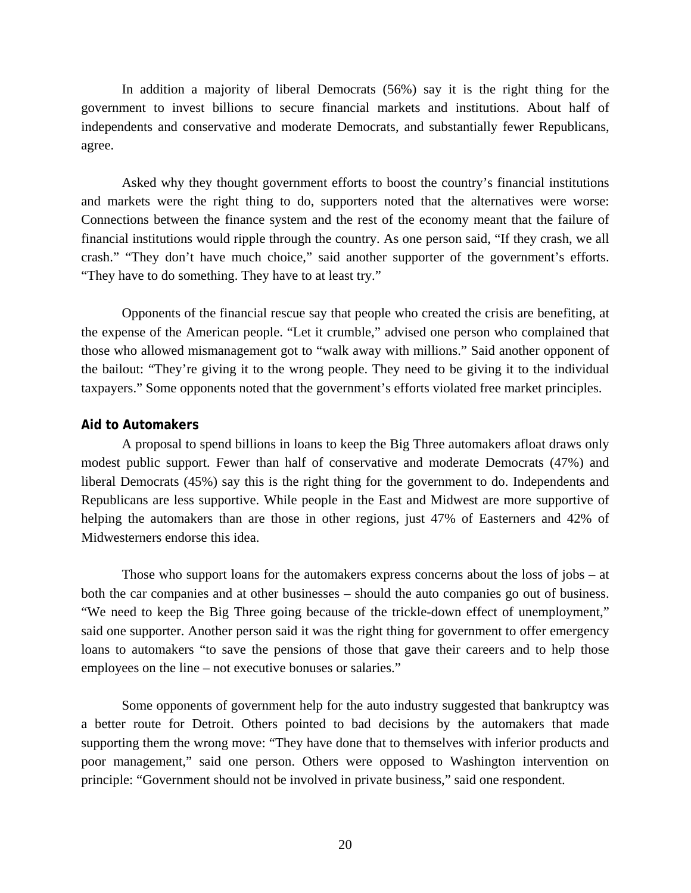In addition a majority of liberal Democrats (56%) say it is the right thing for the government to invest billions to secure financial markets and institutions. About half of independents and conservative and moderate Democrats, and substantially fewer Republicans, agree.

Asked why they thought government efforts to boost the country's financial institutions and markets were the right thing to do, supporters noted that the alternatives were worse: Connections between the finance system and the rest of the economy meant that the failure of financial institutions would ripple through the country. As one person said, "If they crash, we all crash." "They don't have much choice," said another supporter of the government's efforts. "They have to do something. They have to at least try."

 Opponents of the financial rescue say that people who created the crisis are benefiting, at the expense of the American people. "Let it crumble," advised one person who complained that those who allowed mismanagement got to "walk away with millions." Said another opponent of the bailout: "They're giving it to the wrong people. They need to be giving it to the individual taxpayers." Some opponents noted that the government's efforts violated free market principles.

#### **Aid to Automakers**

A proposal to spend billions in loans to keep the Big Three automakers afloat draws only modest public support. Fewer than half of conservative and moderate Democrats (47%) and liberal Democrats (45%) say this is the right thing for the government to do. Independents and Republicans are less supportive. While people in the East and Midwest are more supportive of helping the automakers than are those in other regions, just 47% of Easterners and 42% of Midwesterners endorse this idea.

Those who support loans for the automakers express concerns about the loss of jobs – at both the car companies and at other businesses – should the auto companies go out of business. "We need to keep the Big Three going because of the trickle-down effect of unemployment," said one supporter. Another person said it was the right thing for government to offer emergency loans to automakers "to save the pensions of those that gave their careers and to help those employees on the line – not executive bonuses or salaries."

 Some opponents of government help for the auto industry suggested that bankruptcy was a better route for Detroit. Others pointed to bad decisions by the automakers that made supporting them the wrong move: "They have done that to themselves with inferior products and poor management," said one person. Others were opposed to Washington intervention on principle: "Government should not be involved in private business," said one respondent.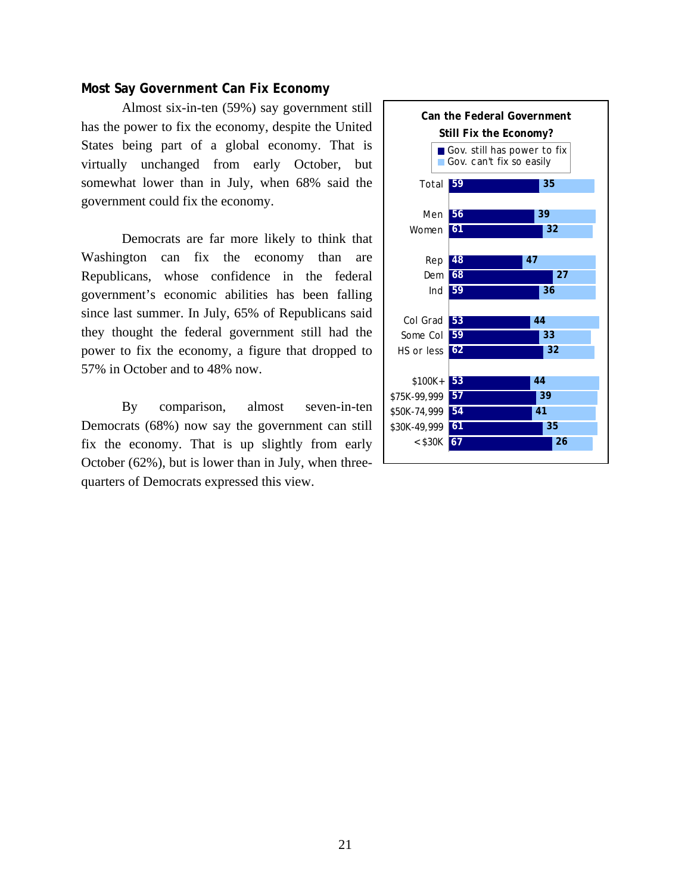### **Most Say Government Can Fix Economy**

Almost six-in-ten (59%) say government still has the power to fix the economy, despite the United States being part of a global economy. That is virtually unchanged from early October, but somewhat lower than in July, when 68% said the government could fix the economy.

 Democrats are far more likely to think that Washington can fix the economy than are Republicans, whose confidence in the federal government's economic abilities has been falling since last summer. In July, 65% of Republicans said they thought the federal government still had the power to fix the economy, a figure that dropped to 57% in October and to 48% now.

 By comparison, almost seven-in-ten Democrats (68%) now say the government can still fix the economy. That is up slightly from early October (62%), but is lower than in July, when threequarters of Democrats expressed this view.

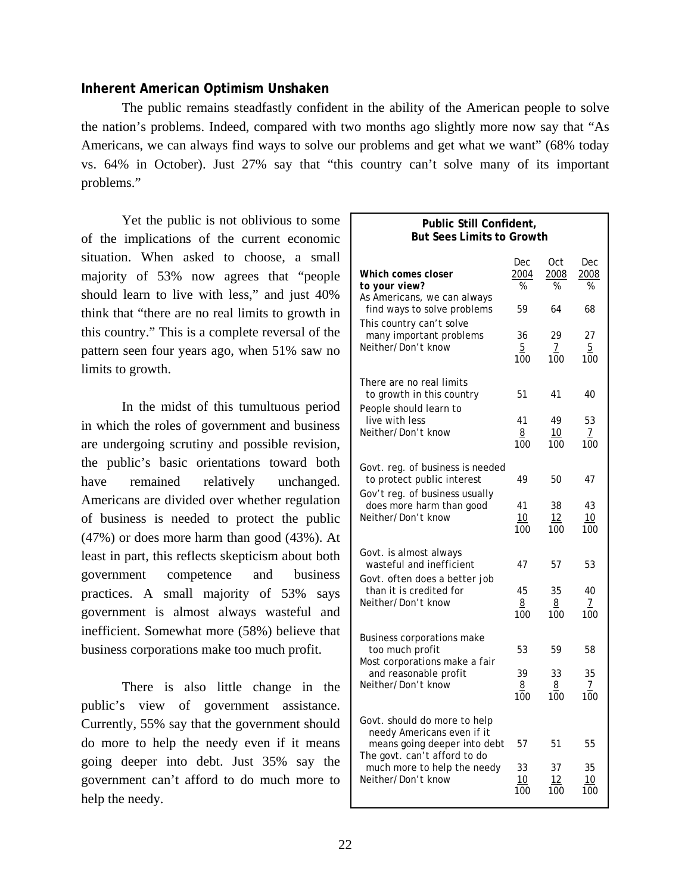# **Inherent American Optimism Unshaken**

 The public remains steadfastly confident in the ability of the American people to solve the nation's problems. Indeed, compared with two months ago slightly more now say that "As Americans, we can always find ways to solve our problems and get what we want" (68% today vs. 64% in October). Just 27% say that "this country can't solve many of its important problems."

 Yet the public is not oblivious to some of the implications of the current economic situation. When asked to choose, a small majority of 53% now agrees that "people should learn to live with less," and just 40% think that "there are no real limits to growth in this country." This is a complete reversal of the pattern seen four years ago, when 51% saw no limits to growth.

In the midst of this tumultuous period in which the roles of government and business are undergoing scrutiny and possible revision, the public's basic orientations toward both have remained relatively unchanged. Americans are divided over whether regulation of business is needed to protect the public (47%) or does more harm than good (43%). At least in part, this reflects skepticism about both government competence and business practices. A small majority of 53% says government is almost always wasteful and inefficient. Somewhat more (58%) believe that business corporations make too much profit.

There is also little change in the public's view of government assistance. Currently, 55% say that the government should do more to help the needy even if it means going deeper into debt. Just 35% say the government can't afford to do much more to help the needy.

### **Public Still Confident, But Sees Limits to Growth**

| Which comes closer<br>to your view?                                                        | Dec<br>2004<br>%            | 0ct<br>2008<br>% | Dec<br>2008<br>%            |
|--------------------------------------------------------------------------------------------|-----------------------------|------------------|-----------------------------|
| As Americans, we can always<br>find ways to solve problems<br>This country can't solve     | 59                          | 64               | 68                          |
| many important problems<br>Neither/Don't know                                              | 36<br>$\overline{5}$<br>100 | 29<br>7<br>100   | 27<br>$\overline{5}$<br>100 |
| There are no real limits<br>to growth in this country<br>People should learn to            | 51                          | 41               | 40                          |
| live with less<br>Neither/Don't know                                                       | 41<br>8<br>100              | 49<br>10<br>100  | 53<br>$\frac{7}{100}$       |
| Govt. reg. of business is needed<br>to protect public interest                             | 49                          | 50               | 47                          |
| Gov't reg. of business usually<br>does more harm than good<br>Neither/Don't know           | 41<br>10<br>100             | 38<br>12<br>100  | 43<br>10<br>100             |
| Govt. is almost always<br>wasteful and inefficient<br>Govt. often does a better job        | 47                          | 57               | 53                          |
| than it is credited for<br>Neither/Don't know                                              | 45<br>8<br>100              | 35<br>8<br>100   | 40<br>$\prime$<br>100       |
| Business corporations make<br>too much profit<br>Most corporations make a fair             | 53                          | 59               | 58                          |
| and reasonable profit<br>Neither/Don't know                                                | 39<br>8<br>100              | 33<br>8<br>100   | 35<br>$\overline{1}$<br>100 |
| Govt. should do more to help<br>needy Americans even if it<br>means going deeper into debt | 57                          | 51               | 55                          |
| The govt. can't afford to do<br>much more to help the needy<br>Neither/Don't know          | 33<br>10<br>100             | 37<br>12<br>100  | 35<br>10<br>100             |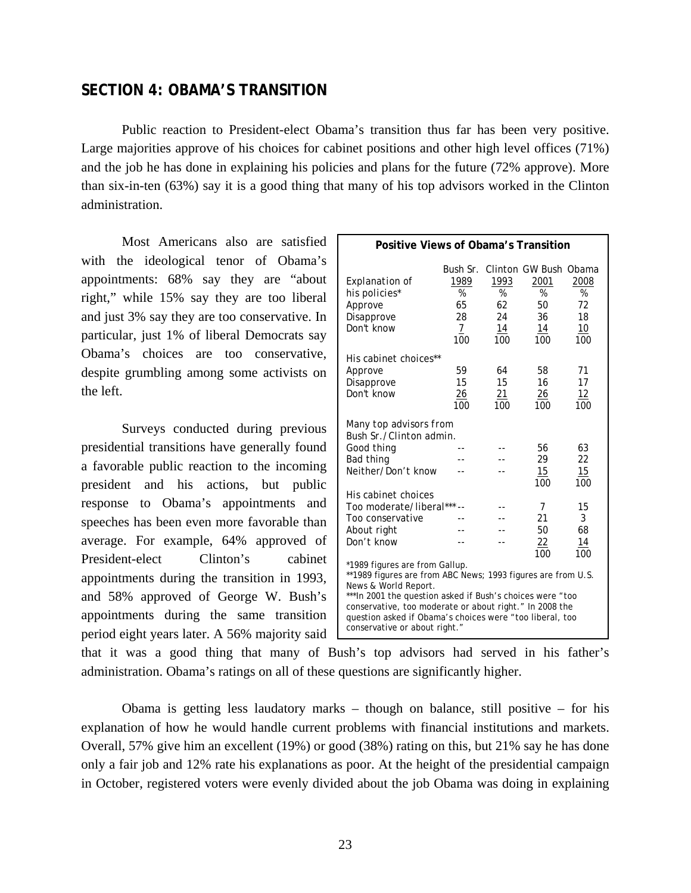# **SECTION 4: OBAMA'S TRANSITION**

Public reaction to President-elect Obama's transition thus far has been very positive. Large majorities approve of his choices for cabinet positions and other high level offices (71%) and the job he has done in explaining his policies and plans for the future (72% approve). More than six-in-ten (63%) say it is a good thing that many of his top advisors worked in the Clinton administration.

Most Americans also are satisfied with the ideological tenor of Obama's appointments: 68% say they are "about right," while 15% say they are too liberal and just 3% say they are too conservative. In particular, just 1% of liberal Democrats say Obama's choices are too conservative, despite grumbling among some activists on the left.

Surveys conducted during previous presidential transitions have generally found a favorable public reaction to the incoming president and his actions, but public response to Obama's appointments and speeches has been even more favorable than average. For example, 64% approved of President-elect Clinton's cabinet appointments during the transition in 1993, and 58% approved of George W. Bush's appointments during the same transition period eight years later. A 56% majority said

|                                                                                                                                                                                                                                                                                                                                             | Positive Views of Obama's Transition                          |                                    |                                                             |                                    |  |  |  |  |  |  |  |  |
|---------------------------------------------------------------------------------------------------------------------------------------------------------------------------------------------------------------------------------------------------------------------------------------------------------------------------------------------|---------------------------------------------------------------|------------------------------------|-------------------------------------------------------------|------------------------------------|--|--|--|--|--|--|--|--|
| Explanation of<br>his policies*<br>Approve<br>Disapprove<br>Don't know                                                                                                                                                                                                                                                                      | Bush Sr.<br>1989<br>$\%$<br>65<br>28<br>$\overline{7}$<br>100 | 1993<br>%<br>62<br>24<br>14<br>100 | Clinton GW Bush Obama<br>2001<br>%<br>50<br>36<br>14<br>100 | 2008<br>%<br>72<br>18<br>10<br>100 |  |  |  |  |  |  |  |  |
| His cabinet choices**<br>Approve<br>Disapprove<br>Don't know                                                                                                                                                                                                                                                                                | 59<br>15<br>26<br>100                                         | 64<br>15<br>21<br>100              | 58<br>16<br>26<br>100                                       | 71<br>17<br>12<br>100              |  |  |  |  |  |  |  |  |
| Many top advisors from<br>Bush Sr./Clinton admin.<br>Good thing<br>Bad thing<br>Neither/Don't know                                                                                                                                                                                                                                          |                                                               |                                    | 56<br>29<br>15<br>100                                       | 63<br>22<br>15<br>100              |  |  |  |  |  |  |  |  |
| His cabinet choices<br>Too moderate/liberal***<br>Too conservative<br>About right<br>Don't know                                                                                                                                                                                                                                             |                                                               |                                    | 7<br>21<br>50<br>$\frac{22}{2}$<br>100                      | 15<br>3<br>68<br>14<br>100         |  |  |  |  |  |  |  |  |
| *1989 figures are from Gallup.<br>**1989 figures are from ABC News; 1993 figures are from U.S.<br>News & World Report.<br>***In 2001 the question asked if Bush's choices were "too<br>conservative, too moderate or about right." In 2008 the<br>question asked if Obama's choices were "too liberal, too<br>conservative or about right." |                                                               |                                    |                                                             |                                    |  |  |  |  |  |  |  |  |

that it was a good thing that many of Bush's top advisors had served in his father's administration. Obama's ratings on all of these questions are significantly higher.

 Obama is getting less laudatory marks – though on balance, still positive – for his explanation of how he would handle current problems with financial institutions and markets. Overall, 57% give him an excellent (19%) or good (38%) rating on this, but 21% say he has done only a fair job and 12% rate his explanations as poor. At the height of the presidential campaign in October, registered voters were evenly divided about the job Obama was doing in explaining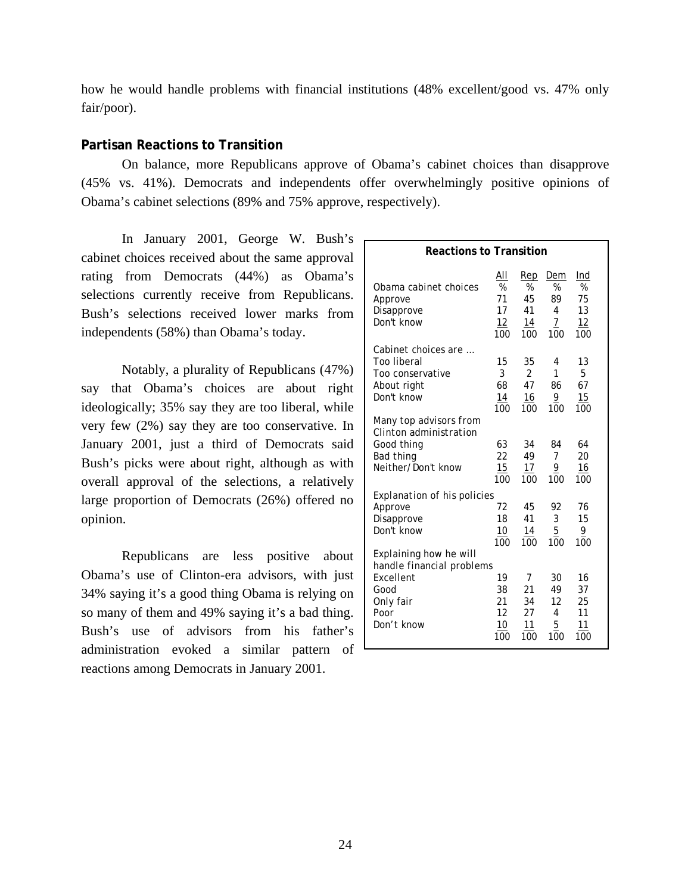how he would handle problems with financial institutions (48% excellent/good vs. 47% only fair/poor).

# **Partisan Reactions to Transition**

 On balance, more Republicans approve of Obama's cabinet choices than disapprove (45% vs. 41%). Democrats and independents offer overwhelmingly positive opinions of Obama's cabinet selections (89% and 75% approve, respectively).

 In January 2001, George W. Bush's cabinet choices received about the same approval rating from Democrats (44%) as Obama's selections currently receive from Republicans. Bush's selections received lower marks from independents (58%) than Obama's today.

 Notably, a plurality of Republicans (47%) say that Obama's choices are about right ideologically; 35% say they are too liberal, while very few (2%) say they are too conservative. In January 2001, just a third of Democrats said Bush's picks were about right, although as with overall approval of the selections, a relatively large proportion of Democrats (26%) offered no opinion.

Republicans are less positive about Obama's use of Clinton-era advisors, with just 34% saying it's a good thing Obama is relying on so many of them and 49% saying it's a bad thing. Bush's use of advisors from his father's administration evoked a similar pattern of reactions among Democrats in January 2001.

| <b>Reactions to Transition</b>                                                                              |                                   |                                  |                                               |                                   |  |  |  |  |  |  |
|-------------------------------------------------------------------------------------------------------------|-----------------------------------|----------------------------------|-----------------------------------------------|-----------------------------------|--|--|--|--|--|--|
| Obama cabinet choices                                                                                       | AII                               | Rep                              | Dem                                           | Ind                               |  |  |  |  |  |  |
| Approve                                                                                                     | $\%$                              | $\%$                             | %                                             | %                                 |  |  |  |  |  |  |
| Disapprove                                                                                                  | 71                                | 45                               | 89                                            | 75                                |  |  |  |  |  |  |
| Don't know                                                                                                  | 17                                | 41                               | 4                                             | 13                                |  |  |  |  |  |  |
|                                                                                                             | 12                                | 14                               | 7                                             | 12                                |  |  |  |  |  |  |
|                                                                                                             | 100                               | 100                              | 100                                           | 100                               |  |  |  |  |  |  |
| Cabinet choices are                                                                                         | 15                                | 35                               | 4                                             | 13                                |  |  |  |  |  |  |
| Too liberal                                                                                                 | 3                                 | $\mathfrak{p}$                   | 1                                             | 5                                 |  |  |  |  |  |  |
| Too conservative                                                                                            | 68                                | 47                               | 86                                            | 67                                |  |  |  |  |  |  |
| About right                                                                                                 | 14                                | 16                               | $\overline{9}$                                | 15                                |  |  |  |  |  |  |
| Don't know                                                                                                  | 100                               | 100                              | 100                                           | 100                               |  |  |  |  |  |  |
| Many top advisors from<br>Clinton administration<br>Good thing<br>Bad thing<br>Neither/Don't know           | 63<br>22<br>15<br>100             | 34<br>49<br>17<br>100            | 84<br>$\overline{7}$<br>$\overline{9}$<br>100 | 64<br>20<br>16<br>100             |  |  |  |  |  |  |
| <b>Explanation of his policies</b>                                                                          | 72                                | 45                               | 92                                            | 76                                |  |  |  |  |  |  |
| Approve                                                                                                     | 18                                | 41                               | 3                                             | 15                                |  |  |  |  |  |  |
| Disapprove                                                                                                  | 10                                | 14                               | $\overline{5}$                                | 9                                 |  |  |  |  |  |  |
| Don't know                                                                                                  | 100                               | 100                              | 100                                           | 100                               |  |  |  |  |  |  |
| Explaining how he will<br>handle financial problems<br>Excellent<br>Good<br>Only fair<br>Poor<br>Don't know | 19<br>38<br>21<br>12<br>10<br>100 | 7<br>21<br>34<br>27<br>11<br>100 | 30<br>49<br>12<br>4<br>5<br>100               | 16<br>37<br>25<br>11<br>11<br>100 |  |  |  |  |  |  |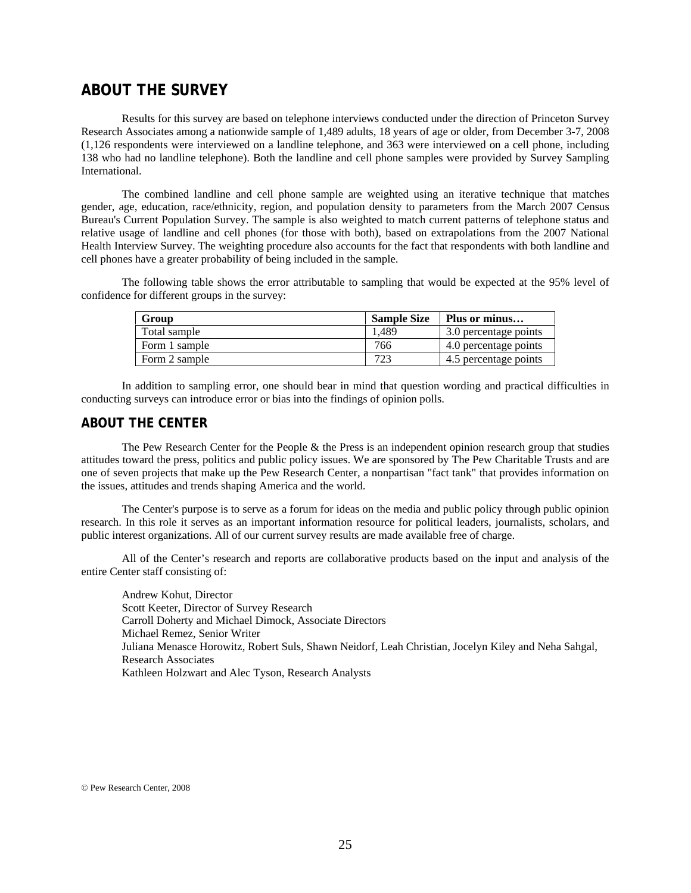# **ABOUT THE SURVEY**

 Results for this survey are based on telephone interviews conducted under the direction of Princeton Survey Research Associates among a nationwide sample of 1,489 adults, 18 years of age or older, from December 3-7, 2008 (1,126 respondents were interviewed on a landline telephone, and 363 were interviewed on a cell phone, including 138 who had no landline telephone). Both the landline and cell phone samples were provided by Survey Sampling **International** 

The combined landline and cell phone sample are weighted using an iterative technique that matches gender, age, education, race/ethnicity, region, and population density to parameters from the March 2007 Census Bureau's Current Population Survey. The sample is also weighted to match current patterns of telephone status and relative usage of landline and cell phones (for those with both), based on extrapolations from the 2007 National Health Interview Survey. The weighting procedure also accounts for the fact that respondents with both landline and cell phones have a greater probability of being included in the sample.

The following table shows the error attributable to sampling that would be expected at the 95% level of confidence for different groups in the survey:

| Group         | <b>Sample Size</b> | Plus or minus         |
|---------------|--------------------|-----------------------|
| Total sample  | l.489              | 3.0 percentage points |
| Form 1 sample | 766                | 4.0 percentage points |
| Form 2 sample | 723                | 4.5 percentage points |

In addition to sampling error, one should bear in mind that question wording and practical difficulties in conducting surveys can introduce error or bias into the findings of opinion polls.

#### **ABOUT THE CENTER**

 The Pew Research Center for the People & the Press is an independent opinion research group that studies attitudes toward the press, politics and public policy issues. We are sponsored by The Pew Charitable Trusts and are one of seven projects that make up the Pew Research Center, a nonpartisan "fact tank" that provides information on the issues, attitudes and trends shaping America and the world.

 The Center's purpose is to serve as a forum for ideas on the media and public policy through public opinion research. In this role it serves as an important information resource for political leaders, journalists, scholars, and public interest organizations. All of our current survey results are made available free of charge.

 All of the Center's research and reports are collaborative products based on the input and analysis of the entire Center staff consisting of:

 Andrew Kohut, Director Scott Keeter, Director of Survey Research Carroll Doherty and Michael Dimock, Associate Directors Michael Remez, Senior Writer Juliana Menasce Horowitz, Robert Suls, Shawn Neidorf, Leah Christian, Jocelyn Kiley and Neha Sahgal, Research Associates Kathleen Holzwart and Alec Tyson, Research Analysts

© Pew Research Center, 2008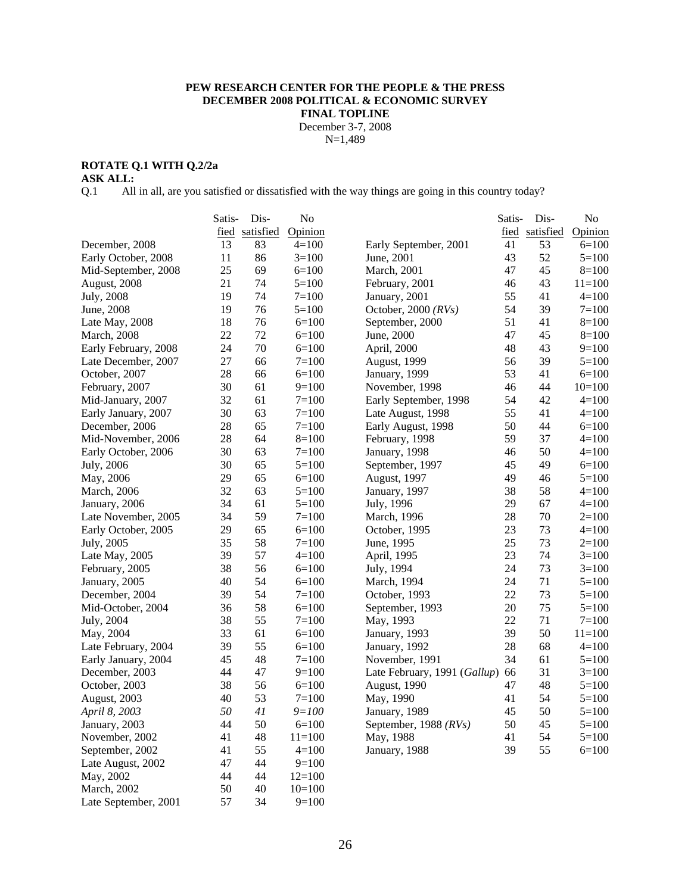#### **PEW RESEARCH CENTER FOR THE PEOPLE & THE PRESS DECEMBER 2008 POLITICAL & ECONOMIC SURVEY FINAL TOPLINE**  December 3-7, 2008

N=1,489

#### **ROTATE Q.1 WITH Q.2/2a**

**ASK ALL:** 

Q.1 All in all, are you satisfied or dissatisfied with the way things are going in this country today?

|                      | Satis- | Dis-           | No         |                              | Satis- | Dis-           | N <sub>o</sub> |
|----------------------|--------|----------------|------------|------------------------------|--------|----------------|----------------|
|                      |        | fied satisfied | Opinion    |                              |        | fied satisfied | Opinion        |
| December, 2008       | 13     | 83             | $4=100$    | Early September, 2001        | 41     | 53             | $6=100$        |
| Early October, 2008  | 11     | 86             | $3=100$    | June, 2001                   | 43     | 52             | $5=100$        |
| Mid-September, 2008  | 25     | 69             | $6=100$    | March, 2001                  | 47     | 45             | $8=100$        |
| August, 2008         | 21     | 74             | $5=100$    | February, 2001               | 46     | 43             | $11 = 100$     |
| July, 2008           | 19     | 74             | $7 = 100$  | January, 2001                | 55     | 41             | $4 = 100$      |
| June, 2008           | 19     | 76             | $5=100$    | October, 2000 $(RVs)$        | 54     | 39             | $7=100$        |
| Late May, 2008       | 18     | 76             | $6=100$    | September, 2000              | 51     | 41             | $8=100$        |
| <b>March</b> , 2008  | 22     | 72             | $6=100$    | June, 2000                   | 47     | 45             | $8=100$        |
| Early February, 2008 | 24     | 70             | $6=100$    | April, 2000                  | 48     | 43             | $9=100$        |
| Late December, 2007  | 27     | 66             | $7 = 100$  | August, 1999                 | 56     | 39             | $5=100$        |
| October, 2007        | 28     | 66             | $6=100$    | January, 1999                | 53     | 41             | $6=100$        |
| February, 2007       | 30     | 61             | $9=100$    | November, 1998               | 46     | 44             | $10=100$       |
| Mid-January, 2007    | 32     | 61             | $7=100$    | Early September, 1998        | 54     | 42             | $4 = 100$      |
| Early January, 2007  | 30     | 63             | $7=100$    | Late August, 1998            | 55     | 41             | $4=100$        |
| December, 2006       | 28     | 65             | $7=100$    | Early August, 1998           | 50     | 44             | $6=100$        |
| Mid-November, 2006   | 28     | 64             | $8=100$    | February, 1998               | 59     | 37             | $4=100$        |
| Early October, 2006  | 30     | 63             | $7=100$    | January, 1998                | 46     | 50             | $4=100$        |
| July, 2006           | 30     | 65             | $5=100$    | September, 1997              | 45     | 49             | $6=100$        |
| May, 2006            | 29     | 65             | $6=100$    | <b>August</b> , 1997         | 49     | 46             | $5=100$        |
| <b>March</b> , 2006  | 32     | 63             | $5=100$    | January, 1997                | 38     | 58             | $4=100$        |
| January, 2006        | 34     | 61             | $5=100$    | July, 1996                   | 29     | 67             | $4 = 100$      |
| Late November, 2005  | 34     | 59             | $7=100$    | March, 1996                  | 28     | 70             | $2=100$        |
| Early October, 2005  | 29     | 65             | $6=100$    | October, 1995                | 23     | 73             | $4 = 100$      |
| July, 2005           | 35     | 58             | $7 = 100$  | June, 1995                   | 25     | 73             | $2=100$        |
| Late May, 2005       | 39     | 57             | $4=100$    | April, 1995                  | 23     | 74             | $3=100$        |
| February, 2005       | 38     | 56             | $6=100$    | July, 1994                   | 24     | 73             | $3=100$        |
| January, 2005        | 40     | 54             | $6=100$    | March, 1994                  | 24     | 71             | $5=100$        |
| December, 2004       | 39     | 54             | $7=100$    | October, 1993                | 22     | 73             | $5=100$        |
| Mid-October, 2004    | 36     | 58             | $6=100$    | September, 1993              | 20     | 75             | $5=100$        |
| July, 2004           | 38     | 55             | $7 = 100$  | May, 1993                    | 22     | 71             | $7 = 100$      |
| May, 2004            | 33     | 61             | $6=100$    | January, 1993                | 39     | 50             | $11 = 100$     |
| Late February, 2004  | 39     | 55             | $6=100$    | January, 1992                | 28     | 68             | $4 = 100$      |
| Early January, 2004  | 45     | 48             | $7=100$    | November, 1991               | 34     | 61             | $5=100$        |
| December, 2003       | 44     | 47             | $9=100$    | Late February, 1991 (Gallup) | 66     | 31             | $3=100$        |
| October, 2003        | 38     | 56             | $6=100$    | August, 1990                 | 47     | 48             | $5=100$        |
| August, 2003         | 40     | 53             | $7=100$    | May, 1990                    | 41     | 54             | $5=100$        |
| April 8, 2003        | 50     | 41             | $9 = 100$  | January, 1989                | 45     | 50             | $5 = 100$      |
| January, 2003        | 44     | 50             | $6 = 100$  | September, 1988 (RVs)        | 50     | 45             | $5=100$        |
| November, 2002       | 41     | 48             | $11 = 100$ | May, 1988                    | 41     | 54             | $5=100$        |
| September, 2002      | 41     | 55             | $4=100$    | January, 1988                | 39     | 55             | $6=100$        |
| Late August, 2002    | 47     | 44             | $9=100$    |                              |        |                |                |
| May, 2002            | 44     | 44             | $12=100$   |                              |        |                |                |
| March, 2002          | 50     | 40             | $10=100$   |                              |        |                |                |
| Late September, 2001 | 57     | 34             | $9=100$    |                              |        |                |                |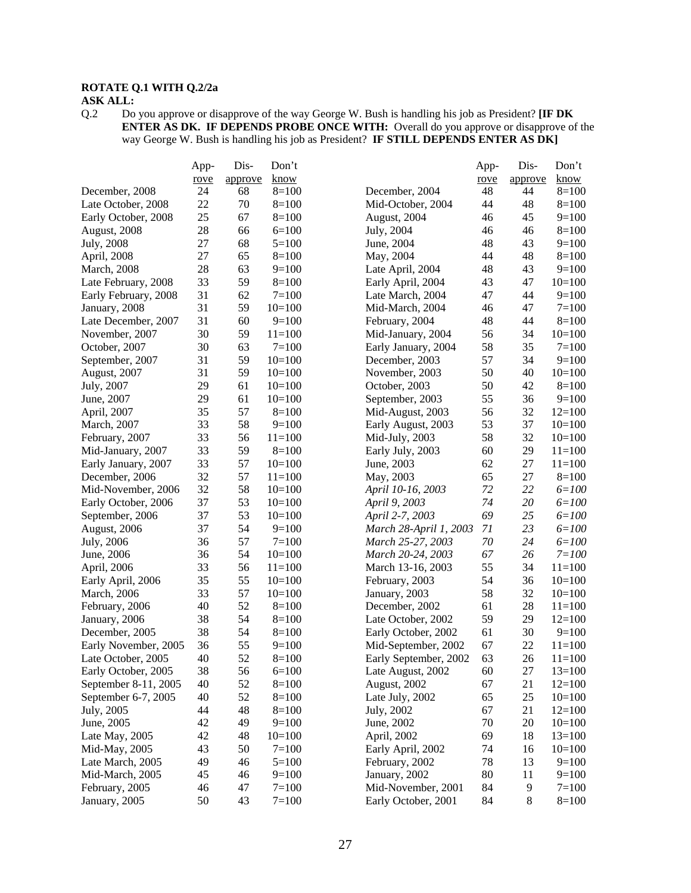# **ROTATE Q.1 WITH Q.2/2a**

**ASK ALL:**  $Q.2$  Do Do you approve or disapprove of the way George W. Bush is handling his job as President? **[IF DK ENTER AS DK. IF DEPENDS PROBE ONCE WITH:** Overall do you approve or disapprove of the way George W. Bush is handling his job as President? **IF STILL DEPENDS ENTER AS DK]** 

|                      | App- | Dis-    | Don't     |                        | App-     | Dis-    | Don't      |
|----------------------|------|---------|-----------|------------------------|----------|---------|------------|
|                      | rove | approve | know      |                        | rove     | approve | know       |
| December, 2008       | 24   | 68      | $8=100$   | December, 2004         | 48       | 44      | $8=100$    |
| Late October, 2008   | 22   | 70      | $8=100$   | Mid-October, 2004      | 44       | 48      | $8=100$    |
| Early October, 2008  | 25   | 67      | $8=100$   | August, 2004           | 46       | 45      | $9=100$    |
| August, 2008         | 28   | 66      | $6=100$   | July, 2004             | 46       | 46      | $8=100$    |
| July, 2008           | 27   | 68      | $5=100$   | June, 2004             | 48       | 43      | $9=100$    |
| April, 2008          | 27   | 65      | $8=100$   | May, 2004              | 44       | 48      | $8=100$    |
| <b>March</b> , 2008  | 28   | 63      | $9=100$   | Late April, 2004       | 48       | 43      | $9=100$    |
| Late February, 2008  | 33   | 59      | $8=100$   | Early April, 2004      | 43       | 47      | $10=100$   |
| Early February, 2008 | 31   | 62      | $7=100$   | Late March, 2004       | 47       | 44      | $9=100$    |
| January, 2008        | 31   | 59      | $10=100$  | Mid-March, 2004        | 46       | 47      | $7=100$    |
| Late December, 2007  | 31   | 60      | $9=100$   | February, 2004         | 48       | 44      | $8=100$    |
| November, 2007       | 30   | 59      | $11=100$  | Mid-January, 2004      | 56       | 34      | $10=100$   |
| October, 2007        | 30   | 63      | $7 = 100$ | Early January, 2004    | 58       | 35      | $7 = 100$  |
| September, 2007      | 31   | 59      | $10=100$  | December, 2003         | 57       | 34      | $9=100$    |
| August, 2007         | 31   | 59      | $10=100$  | November, 2003         | 50       | 40      | $10=100$   |
| July, 2007           | 29   | 61      | $10=100$  | October, 2003          | 50       | 42      | $8=100$    |
| June, 2007           | 29   | 61      | $10=100$  | September, 2003        | 55       | 36      | $9=100$    |
| April, 2007          | 35   | 57      | $8=100$   | Mid-August, 2003       | 56       | 32      | $12=100$   |
| March, 2007          | 33   | 58      | $9=100$   | Early August, 2003     | 53       | 37      | $10=100$   |
| February, 2007       | 33   | 56      | $11=100$  | Mid-July, 2003         | 58       | 32      | $10=100$   |
| Mid-January, 2007    | 33   | 59      | $8=100$   | Early July, 2003       | 60       | 29      | $11 = 100$ |
| Early January, 2007  | 33   | 57      | $10=100$  | June, 2003             | 62       | 27      | $11=100$   |
| December, 2006       | 32   | 57      | $11=100$  | May, 2003              | 65       | 27      | $8=100$    |
| Mid-November, 2006   | 32   | 58      | $10=100$  | April 10-16, 2003      | 72       | 22      | $6 = 100$  |
| Early October, 2006  | 37   | 53      | $10=100$  | April 9, 2003          | 74       | 20      | $6 = 100$  |
| September, 2006      | 37   | 53      | $10=100$  | April 2-7, 2003        | 69       | 25      | $6 = 100$  |
| August, 2006         | 37   | 54      | $9=100$   | March 28-April 1, 2003 | 71       | 23      | $6 = 100$  |
| July, 2006           | 36   | 57      | $7 = 100$ | March 25-27, 2003      | 70       | 24      | $6 = 100$  |
| June, 2006           | 36   | 54      | $10=100$  | March 20-24, 2003      | 67       | 26      | $7 = 100$  |
| April, 2006          | 33   | 56      | $11=100$  | March 13-16, 2003      | 55       | 34      | $11=100$   |
| Early April, 2006    | 35   | 55      | $10=100$  | February, 2003         | 54       | 36      | $10=100$   |
| March, 2006          | 33   | 57      | $10=100$  | January, 2003          | 58       | 32      | $10=100$   |
| February, 2006       | 40   | 52      | $8=100$   | December, 2002         | 61       | 28      | $11=100$   |
| January, 2006        | 38   | 54      | $8=100$   | Late October, 2002     | 59       | 29      | $12=100$   |
| December, 2005       | 38   | 54      | $8=100$   | Early October, 2002    | 61       | 30      | $9=100$    |
| Early November, 2005 | 36   | 55      | $9=100$   | Mid-September, 2002    | 67       | 22      | $11 = 100$ |
| Late October, 2005   | 40   | 52      | $8=100$   | Early September, 2002  | 63       | 26      | $11=100$   |
| Early October, 2005  | 38   | 56      | $6=100$   | Late August, 2002      | 60       | 27      | $13=100$   |
| September 8-11, 2005 | 40   | 52      | $8=100$   | August, 2002           | 67       | 21      | $12=100$   |
| September 6-7, 2005  | 40   | 52      | $8=100$   |                        |          | 25      | $10=100$   |
|                      | 44   | 48      |           | Late July, 2002        | 65<br>67 | 21      |            |
| July, 2005           |      |         | $8=100$   | July, 2002             |          |         | $12=100$   |
| June, 2005           | 42   | 49      | $9=100$   | June, 2002             | 70       | 20      | $10=100$   |
| Late May, 2005       | 42   | 48      | $10=100$  | April, 2002            | 69       | 18      | $13=100$   |
| Mid-May, 2005        | 43   | 50      | $7=100$   | Early April, 2002      | 74       | 16      | $10=100$   |
| Late March, 2005     | 49   | 46      | $5=100$   | February, 2002         | 78       | 13      | $9=100$    |
| Mid-March, 2005      | 45   | 46      | $9=100$   | January, 2002          | 80       | 11      | $9=100$    |
| February, 2005       | 46   | 47      | $7 = 100$ | Mid-November, 2001     | 84       | 9       | $7 = 100$  |
| January, 2005        | 50   | 43      | $7=100$   | Early October, 2001    | 84       | 8       | $8=100$    |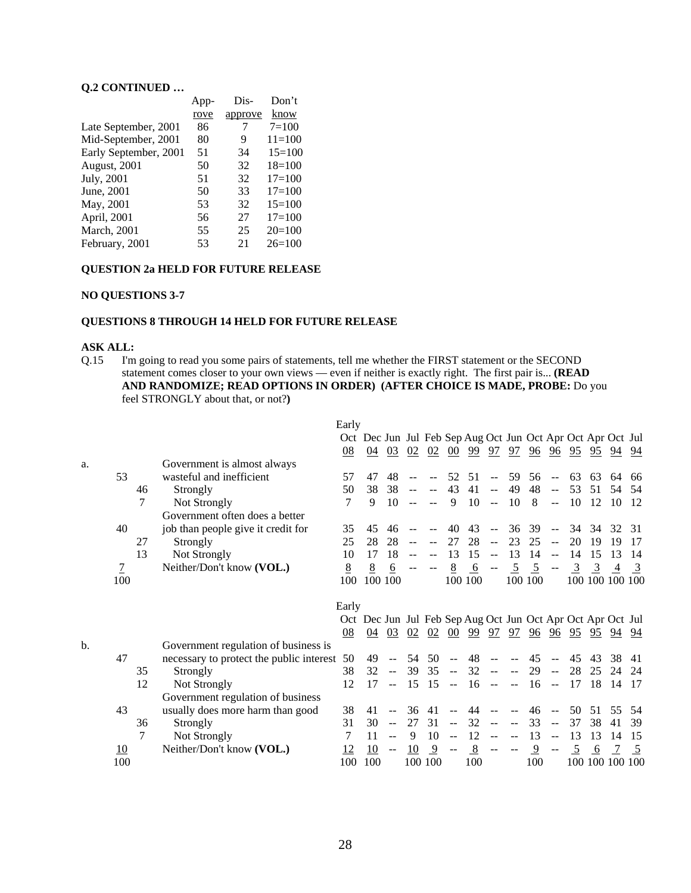#### **Q.2 CONTINUED …**

|                       | App- | Dis-    | Don't      |
|-----------------------|------|---------|------------|
|                       | rove | approve | know       |
| Late September, 2001  | 86   | 7       | $7=100$    |
| Mid-September, 2001   | 80   | 9       | $11 = 100$ |
| Early September, 2001 | 51   | 34      | $15=100$   |
| August, 2001          | 50   | 32      | $18=100$   |
| July, 2001            | 51   | 32      | $17 = 100$ |
| June, 2001            | 50   | 33      | $17 = 100$ |
| May, 2001             | 53   | 32      | $15=100$   |
| April, 2001           | 56   | 27      | $17 = 100$ |
| <b>March</b> , 2001   | 55   | 25      | $20=100$   |
| February, 2001        | 53   | 21      | $26=100$   |

#### **QUESTION 2a HELD FOR FUTURE RELEASE**

#### **NO QUESTIONS 3-7**

#### **QUESTIONS 8 THROUGH 14 HELD FOR FUTURE RELEASE**

#### **ASK ALL:**

Q.15 I'm going to read you some pairs of statements, tell me whether the FIRST statement or the SECOND statement comes closer to your own views — even if neither is exactly right. The first pair is... **(READ AND RANDOMIZE; READ OPTIONS IN ORDER) (AFTER CHOICE IS MADE, PROBE:** Do you feel STRONGLY about that, or not?**)**

|    |                          |    |                                                                       | Early |                                                             |                           |    |        |                           |                                                        |                                               |                           |                |                                               |                |                                              |                 |                |
|----|--------------------------|----|-----------------------------------------------------------------------|-------|-------------------------------------------------------------|---------------------------|----|--------|---------------------------|--------------------------------------------------------|-----------------------------------------------|---------------------------|----------------|-----------------------------------------------|----------------|----------------------------------------------|-----------------|----------------|
|    |                          |    |                                                                       |       | Oct Dec Jun Jul Feb Sep Aug Oct Jun Oct Apr Oct Apr Oct Jul |                           |    |        |                           |                                                        |                                               |                           |                |                                               |                |                                              |                 |                |
|    |                          |    |                                                                       | 08    | 04                                                          | 03                        | 02 | 02     | 00                        | 99                                                     | 97                                            | 97                        | $\frac{96}{9}$ | 96                                            |                | $\frac{95}{2}$ $\frac{95}{2}$ $\frac{94}{2}$ |                 | 94             |
| a. |                          |    | Government is almost always                                           |       |                                                             |                           |    |        |                           |                                                        |                                               |                           |                |                                               |                |                                              |                 |                |
|    | 53                       |    | wasteful and inefficient                                              | 57    | 47                                                          | 48                        |    |        | 52                        | 51                                                     | $\overline{a}$                                | 59                        | 56             | $\mathbf{u}$                                  | 63             | 63                                           | 64              | 66             |
|    |                          | 46 | Strongly                                                              | 50    | 38                                                          | 38                        |    |        | 43                        | 41                                                     | $\sim$ $\sim$                                 | 49                        | 48             | $-$                                           | 53             | 51                                           | 54              | .54            |
|    |                          | 7  | Not Strongly                                                          | 7     | 9                                                           | 10                        |    |        | 9                         | 10                                                     | $\sim$ $\sim$                                 | 10                        | 8              | $\sim$ $\sim$                                 | 10             | 12                                           | -10             | -12            |
|    |                          |    | Government often does a better                                        |       |                                                             |                           |    |        |                           |                                                        |                                               |                           |                |                                               |                |                                              |                 |                |
|    | 40                       |    | job than people give it credit for                                    | 35    | 45                                                          | 46                        |    |        | 40                        | 43                                                     | $\overline{a}$                                | 36                        | 39             | $\sim$ $\sim$                                 | 34 34          |                                              | 32              | 31             |
|    |                          | 27 | Strongly                                                              | 25    | 28                                                          | 28                        |    |        | 27                        | 28                                                     | $\perp$ .                                     | 23                        | 25             | $\mathbb{L} \mathbb{L}$                       | 20             | 19                                           | 19              | 17             |
|    |                          | 13 | Not Strongly                                                          | 10    | 17                                                          | 18                        |    |        | 13                        | 15                                                     | $\mathcal{L} \mathcal{L}$                     | 13                        | 14             | $\sim$ $\sim$                                 | 14             | 15                                           | 13              | 14             |
|    | $\overline{\mathcal{I}}$ |    | Neither/Don't know (VOL.)                                             | 8     | 8                                                           | $6\overline{6}$           |    |        | 8                         | 6                                                      | $\mathord{\hspace{1pt}\text{--}\hspace{1pt}}$ | 5                         | $\frac{5}{2}$  |                                               | $\overline{3}$ | $\overline{3}$                               | $\overline{4}$  | $\frac{3}{2}$  |
|    | 100                      |    |                                                                       | 100   |                                                             | 100 100                   |    |        |                           | 100 100                                                |                                               |                           | 100 100        |                                               |                |                                              | 100 100 100 100 |                |
|    |                          |    |                                                                       |       |                                                             |                           |    |        |                           |                                                        |                                               |                           |                |                                               |                |                                              |                 |                |
|    |                          |    |                                                                       |       |                                                             |                           |    |        |                           |                                                        |                                               |                           |                |                                               |                |                                              |                 |                |
|    |                          |    |                                                                       | Early |                                                             |                           |    |        |                           |                                                        |                                               |                           |                |                                               |                |                                              |                 |                |
|    |                          |    |                                                                       |       | Oct Dec Jun Jul Feb Sep Aug Oct Jun Oct Apr Oct Apr Oct Jul |                           |    |        |                           |                                                        |                                               |                           |                |                                               |                |                                              |                 |                |
|    |                          |    |                                                                       | 08    |                                                             | 04 03                     | 02 |        |                           | $02$ $00$ $99$ $97$ $97$ $96$ $96$ $95$ $95$ $94$ $94$ |                                               |                           |                |                                               |                |                                              |                 |                |
| b. |                          |    | Government regulation of business is                                  |       |                                                             |                           |    |        |                           |                                                        |                                               |                           |                |                                               |                |                                              |                 |                |
|    | 47                       |    | necessary to protect the public interest                              | 50    | 49                                                          |                           | 54 | 50     | $\sim$ $\sim$             | 48                                                     |                                               |                           | 45             |                                               | 45             | 43                                           | 38              | 41             |
|    |                          | 35 | Strongly                                                              | 38    | 32                                                          | $\sim$ $\sim$             | 39 | 35     | $\sim$ $\sim$             | 32                                                     | $\sim$ $\sim$                                 | $\mathbb{H}^{\mathbb{Z}}$ | 29             | $\mathbb{L} \mathbb{L}$                       | 28             | 25                                           | 24              | 24             |
|    |                          | 12 | Not Strongly                                                          | 12    | 17                                                          | $\mathbb{L}^{\mathbb{L}}$ | 15 | $15 -$ |                           | -16                                                    | $\sim$                                        | $\sim$                    | -16            | $\sim$ $\sim$                                 | 17             | 18                                           | 14              | 17             |
|    |                          |    |                                                                       |       |                                                             |                           |    |        |                           |                                                        |                                               |                           |                |                                               |                |                                              |                 |                |
|    | 43                       |    | Government regulation of business<br>usually does more harm than good | 38    | 41                                                          |                           | 36 | 41     |                           | 44                                                     | $\overline{\phantom{m}}$                      |                           | 46             | $\sim$                                        | 50             | 51                                           | 55              | .54            |
|    |                          | 36 | Strongly                                                              | 31    | 30                                                          |                           | 27 | 31     | $\sim$                    | 32                                                     | $\overline{\phantom{m}}$                      |                           | 33             | $-$                                           | 37             | 38                                           | 41              | 39             |
|    |                          | 7  |                                                                       | 7     | 11                                                          | $-$                       | 9  | 10     | $\mathbb{L}^{\mathbb{L}}$ | 12                                                     | $\overline{a}$                                | $\sim$ $\sim$             | 13             | $\mathbb{L} \mathbb{L}$                       | 13             | 13                                           | 14              | 15             |
|    | 10                       |    | Not Strongly<br>Neither/Don't know (VOL.)                             | 12    | 10                                                          | $--$                      | 10 | 9      | $\overline{\phantom{m}}$  | 8                                                      | $\overline{\phantom{m}}$                      | $\overline{\phantom{m}}$  | $\overline{9}$ | $\mathord{\hspace{1pt}\text{--}\hspace{1pt}}$ | 5              | 6                                            |                 | $\overline{5}$ |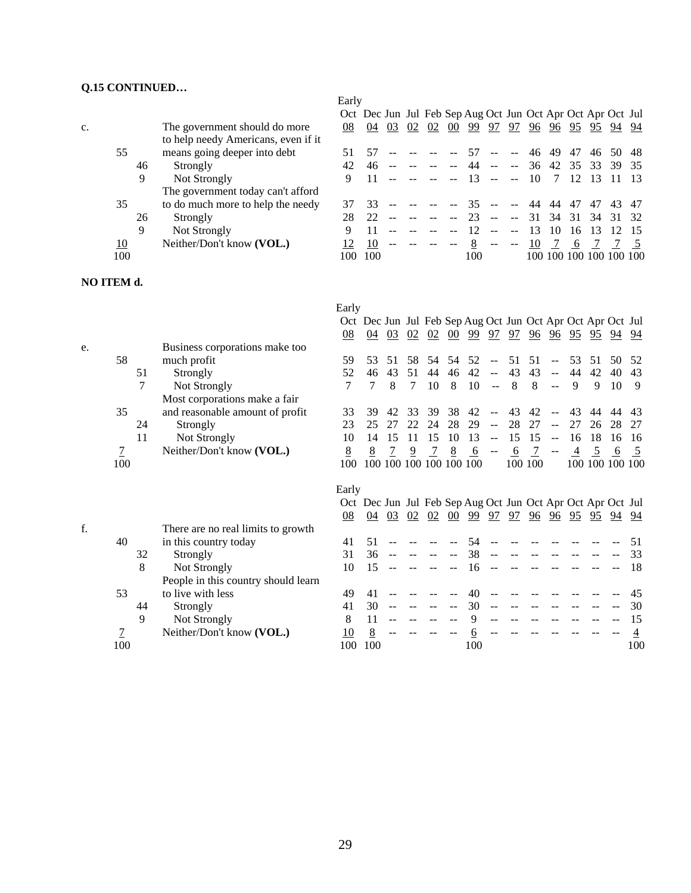# **Q.15 CONTINUED…**

|    |     |    |                                     | Early |     |    |    |    |    |                                                             |               |                          |    |         |    |                 |       |     |
|----|-----|----|-------------------------------------|-------|-----|----|----|----|----|-------------------------------------------------------------|---------------|--------------------------|----|---------|----|-----------------|-------|-----|
|    |     |    |                                     |       |     |    |    |    |    | Oct Dec Jun Jul Feb Sep Aug Oct Jun Oct Apr Oct Apr Oct Jul |               |                          |    |         |    |                 |       |     |
| c. |     |    | The government should do more       | 08    | 04  | 03 | 02 | 02 | 00 | 99                                                          | 97            | 97                       | 96 | 96      | 95 | 95              | 94    | 94  |
|    |     |    | to help needy Americans, even if it |       |     |    |    |    |    |                                                             |               |                          |    |         |    |                 |       |     |
|    | 55  |    | means going deeper into debt        |       |     |    |    |    |    | 57                                                          | $\sim$ $\sim$ | $\mathbf{u}$             | 46 | 49      | 47 | 46              | 50    | -48 |
|    |     | 46 | Strongly                            | 42    | 46  |    |    |    |    |                                                             |               | $\sim$ $\sim$            | 36 | 42      | 35 | 33              | 39    | -35 |
|    |     | 9  | Not Strongly                        | 9     |     |    |    |    |    | 13                                                          |               | $ -$                     | 10 |         | 12 | -13             |       |     |
|    |     |    | The government today can't afford   |       |     |    |    |    |    |                                                             |               |                          |    |         |    |                 |       |     |
|    | 35  |    | to do much more to help the needy   |       | 33  |    |    |    |    |                                                             |               |                          | 44 | 44      | 47 | 47              | 43.   | -47 |
|    |     | 26 | Strongly                            |       | 22  |    |    |    |    |                                                             | $- -$         | $\overline{\phantom{m}}$ | 31 | 34      | 31 | -34             | 31 32 |     |
|    |     | 9  | Not Strongly                        | Q     |     |    |    |    |    |                                                             |               |                          | 13 | 10      | 16 | 13              | 12    |     |
|    | 10  |    | Neither/Don't know (VOL.)           |       | 10  |    |    |    |    |                                                             | $\sim$ $\sim$ | $\sim$ $\sim$            | 10 |         | 6  |                 |       |     |
|    | 100 |    |                                     | 100   | 100 |    |    |    |    | 100                                                         |               |                          |    | 100 100 |    | 100 100 100 100 |       |     |
|    |     |    |                                     |       |     |    |    |    |    |                                                             |               |                          |    |         |    |                 |       |     |

# **NO ITEM d.**

|    |                |    |                                     | Early            |                                                             |    |    |     |                                 |                         |                |    |         |                          |                |    |                                                                 |                 |
|----|----------------|----|-------------------------------------|------------------|-------------------------------------------------------------|----|----|-----|---------------------------------|-------------------------|----------------|----|---------|--------------------------|----------------|----|-----------------------------------------------------------------|-----------------|
|    |                |    |                                     |                  | Oct Dec Jun Jul Feb Sep Aug Oct Jun Oct Apr Oct Apr Oct Jul |    |    |     |                                 |                         |                |    |         |                          |                |    |                                                                 |                 |
|    |                |    |                                     | $\underline{08}$ | 04                                                          | 03 | 02 |     | $\frac{02}{00}$ $\frac{00}{99}$ |                         | 97             | 97 | 96      |                          |                |    | $\frac{96}{95}$ $\frac{95}{95}$ $\frac{94}{94}$                 | 94              |
| e. |                |    | Business corporations make too      |                  |                                                             |    |    |     |                                 |                         |                |    |         |                          |                |    |                                                                 |                 |
|    | 58             |    | much profit                         | 59               | 53                                                          | 51 | 58 | .54 | 54                              | 52                      | $\mathbf{L}$   | 51 | 51      | $\mathbf{u}$             | 53             | 51 | 50                                                              | 52              |
|    |                | 51 | Strongly                            | 52               | 46                                                          | 43 | 51 | 44  | 46                              | 42                      | $\sim$ $\sim$  | 43 | 43      | $\sim$ $\sim$            | 44             | 42 | 40                                                              | 43              |
|    |                | 7  | Not Strongly                        | 7                | 7                                                           | 8  | 7  | 10  | 8                               | 10                      | $\sim$ $\sim$  | 8  | 8       | $\overline{a}$           | 9              | 9  | 10                                                              | 9               |
|    |                |    | Most corporations make a fair       |                  |                                                             |    |    |     |                                 |                         |                |    |         |                          |                |    |                                                                 |                 |
|    | 35             |    | and reasonable amount of profit     | 33               | 39                                                          | 42 | 33 | 39  | 38                              | 42                      |                | 43 | 42      |                          | 43             | 44 | 44                                                              | 43              |
|    |                | 24 | Strongly                            | 23               | 25                                                          | 27 | 22 | 24  | 28                              | 29                      | $\sim$ $\sim$  | 28 | 27      | $\sim$ $\sim$            | 27             | 26 | 28                                                              | 27              |
|    |                | 11 | Not Strongly                        | 10               | 14                                                          | 15 | 11 | 15  | 10                              | 13                      | $\overline{a}$ | 15 | 15      | $\mathbf{u}$             | 16             | 18 | 16                                                              | 16              |
|    | $\overline{1}$ |    | Neither/Don't know (VOL.)           | 8                | 8                                                           |    | 9  |     | 8                               | 6                       | $\sim$ $\sim$  | 6  |         | $\overline{\phantom{m}}$ | $\overline{4}$ | -5 | 6                                                               | - 5             |
|    | 100            |    |                                     | 100              |                                                             |    |    |     |                                 | 100 100 100 100 100 100 |                |    | 100 100 |                          |                |    |                                                                 | 100 100 100 100 |
|    |                |    |                                     |                  |                                                             |    |    |     |                                 |                         |                |    |         |                          |                |    |                                                                 |                 |
|    |                |    |                                     | Early            |                                                             |    |    |     |                                 |                         |                |    |         |                          |                |    |                                                                 |                 |
|    |                |    |                                     |                  | Oct Dec Jun Jul Feb Sep Aug Oct Jun Oct Apr Oct Apr Oct Jul |    |    |     |                                 |                         |                |    |         |                          |                |    |                                                                 |                 |
|    |                |    |                                     | 08               | 04                                                          | 03 | 02 | 02  | $00\,$                          | 99                      | 97             | 97 |         |                          |                |    | $\frac{96}{96}$ $\frac{96}{95}$ $\frac{95}{95}$ $\frac{94}{94}$ | 94              |
| f. |                |    | There are no real limits to growth  |                  |                                                             |    |    |     |                                 |                         |                |    |         |                          |                |    |                                                                 |                 |
|    | 40             |    | in this country today               | 41               | 51                                                          |    |    |     |                                 | 54                      |                |    |         |                          |                |    |                                                                 | 51              |
|    |                | 32 | Strongly                            | 31               | 36                                                          |    |    |     |                                 | 38                      |                |    |         |                          |                |    |                                                                 | 33              |
|    |                | 8  | Not Strongly                        | 10               | 15                                                          |    |    |     |                                 | 16                      |                |    |         |                          |                |    |                                                                 | 18              |
|    |                |    | People in this country should learn |                  |                                                             |    |    |     |                                 |                         |                |    |         |                          |                |    |                                                                 |                 |
|    | 53             |    | to live with less                   | 49               | 41                                                          |    |    |     |                                 | 40                      |                |    |         |                          |                |    |                                                                 | 45              |
|    |                | 44 | Strongly                            | 41               | 30                                                          |    |    |     | --                              | 30                      |                |    |         |                          |                |    |                                                                 | 30              |
|    |                | 9  | Not Strongly                        | 8                | 11                                                          |    |    |     |                                 | 9                       |                |    |         |                          |                |    |                                                                 | 15              |
|    | 7              |    | Neither/Don't know (VOL.)           | 10               | 8                                                           |    |    |     |                                 | 6                       |                |    |         |                          |                |    |                                                                 | 4               |

100 100 100 100 100

29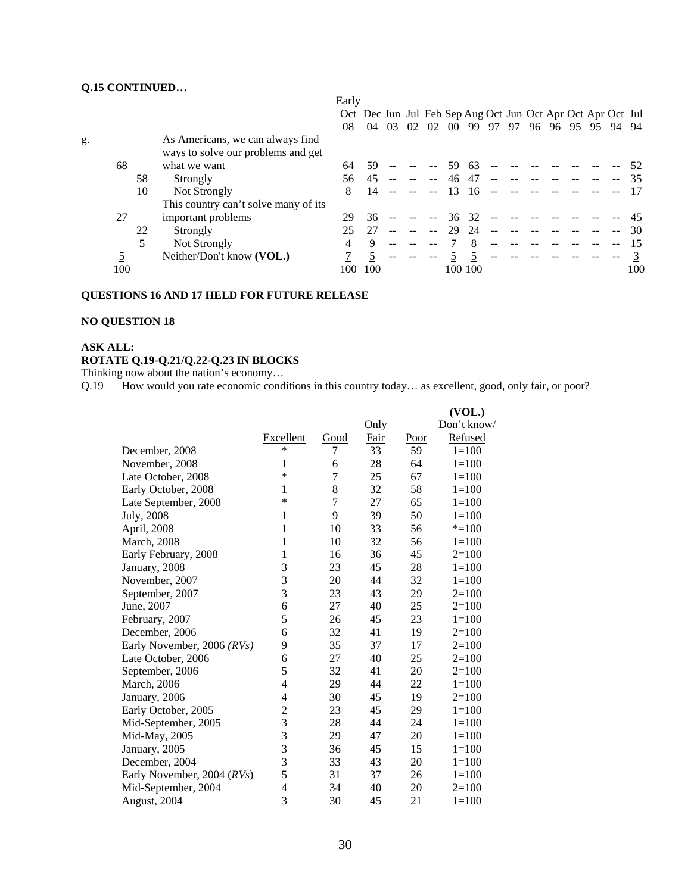# **Q.15 CONTINUED…**

|    |     |    |                                                                        | Early |                                                             |    |    |    |        |         |    |    |    |    |       |    |     |
|----|-----|----|------------------------------------------------------------------------|-------|-------------------------------------------------------------|----|----|----|--------|---------|----|----|----|----|-------|----|-----|
|    |     |    |                                                                        |       | Oct Dec Jun Jul Feb Sep Aug Oct Jun Oct Apr Oct Apr Oct Jul |    |    |    |        |         |    |    |    |    |       |    |     |
|    |     |    |                                                                        | 08    | 04                                                          | 03 | 02 | 02 | $00\,$ | 99      | 97 | 97 | 96 | 96 | 95 95 | 94 | 94  |
| g. |     |    | As Americans, we can always find<br>ways to solve our problems and get |       |                                                             |    |    |    |        |         |    |    |    |    |       |    |     |
|    | 68  |    | what we want                                                           | 64    | 59                                                          |    |    |    | 59     | 63      |    |    |    |    |       |    |     |
|    |     | 58 | Strongly                                                               | 56.   | 45                                                          |    |    |    | 46     | 47      |    |    |    |    |       |    |     |
|    |     | 10 | Not Strongly                                                           | 8     | 14                                                          |    |    |    | 13     | 16      |    |    |    |    |       |    |     |
|    |     |    | This country can't solve many of its                                   |       |                                                             |    |    |    |        |         |    |    |    |    |       |    |     |
|    | 27  |    | important problems                                                     | 29    | 36                                                          |    |    |    | 36     | -32     |    |    |    |    |       |    |     |
|    |     | 22 | Strongly                                                               |       |                                                             |    |    |    | 29     | 24      |    |    |    |    |       |    | 30  |
|    |     | 5  | Not Strongly                                                           | 4     | 9                                                           |    |    |    |        |         |    |    |    |    |       |    |     |
|    |     |    | Neither/Don't know (VOL.)                                              |       |                                                             |    |    |    |        |         |    |    |    |    |       |    |     |
|    | 100 |    |                                                                        | 100   | 100                                                         |    |    |    |        | 100 100 |    |    |    |    |       |    | 100 |

#### **QUESTIONS 16 AND 17 HELD FOR FUTURE RELEASE**

# **NO QUESTION 18**

### **ASK ALL: ROTATE Q.19-Q.21/Q.22-Q.23 IN BLOCKS**

Thinking now about the nation's economy…

Q.19 How would you rate economic conditions in this country today… as excellent, good, only fair, or poor?

|                            |                  |                |      |      | (VOL.)      |
|----------------------------|------------------|----------------|------|------|-------------|
|                            |                  |                | Only |      | Don't know/ |
|                            | <b>Excellent</b> | Good           | Fair | Poor | Refused     |
| December, 2008             | $\ast$           | 7              | 33   | 59   | $1=100$     |
| November, 2008             | 1                | 6              | 28   | 64   | $1 = 100$   |
| Late October, 2008         | ∗                | $\overline{7}$ | 25   | 67   | $1=100$     |
| Early October, 2008        | 1                | $8\,$          | 32   | 58   | $1 = 100$   |
| Late September, 2008       | $\ast$           | $\tau$         | 27   | 65   | $1 = 100$   |
| July, 2008                 | 1                | 9              | 39   | 50   | $1 = 100$   |
| April, 2008                | 1                | 10             | 33   | 56   | $* = 100$   |
| March, 2008                | 1                | 10             | 32   | 56   | $1 = 100$   |
| Early February, 2008       | 1                | 16             | 36   | 45   | $2=100$     |
| January, 2008              | 3                | 23             | 45   | 28   | $1 = 100$   |
| November, 2007             | 3                | 20             | 44   | 32   | $1 = 100$   |
| September, 2007            | 3                | 23             | 43   | 29   | $2=100$     |
| June, 2007                 | 6                | 27             | 40   | 25   | $2=100$     |
| February, 2007             | 5                | 26             | 45   | 23   | $1 = 100$   |
| December, 2006             | 6                | 32             | 41   | 19   | $2=100$     |
| Early November, 2006 (RVs) | 9                | 35             | 37   | 17   | $2=100$     |
| Late October, 2006         | 6                | 27             | 40   | 25   | $2=100$     |
| September, 2006            | 5                | 32             | 41   | 20   | $2=100$     |
| March, 2006                | 4                | 29             | 44   | 22   | $1 = 100$   |
| January, 2006              | $\overline{4}$   | 30             | 45   | 19   | $2=100$     |
| Early October, 2005        | $\overline{c}$   | 23             | 45   | 29   | $1=100$     |
| Mid-September, 2005        | 3                | 28             | 44   | 24   | $1=100$     |
| Mid-May, 2005              | 3                | 29             | 47   | 20   | $1 = 100$   |
| January, 2005              | 3                | 36             | 45   | 15   | $1 = 100$   |
| December, 2004             | 3                | 33             | 43   | 20   | $1 = 100$   |
| Early November, 2004 (RVs) | 5                | 31             | 37   | 26   | $1 = 100$   |
| Mid-September, 2004        | 4                | 34             | 40   | 20   | $2=100$     |
| August, 2004               | 3                | 30             | 45   | 21   | $1=100$     |
|                            |                  |                |      |      |             |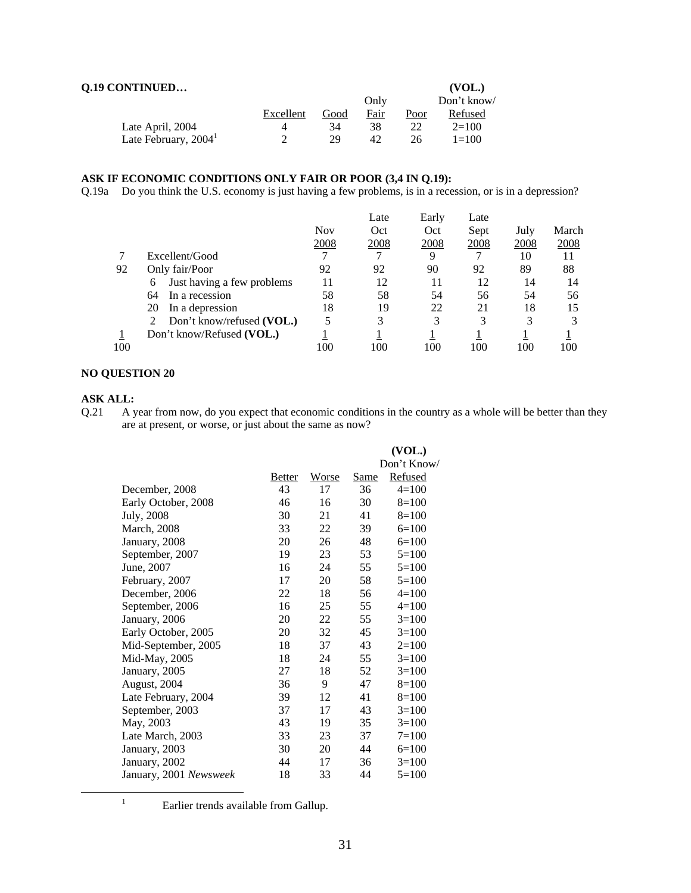| <b>Q.19 CONTINUED</b>            |           |      |      |      | (VOL.)     |
|----------------------------------|-----------|------|------|------|------------|
|                                  |           |      | Only |      | Don't know |
|                                  | Excellent | Good | Fair | Poor | Refused    |
| Late April, 2004                 |           | 34   | 38   | 22   | $2=100$    |
| Late February, 2004 <sup>1</sup> |           | 29   | 42   | 26   | $1 = 100$  |

#### **ASK IF ECONOMIC CONDITIONS ONLY FAIR OR POOR (3,4 IN Q.19):**

Q.19a Do you think the U.S. economy is just having a few problems, is in a recession, or is in a depression?

|     |                                 |      | Late | Early | Late |      |       |
|-----|---------------------------------|------|------|-------|------|------|-------|
|     |                                 | Nov  | Oct  | Oct   | Sept | July | March |
|     |                                 | 2008 | 2008 | 2008  | 2008 | 2008 | 2008  |
|     | Excellent/Good                  |      | ⇁    | 9     |      | 10   | 11    |
| 92  | Only fair/Poor                  | 92   | 92   | 90    | 92   | 89   | 88    |
|     | Just having a few problems<br>6 | 11   | 12   | 11    | 12   | 14   | 14    |
|     | 64<br>In a recession            | 58   | 58   | 54    | 56   | 54   | 56    |
|     | In a depression<br>20           | 18   | 19   | 22    | 21   | 18   | 15    |
|     | Don't know/refused (VOL.)       | 5    | 3    | 3     | 3    | 3    |       |
|     | Don't know/Refused (VOL.)       |      |      |       |      |      |       |
| 100 |                                 | 100  | 100  | 100   | 100  | 100  | 100   |
|     |                                 |      |      |       |      |      |       |

#### **NO QUESTION 20**

**ASK ALL:**<br>Q.21 A y A year from now, do you expect that economic conditions in the country as a whole will be better than they are at present, or worse, or just about the same as now?

|                        |               |              |             | (VOL.)         |
|------------------------|---------------|--------------|-------------|----------------|
|                        |               |              |             | Don't Know/    |
|                        | <b>Better</b> | <b>Worse</b> | <u>Same</u> | <b>Refused</b> |
| December, 2008         | 43            | 17           | 36          | $4=100$        |
| Early October, 2008    | 46            | 16           | 30          | $8=100$        |
| July, 2008             | 30            | 21           | 41          | $8=100$        |
| <b>March</b> , 2008    | 33            | 22           | 39          | $6=100$        |
| January, 2008          | 20            | 26           | 48          | $6=100$        |
| September, 2007        | 19            | 23           | 53          | $5=100$        |
| June, 2007             | 16            | 24           | 55          | $5=100$        |
| February, 2007         | 17            | 20           | 58          | $5=100$        |
| December, 2006         | 22            | 18           | 56          | $4=100$        |
| September, 2006        | 16            | 25           | 55          | $4 = 100$      |
| January, 2006          | 20            | 22           | 55          | $3=100$        |
| Early October, 2005    | 20            | 32           | 45          | $3=100$        |
| Mid-September, 2005    | 18            | 37           | 43          | $2=100$        |
| Mid-May, 2005          | 18            | 24           | 55          | $3=100$        |
| January, 2005          | 27            | 18           | 52          | $3=100$        |
| August, 2004           | 36            | 9            | 47          | $8=100$        |
| Late February, 2004    | 39            | 12           | 41          | $8=100$        |
| September, 2003        | 37            | 17           | 43          | $3=100$        |
| May, 2003              | 43            | 19           | 35          | $3=100$        |
| Late March, 2003       | 33            | 23           | 37          | $7 = 100$      |
| January, 2003          | 30            | 20           | 44          | $6=100$        |
| January, 2002          | 44            | 17           | 36          | $3=100$        |
| January, 2001 Newsweek | 18            | 33           | 44          | $5=100$        |

<sup>&</sup>lt;u>1</u>

<sup>&</sup>lt;sup>1</sup> Earlier trends available from Gallup.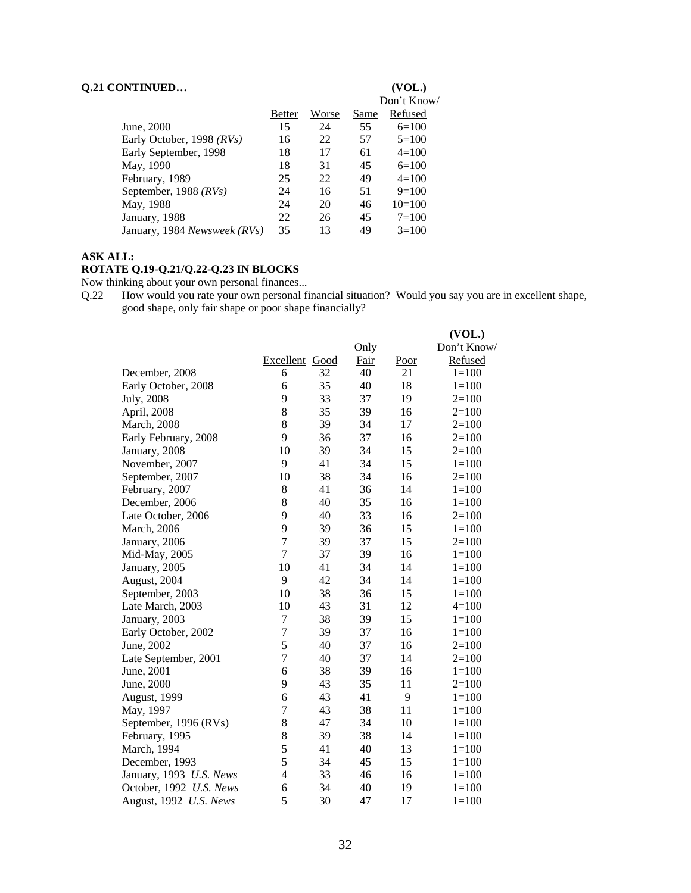| <b>Q.21 CONTINUED</b>        |               |       |      | (VOL.)<br>Don't Know/ |
|------------------------------|---------------|-------|------|-----------------------|
|                              | <b>Better</b> | Worse | Same | Refused               |
| June, 2000                   | 15            | 24    | 55   | $6=100$               |
| Early October, 1998 (RVs)    | 16            | 22    | 57   | $5=100$               |
| Early September, 1998        | 18            | 17    | 61   | $4=100$               |
| May, 1990                    | 18            | 31    | 45   | $6=100$               |
| February, 1989               | 25            | 22    | 49   | $4=100$               |
| September, 1988 (RVs)        | 24            | 16    | 51   | $9=100$               |
| May, 1988                    | 24            | 20    | 46   | $10=100$              |
| January, 1988                | 22            | 26    | 45   | $7=100$               |
| January, 1984 Newsweek (RVs) | 35            | 13    | 49   | $3=100$               |

#### **ASK ALL:**

# **ROTATE Q.19-Q.21/Q.22-Q.23 IN BLOCKS**

Now thinking about your own personal finances...

Q.22 How would you rate your own personal financial situation? Would you say you are in excellent shape, good shape, only fair shape or poor shape financially?

|                         |                |    |      |      | (VOL.)      |
|-------------------------|----------------|----|------|------|-------------|
|                         |                |    | Only |      | Don't Know/ |
|                         | Excellent Good |    | Fair | Poor | Refused     |
| December, 2008          | 6              | 32 | 40   | 21   | $1 = 100$   |
| Early October, 2008     | 6              | 35 | 40   | 18   | $1 = 100$   |
| July, 2008              | 9              | 33 | 37   | 19   | $2=100$     |
| April, 2008             | $\,8\,$        | 35 | 39   | 16   | $2=100$     |
| March, 2008             | 8              | 39 | 34   | 17   | $2=100$     |
| Early February, 2008    | 9              | 36 | 37   | 16   | $2=100$     |
| January, 2008           | 10             | 39 | 34   | 15   | $2=100$     |
| November, 2007          | 9              | 41 | 34   | 15   | $1 = 100$   |
| September, 2007         | 10             | 38 | 34   | 16   | $2=100$     |
| February, 2007          | 8              | 41 | 36   | 14   | $1=100$     |
| December, 2006          | 8              | 40 | 35   | 16   | $1=100$     |
| Late October, 2006      | 9              | 40 | 33   | 16   | $2=100$     |
| March, 2006             | 9              | 39 | 36   | 15   | $1 = 100$   |
| January, 2006           | $\overline{7}$ | 39 | 37   | 15   | $2=100$     |
| Mid-May, 2005           | $\overline{7}$ | 37 | 39   | 16   | $1 = 100$   |
| January, 2005           | 10             | 41 | 34   | 14   | $1 = 100$   |
| August, 2004            | 9              | 42 | 34   | 14   | $1=100$     |
| September, 2003         | 10             | 38 | 36   | 15   | $1 = 100$   |
| Late March, 2003        | 10             | 43 | 31   | 12   | $4=100$     |
| January, 2003           | 7              | 38 | 39   | 15   | $1 = 100$   |
| Early October, 2002     | 7              | 39 | 37   | 16   | $1=100$     |
| June, 2002              | 5              | 40 | 37   | 16   | $2=100$     |
| Late September, 2001    | $\overline{7}$ | 40 | 37   | 14   | $2=100$     |
| June, 2001              | 6              | 38 | 39   | 16   | $1 = 100$   |
| June, 2000              | 9              | 43 | 35   | 11   | $2=100$     |
| August, 1999            | 6              | 43 | 41   | 9    | $1=100$     |
| May, 1997               | $\overline{7}$ | 43 | 38   | 11   | $1 = 100$   |
| September, 1996 (RVs)   | 8              | 47 | 34   | 10   | $1 = 100$   |
| February, 1995          | 8              | 39 | 38   | 14   | $1 = 100$   |
| March, 1994             | 5              | 41 | 40   | 13   | $1 = 100$   |
| December, 1993          | 5              | 34 | 45   | 15   | $1 = 100$   |
| January, 1993 U.S. News | $\overline{4}$ | 33 | 46   | 16   | $1=100$     |
| October, 1992 U.S. News | 6              | 34 | 40   | 19   | $1 = 100$   |
| August, 1992 U.S. News  | 5              | 30 | 47   | 17   | $1=100$     |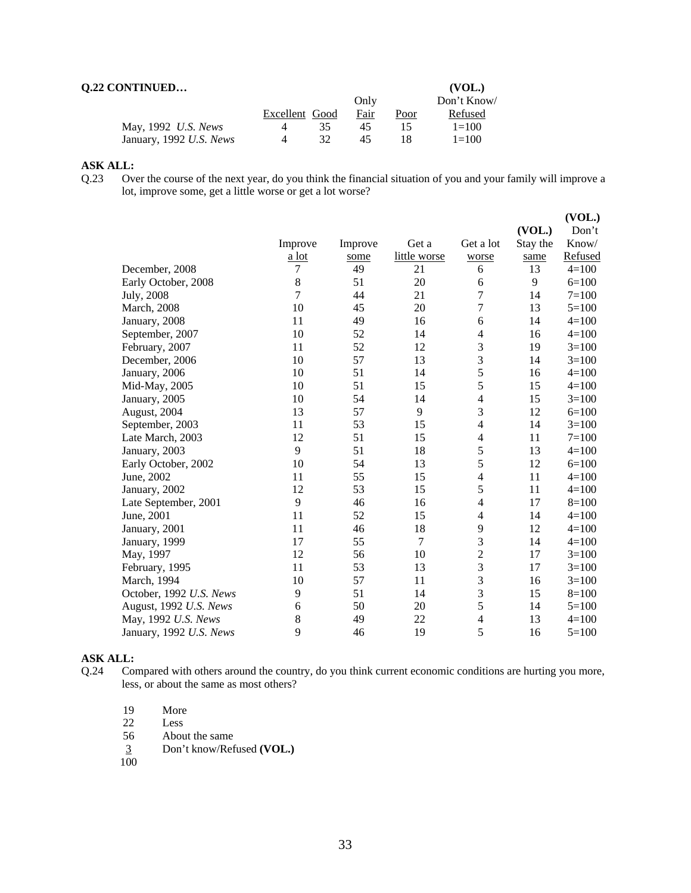| <b>Q.22 CONTINUED</b>   |                |    |      |      | (VOL.)     |
|-------------------------|----------------|----|------|------|------------|
|                         |                |    | Only |      | Don't Know |
|                         | Excellent Good |    | Fair | Poor | Refused    |
| May, 1992 U.S. News     | 4              | 35 | 45   | 15   | $1 = 100$  |
| January, 1992 U.S. News | $\Delta$       | 32 | 45   |      | $1 = 100$  |

#### **ASK ALL:**

Q.23 Over the course of the next year, do you think the financial situation of you and your family will improve a lot, improve some, get a little worse or get a lot worse?

|                         |                |         |              |                          |          | (VOL.)    |
|-------------------------|----------------|---------|--------------|--------------------------|----------|-----------|
|                         |                |         |              |                          | (VOL.)   | Don't     |
|                         | Improve        | Improve | Get a        | Get a lot                | Stay the | Know/     |
|                         | a lot          | some    | little worse | worse                    | same     | Refused   |
| December, 2008          | 7              | 49      | 21           | 6                        | 13       | $4 = 100$ |
| Early October, 2008     | $8\,$          | 51      | 20           | 6                        | 9        | $6=100$   |
| July, 2008              | $\overline{7}$ | 44      | 21           | 7                        | 14       | $7=100$   |
| <b>March</b> , 2008     | 10             | 45      | 20           | $\overline{7}$           | 13       | $5 = 100$ |
| January, 2008           | 11             | 49      | 16           | 6                        | 14       | $4 = 100$ |
| September, 2007         | 10             | 52      | 14           | $\overline{4}$           | 16       | $4 = 100$ |
| February, 2007          | 11             | 52      | 12           | 3                        | 19       | $3=100$   |
| December, 2006          | 10             | 57      | 13           | 3                        | 14       | $3=100$   |
| January, 2006           | 10             | 51      | 14           | 5                        | 16       | $4 = 100$ |
| Mid-May, 2005           | 10             | 51      | 15           | 5                        | 15       | $4 = 100$ |
| January, 2005           | 10             | 54      | 14           | $\overline{4}$           | 15       | $3=100$   |
| August, 2004            | 13             | 57      | 9            | 3                        | 12       | $6=100$   |
| September, 2003         | 11             | 53      | 15           | 4                        | 14       | $3=100$   |
| Late March, 2003        | 12             | 51      | 15           | $\overline{4}$           | 11       | $7=100$   |
| January, 2003           | 9              | 51      | 18           | 5                        | 13       | $4 = 100$ |
| Early October, 2002     | 10             | 54      | 13           | 5                        | 12       | $6=100$   |
| June, 2002              | 11             | 55      | 15           | $\overline{4}$           | 11       | $4 = 100$ |
| January, 2002           | 12             | 53      | 15           | 5                        | 11       | $4 = 100$ |
| Late September, 2001    | 9              | 46      | 16           | $\overline{4}$           | 17       | $8 = 100$ |
| June, 2001              | 11             | 52      | 15           | $\overline{4}$           | 14       | $4 = 100$ |
| January, 2001           | 11             | 46      | 18           | 9                        | 12       | $4 = 100$ |
| January, 1999           | 17             | 55      | 7            | 3                        | 14       | $4 = 100$ |
| May, 1997               | 12             | 56      | 10           | $\overline{c}$           | 17       | $3=100$   |
| February, 1995          | 11             | 53      | 13           | 3                        | 17       | $3=100$   |
| March, 1994             | 10             | 57      | 11           | 3                        | 16       | $3=100$   |
| October, 1992 U.S. News | 9              | 51      | 14           | 3                        | 15       | $8=100$   |
| August, 1992 U.S. News  | 6              | 50      | 20           | 5                        | 14       | $5=100$   |
| May, 1992 U.S. News     | 8              | 49      | 22           | $\overline{\mathcal{L}}$ | 13       | $4 = 100$ |
| January, 1992 U.S. News | 9              | 46      | 19           | 5                        | 16       | $5=100$   |
|                         |                |         |              |                          |          |           |

# **ASK ALL:**<br>Q.24 Col

- Compared with others around the country, do you think current economic conditions are hurting you more, less, or about the same as most others?
	- 19 More
	- 22 Less
	- 56 About the same
	- 3 Don't know/Refused **(VOL.)**   $\frac{3}{100}$
	-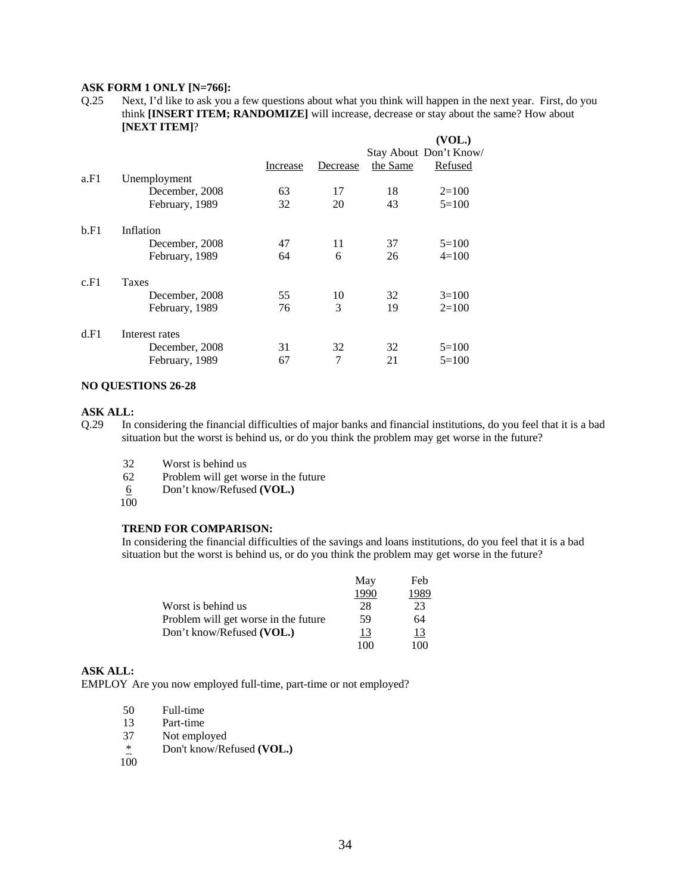#### **ASK FORM 1 ONLY [N=766]:**

Q.25 Next, I'd like to ask you a few questions about what you think will happen in the next year. First, do you think **[INSERT ITEM; RANDOMIZE]** will increase, decrease or stay about the same? How about **[NEXT ITEM]**?

|      |                |          |          |          | (VOL.)                 |
|------|----------------|----------|----------|----------|------------------------|
|      |                |          |          |          | Stay About Don't Know/ |
|      |                | Increase | Decrease | the Same | Refused                |
| a.F1 | Unemployment   |          |          |          |                        |
|      | December, 2008 | 63       | 17       | 18       | $2=100$                |
|      | February, 1989 | 32       | 20       | 43       | $5=100$                |
| b.F1 | Inflation      |          |          |          |                        |
|      | December, 2008 | 47       | 11       | 37       | $5=100$                |
|      | February, 1989 | 64       | 6        | 26       | $4=100$                |
| c.F1 | <b>Taxes</b>   |          |          |          |                        |
|      | December, 2008 | 55       | 10       | 32       | $3=100$                |
|      | February, 1989 | 76       | 3        | 19       | $2=100$                |
| d.F1 | Interest rates |          |          |          |                        |
|      | December, 2008 | 31       | 32       | 32       | $5=100$                |
|      | February, 1989 | 67       | 7        | 21       | $5=100$                |

#### **NO QUESTIONS 26-28**

#### **ASK ALL:**

Q.29 In considering the financial difficulties of major banks and financial institutions, do you feel that it is a bad situation but the worst is behind us, or do you think the problem may get worse in the future?

- 32 Worst is behind us
- 62 Problem will get worse in the future
- 6 Don't know/Refused **(VOL.)**
- $100$

#### **TREND FOR COMPARISON:**

In considering the financial difficulties of the savings and loans institutions, do you feel that it is a bad situation but the worst is behind us, or do you think the problem may get worse in the future?

|                                      | May  | Feb        |
|--------------------------------------|------|------------|
|                                      | 1990 | 1989       |
| Worst is behind us                   | 28   | 23         |
| Problem will get worse in the future | 59   | 64         |
| Don't know/Refused (VOL.)            | 13   | <u> 13</u> |
|                                      | 100  | 100        |

#### **ASK ALL:**

EMPLOY Are you now employed full-time, part-time or not employed?

| 50 | Full-time |
|----|-----------|
| 13 | Part-time |

- 
- 37 Not employed<br> $*$  Don't know/Re Don't know/Refused (VOL.)
- 100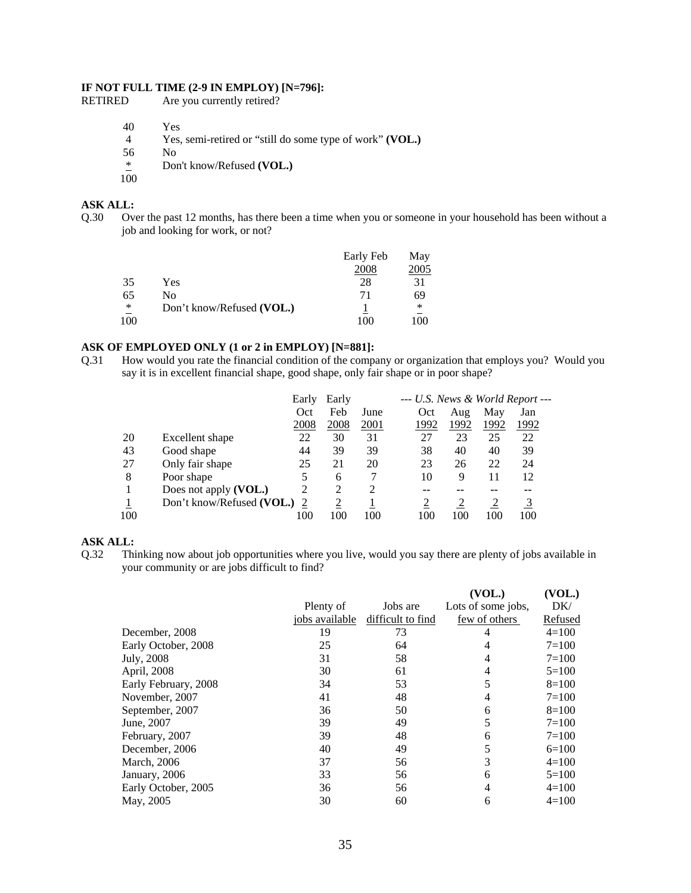# **IF NOT FULL TIME (2-9 IN EMPLOY) [N=796]:**<br>RETIRED Are you currently retired?

| RETIRED | Are you currently retired? |
|---------|----------------------------|
|---------|----------------------------|

- 40 Yes
- 4 Yes, semi-retired or "still do some type of work" **(VOL.)**
- $\frac{56}{4}$  No<br>Dot
- Don't know/Refused (VOL.)
- $100$

# **ASK ALL:**

Q.30 Over the past 12 months, has there been a time when you or someone in your household has been without a job and looking for work, or not?

|     |                           | Early Feb | May    |
|-----|---------------------------|-----------|--------|
|     |                           | 2008      | 2005   |
| 35  | Yes                       | 28        | 31     |
| 65  | No                        | 71        | 69     |
| ∗   | Don't know/Refused (VOL.) |           | $\ast$ |
| 100 |                           | 100       | 00     |

### **ASK OF EMPLOYED ONLY (1 or 2 in EMPLOY) [N=881]:**

Q.31 How would you rate the financial condition of the company or organization that employs you? Would you say it is in excellent financial shape, good shape, only fair shape or in poor shape?

|     |                           | Early | Early          |             | --- U.S. News & World Report --- |      |      |      |
|-----|---------------------------|-------|----------------|-------------|----------------------------------|------|------|------|
|     |                           | Oct   | Feb            | June        | Oct                              | Aug  | May  | Jan  |
|     |                           | 2008  | 2008           | <u>2001</u> | 1992                             | 1992 | 1992 | 1992 |
| 20  | Excellent shape           | 22    | 30             | 31          | 27                               | 23   | 25   | 22   |
| 43  | Good shape                | 44    | 39             | 39          | 38                               | 40   | 40   | 39   |
| 27  | Only fair shape           | 25    | 21             | 20          | 23                               | 26   | 22   | 24   |
| 8   | Poor shape                |       | 6              |             | 10                               | 9    | 11   | 12   |
|     | Does not apply (VOL.)     | 2     | 2              | 2           | --                               |      | --   | --   |
|     | Don't know/Refused (VOL.) |       | $\overline{2}$ |             |                                  |      |      |      |
| 100 |                           | 100   | 100            | 100         | 100                              | 100  | 100  | 100  |

#### **ASK ALL:**

Q.32 Thinking now about job opportunities where you live, would you say there are plenty of jobs available in your community or are jobs difficult to find?

|                      |                |                   | (VOL.)             | (VOL.)    |
|----------------------|----------------|-------------------|--------------------|-----------|
|                      | Plenty of      | Jobs are          | Lots of some jobs, | DK/       |
|                      | jobs available | difficult to find | few of others      | Refused   |
| December, 2008       | 19             | 73                | 4                  | $4=100$   |
| Early October, 2008  | 25             | 64                | 4                  | $7 = 100$ |
| July, 2008           | 31             | 58                | 4                  | $7 = 100$ |
| April, 2008          | 30             | 61                | 4                  | $5=100$   |
| Early February, 2008 | 34             | 53                | 5                  | $8=100$   |
| November, 2007       | 41             | 48                | 4                  | $7 = 100$ |
| September, 2007      | 36             | 50                | 6                  | $8=100$   |
| June, 2007           | 39             | 49                | 5                  | $7=100$   |
| February, 2007       | 39             | 48                | 6                  | $7=100$   |
| December, 2006       | 40             | 49                | 5                  | $6=100$   |
| March, 2006          | 37             | 56                | 3                  | $4=100$   |
| January, 2006        | 33             | 56                | 6                  | $5=100$   |
| Early October, 2005  | 36             | 56                | 4                  | $4=100$   |
| May, 2005            | 30             | 60                | 6                  | $4=100$   |
|                      |                |                   |                    |           |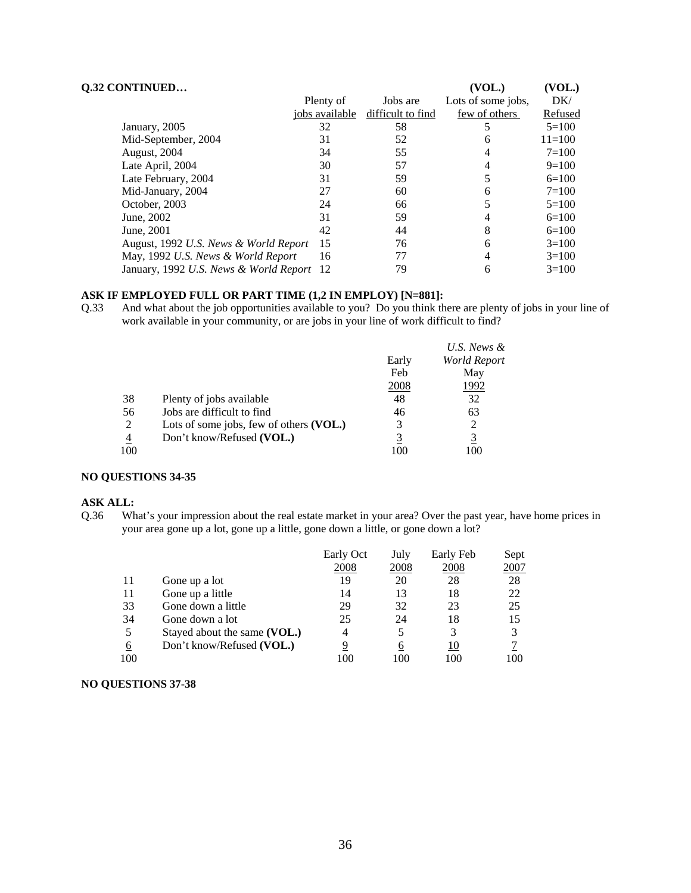| <b>Q.32 CONTINUED</b>                     |                |                   | (VOL.)             | (VOL.)     |
|-------------------------------------------|----------------|-------------------|--------------------|------------|
|                                           | Plenty of      | Jobs are          | Lots of some jobs, | DK/        |
|                                           | jobs available | difficult to find | few of others      | Refused    |
| January, 2005                             | 32             | 58                |                    | $5=100$    |
| Mid-September, 2004                       | 31             | 52                | 6                  | $11 = 100$ |
| August, 2004                              | 34             | 55                | 4                  | $7 = 100$  |
| Late April, 2004                          | 30             | 57                | 4                  | $9=100$    |
| Late February, 2004                       | 31             | 59                | 5                  | $6=100$    |
| Mid-January, 2004                         | 27             | 60                | 6                  | $7 = 100$  |
| October, 2003                             | 24             | 66                |                    | $5 = 100$  |
| June, 2002                                | 31             | 59                | 4                  | $6=100$    |
| June, 2001                                | 42             | 44                | 8                  | $6=100$    |
| August, 1992 U.S. News & World Report     | 15             | 76                | 6                  | $3=100$    |
| May, 1992 U.S. News & World Report        | 16             | 77                | 4                  | $3=100$    |
| January, 1992 U.S. News & World Report 12 |                | 79                | 6                  | $3=100$    |

#### **ASK IF EMPLOYED FULL OR PART TIME (1,2 IN EMPLOY) [N=881]:**

Q.33 And what about the job opportunities available to you? Do you think there are plenty of jobs in your line of work available in your community, or are jobs in your line of work difficult to find?

|     |                                         |             | U.S. News &  |
|-----|-----------------------------------------|-------------|--------------|
|     |                                         | Early       | World Report |
|     |                                         | Feb         | May          |
|     |                                         | <u>2008</u> | 1992         |
| 38  | Plenty of jobs available                | 48          | 32           |
| 56  | Jobs are difficult to find              | 46          | 63           |
| 2   | Lots of some jobs, few of others (VOL.) | 3           |              |
| 4   | Don't know/Refused (VOL.)               |             |              |
| 100 |                                         | 100         | 00           |

#### **NO QUESTIONS 34-35**

#### **ASK ALL:**

Q.36 What's your impression about the real estate market in your area? Over the past year, have home prices in your area gone up a lot, gone up a little, gone down a little, or gone down a lot?

|     |                              | Early Oct | July | Early Feb | Sept |
|-----|------------------------------|-----------|------|-----------|------|
|     |                              | 2008      | 2008 | 2008      | 2007 |
|     | Gone up a lot                | 19        | 20   | 28        | 28   |
| 11  | Gone up a little             | 14        | 13   | 18        | 22   |
| 33  | Gone down a little           | 29        | 32   | 23        | 25   |
| 34  | Gone down a lot              | 25        | 24   | 18        | 15   |
| 5   | Stayed about the same (VOL.) | 4         |      |           |      |
| 6   | Don't know/Refused (VOL.)    | 9         | 6    | 10        |      |
| 100 |                              | 100       | 100  | 100       | 100  |

#### **NO QUESTIONS 37-38**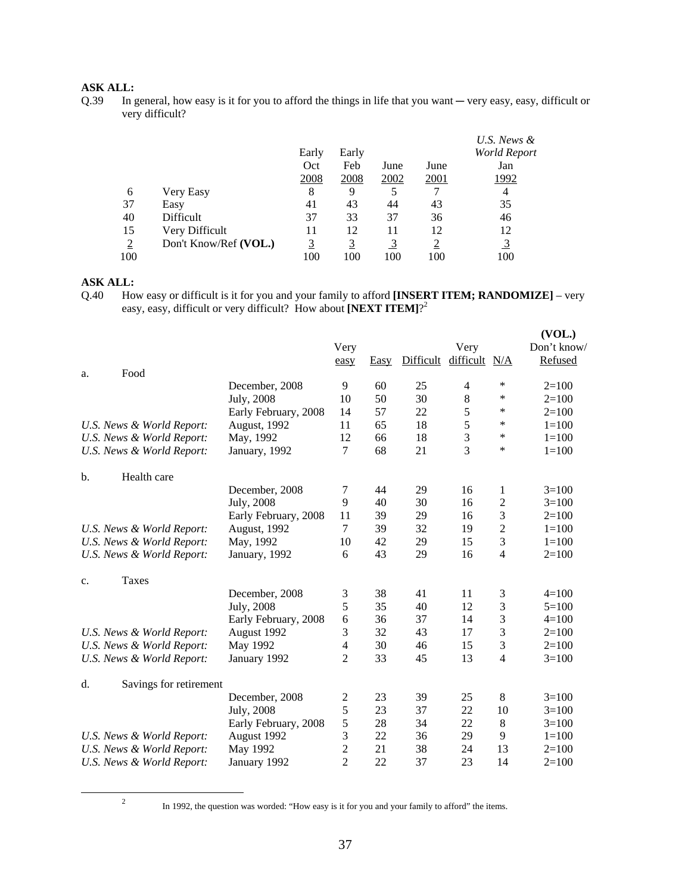### **ASK ALL:**

Q.39 In general, how easy is it for you to afford the things in life that you want — very easy, easy, difficult or very difficult?

|     |                       |          |          |      |             | U.S. News &         |
|-----|-----------------------|----------|----------|------|-------------|---------------------|
|     |                       | Early    | Early    |      |             | <b>World Report</b> |
|     |                       | Oct      | Feb      | June | June        | Jan                 |
|     |                       | 2008     | 2008     | 2002 | <u>2001</u> | 1992                |
| 6   | Very Easy             | 8        | 9        |      | 7           | 4                   |
| 37  | Easy                  | 41       | 43       | 44   | 43          | 35                  |
| 40  | Difficult             | 37       | 33       | 37   | 36          | 46                  |
| 15  | Very Difficult        | 11       | 12       | 11   | 12          | 12                  |
|     | Don't Know/Ref (VOL.) | <u>3</u> | <u>3</u> |      |             | $\overline{3}$      |
| 100 |                       | 100      | 100      | 100  | 100         | 100                 |

### **ASK ALL:**

Q.40 How easy or difficult is it for you and your family to afford **[INSERT ITEM; RANDOMIZE]** – very easy, easy, difficult or very difficult? How about **[NEXT ITEM]**?<sup>2</sup>

|                              |                      |                         |      |           |                |                | (VOL.)      |
|------------------------------|----------------------|-------------------------|------|-----------|----------------|----------------|-------------|
|                              |                      | Very                    |      |           | Very           |                | Don't know/ |
|                              |                      | easy                    | Easy | Difficult | difficult N/A  |                | Refused     |
| Food<br>a.                   |                      |                         |      |           |                |                |             |
|                              | December, 2008       | 9                       | 60   | 25        | 4              | ∗              | $2=100$     |
|                              | July, 2008           | 10                      | 50   | 30        | $\,8\,$        | ∗              | $2=100$     |
|                              | Early February, 2008 | 14                      | 57   | 22        | 5              | *              | $2=100$     |
| U.S. News & World Report:    | August, 1992         | 11                      | 65   | 18        | 5              | *              | $1=100$     |
| U.S. News & World Report:    | May, 1992            | 12                      | 66   | 18        | $\mathfrak{Z}$ | *              | $1 = 100$   |
| U.S. News & World Report:    | January, 1992        | $\overline{7}$          | 68   | 21        | 3              | *              | $1 = 100$   |
| Health care<br>$\mathbf b$ . |                      |                         |      |           |                |                |             |
|                              | December, 2008       | 7                       | 44   | 29        | 16             | 1              | $3=100$     |
|                              | July, 2008           | 9                       | 40   | 30        | 16             | 2              | $3=100$     |
|                              | Early February, 2008 | 11                      | 39   | 29        | 16             | 3              | $2=100$     |
| U.S. News & World Report:    | August, 1992         | 7                       | 39   | 32        | 19             | $\overline{c}$ | $1 = 100$   |
| U.S. News & World Report:    | May, 1992            | 10                      | 42   | 29        | 15             | 3              | $1 = 100$   |
| U.S. News & World Report:    | January, 1992        | 6                       | 43   | 29        | 16             | $\overline{4}$ | $2=100$     |
| Taxes<br>c.                  |                      |                         |      |           |                |                |             |
|                              | December, 2008       | 3                       | 38   | 41        | 11             | 3              | $4 = 100$   |
|                              | July, 2008           | 5                       | 35   | 40        | 12             | 3              | $5=100$     |
|                              | Early February, 2008 | 6                       | 36   | 37        | 14             | 3              | $4=100$     |
| U.S. News & World Report:    | August 1992          | 3                       | 32   | 43        | 17             | 3              | $2=100$     |
| U.S. News & World Report:    | May 1992             | 4                       | 30   | 46        | 15             | 3              | $2=100$     |
| U.S. News & World Report:    | January 1992         | $\overline{c}$          | 33   | 45        | 13             | 4              | $3=100$     |
| Savings for retirement<br>d. |                      |                         |      |           |                |                |             |
|                              | December, 2008       | $\overline{\mathbf{c}}$ | 23   | 39        | 25             | 8              | $3=100$     |
|                              | July, 2008           | 5                       | 23   | 37        | 22             | 10             | $3=100$     |
|                              | Early February, 2008 | 5                       | 28   | 34        | 22             | 8              | $3=100$     |
| U.S. News & World Report:    | August 1992          | 3                       | 22   | 36        | 29             | 9              | $1 = 100$   |
| U.S. News & World Report:    | May 1992             | $\overline{c}$          | 21   | 38        | 24             | 13             | $2=100$     |
| U.S. News & World Report:    | January 1992         | $\overline{2}$          | 22   | 37        | 23             | 14             | $2=100$     |

 $\frac{1}{2}$ 

<sup>&</sup>lt;sup>2</sup> In 1992, the question was worded: "How easy is it for you and your family to afford" the items.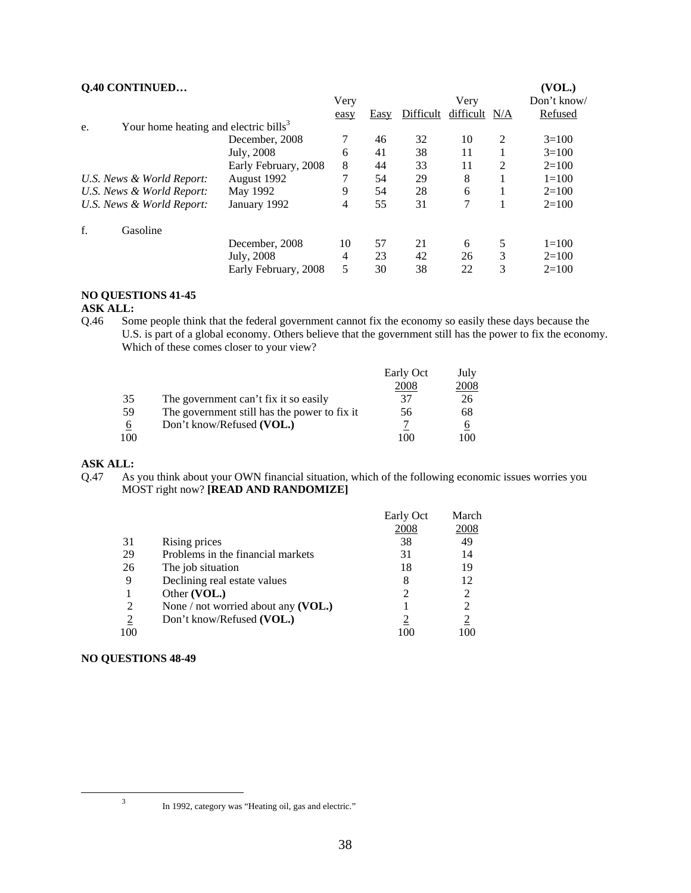| Q.40 CONTINUED                                          |                      |      |      |           |               |   | (VOL.)      |
|---------------------------------------------------------|----------------------|------|------|-----------|---------------|---|-------------|
|                                                         |                      | Very |      |           | Very          |   | Don't know/ |
|                                                         |                      | easy | Easy | Difficult | difficult N/A |   | Refused     |
| Your home heating and electric bills <sup>3</sup><br>e. |                      |      |      |           |               |   |             |
|                                                         | December, 2008       | 7    | 46   | 32        | 10            | 2 | $3=100$     |
|                                                         | July, 2008           | 6    | 41   | 38        | 11            |   | $3=100$     |
|                                                         | Early February, 2008 | 8    | 44   | 33        | 11            | 2 | $2=100$     |
| U.S. News & World Report:                               | August 1992          |      | 54   | 29        | 8             |   | $1 = 100$   |
| U.S. News & World Report:                               | May 1992             | 9    | 54   | 28        | 6             |   | $2=100$     |
| U.S. News & World Report:                               | January 1992         | 4    | 55   | 31        | 7             |   | $2=100$     |
| f.<br>Gasoline                                          |                      |      |      |           |               |   |             |
|                                                         | December, 2008       | 10   | 57   | 21        | 6             | 5 | $1 = 100$   |
|                                                         | July, 2008           | 4    | 23   | 42        | 26            | 3 | $2=100$     |
|                                                         | Early February, 2008 | 5    | 30   | 38        | 22            | 3 | $2=100$     |

#### **NO QUESTIONS 41-45**

#### **ASK ALL:**

Q.46 Some people think that the federal government cannot fix the economy so easily these days because the U.S. is part of a global economy. Others believe that the government still has the power to fix the economy. Which of these comes closer to your view?

|     |                                              | Early Oct | July |
|-----|----------------------------------------------|-----------|------|
|     |                                              | 2008      | 2008 |
| 35  | The government can't fix it so easily        | 37        | 26   |
| 59  | The government still has the power to fix it | 56        | 68   |
| 6   | Don't know/Refused (VOL.)                    |           | O    |
| 100 |                                              | 100       | 100  |
|     |                                              |           |      |

#### **ASK ALL:**

Q.47 As you think about your OWN financial situation, which of the following economic issues worries you MOST right now? **[READ AND RANDOMIZE]**

| 2008<br>2008<br>49<br>38<br>31<br>Rising prices<br>Problems in the financial markets<br>29<br>31<br>14<br>26<br>The job situation<br>19<br>18<br>Declining real estate values<br>12<br>9<br>8 |  |
|-----------------------------------------------------------------------------------------------------------------------------------------------------------------------------------------------|--|
|                                                                                                                                                                                               |  |
|                                                                                                                                                                                               |  |
|                                                                                                                                                                                               |  |
|                                                                                                                                                                                               |  |
|                                                                                                                                                                                               |  |
| Other (VOL.)<br>2                                                                                                                                                                             |  |
| 2<br>None / not worried about any $(VOL.)$<br>2                                                                                                                                               |  |
| $\overline{2}$<br>$\overline{2}$<br>Don't know/Refused (VOL.)                                                                                                                                 |  |
| 100<br>100                                                                                                                                                                                    |  |

#### **NO QUESTIONS 48-49**

 <sup>3</sup>

<sup>&</sup>lt;sup>3</sup> In 1992, category was "Heating oil, gas and electric."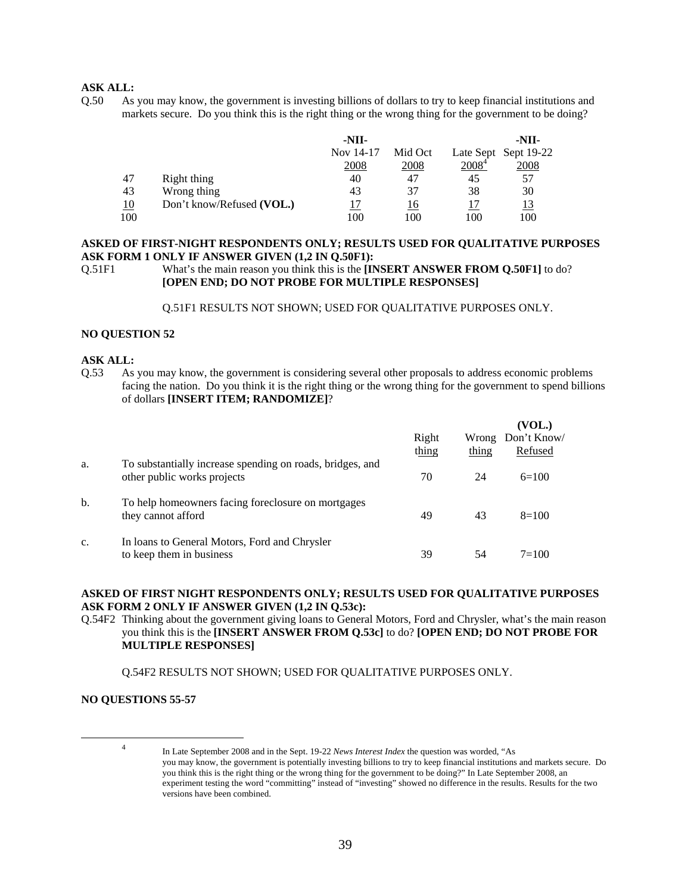#### **ASK ALL:**

Q.50 As you may know, the government is investing billions of dollars to try to keep financial institutions and markets secure. Do you think this is the right thing or the wrong thing for the government to be doing?

|     |                           | -NII-     |         |          | -NII-                |
|-----|---------------------------|-----------|---------|----------|----------------------|
|     |                           | Nov 14-17 | Mid Oct |          | Late Sept Sept 19-22 |
|     |                           | 2008      | 2008    | $2008^4$ | 2008                 |
| 47  | Right thing               | 40        | 47      | 45       | 57                   |
| 43  | Wrong thing               | 43        | 37      | 38       | 30                   |
| 10  | Don't know/Refused (VOL.) |           | 16      |          | <u>13</u>            |
| 100 |                           | 100       | 100     | 100      | 100                  |

#### **ASKED OF FIRST-NIGHT RESPONDENTS ONLY; RESULTS USED FOR QUALITATIVE PURPOSES ASK FORM 1 ONLY IF ANSWER GIVEN (1,2 IN Q.50F1):**

Q.51F1 What's the main reason you think this is the **[INSERT ANSWER FROM Q.50F1]** to do? **[OPEN END; DO NOT PROBE FOR MULTIPLE RESPONSES]**

Q.51F1 RESULTS NOT SHOWN; USED FOR QUALITATIVE PURPOSES ONLY.

#### **NO QUESTION 52**

#### **ASK ALL:**

Q.53 As you may know, the government is considering several other proposals to address economic problems facing the nation. Do you think it is the right thing or the wrong thing for the government to spend billions of dollars **[INSERT ITEM; RANDOMIZE]**?

|     |                                                                                          | Right<br>thing | thing | (VOL.)<br>Wrong Don't Know/<br>Refused |
|-----|------------------------------------------------------------------------------------------|----------------|-------|----------------------------------------|
| a.  | To substantially increase spending on roads, bridges, and<br>other public works projects | 70             | 24    | $6=100$                                |
| $b$ | To help homeowners facing foreclosure on mortgages<br>they cannot afford                 | 49             | 43    | $8=100$                                |
| c.  | In loans to General Motors, Ford and Chrysler<br>to keep them in business                | 39             |       | $7 = 100$                              |

#### **ASKED OF FIRST NIGHT RESPONDENTS ONLY; RESULTS USED FOR QUALITATIVE PURPOSES ASK FORM 2 ONLY IF ANSWER GIVEN (1,2 IN Q.53c):**

Q.54F2 Thinking about the government giving loans to General Motors, Ford and Chrysler, what's the main reason you think this is the **[INSERT ANSWER FROM Q.53c]** to do? **[OPEN END; DO NOT PROBE FOR MULTIPLE RESPONSES]** 

Q.54F2 RESULTS NOT SHOWN; USED FOR QUALITATIVE PURPOSES ONLY.

#### **NO QUESTIONS 55-57**

 $\frac{1}{4}$ 

In Late September 2008 and in the Sept. 19-22 *News Interest Index* the question was worded, "As you may know, the government is potentially investing billions to try to keep financial institutions and markets secure. Do you think this is the right thing or the wrong thing for the government to be doing?" In Late September 2008, an experiment testing the word "committing" instead of "investing" showed no difference in the results. Results for the two versions have been combined.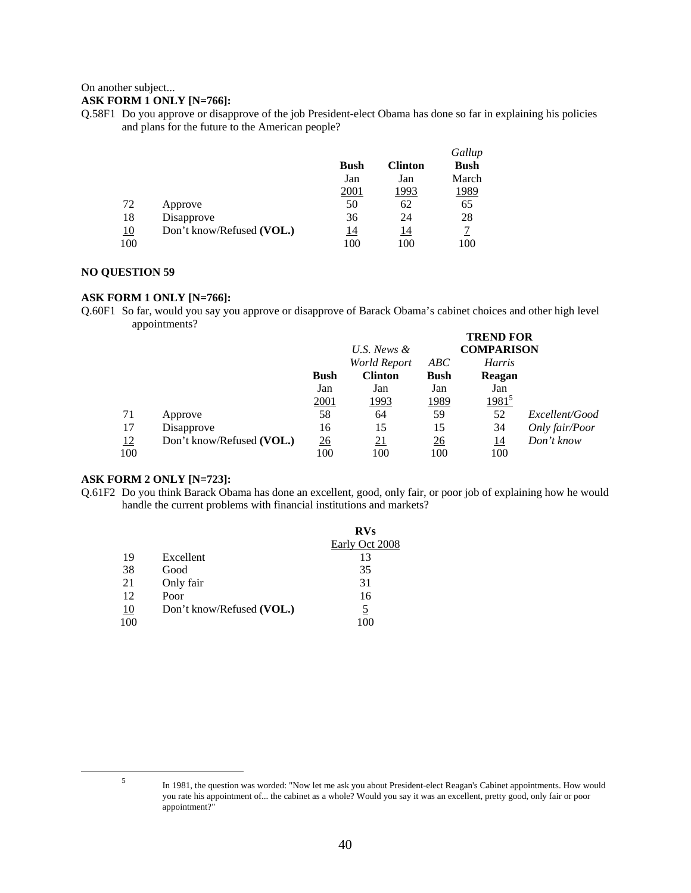#### On another subject...

#### **ASK FORM 1 ONLY [N=766]:**

Q.58F1 Do you approve or disapprove of the job President-elect Obama has done so far in explaining his policies and plans for the future to the American people?

|           |                           |             |                | Gallup       |
|-----------|---------------------------|-------------|----------------|--------------|
|           |                           | <b>Bush</b> | <b>Clinton</b> | <b>Bush</b>  |
|           |                           | Jan         | Jan            | March        |
|           |                           | 2001        | <u> 1993</u>   | <u> 1989</u> |
| 72        | Approve                   | 50          | 62             | 65           |
| 18        | Disapprove                | 36          | 24             | 28           |
| <u>10</u> | Don't know/Refused (VOL.) | 14          | 14             |              |
| 100       |                           | 100         | 100            | 100          |

#### **NO QUESTION 59**

#### **ASK FORM 1 ONLY [N=766]:**

Q.60F1 So far, would you say you approve or disapprove of Barack Obama's cabinet choices and other high level appointments?

|           |                           |             | U.S. News &    |             | <b>TREND FOR</b><br><b>COMPARISON</b> |                |
|-----------|---------------------------|-------------|----------------|-------------|---------------------------------------|----------------|
|           |                           |             | World Report   | ABC         | <b>Harris</b>                         |                |
|           |                           | <b>Bush</b> | <b>Clinton</b> | <b>Bush</b> | Reagan                                |                |
|           |                           | Jan         | Jan            | Jan         | Jan                                   |                |
|           |                           | 2001        | <u> 1993</u>   | 1989        | <u> 1981<sup>5</sup></u>              |                |
| 71        | Approve                   | 58          | 64             | 59          | 52                                    | Excellent/Good |
| 17        | Disapprove                | 16          | 15             | 15          | 34                                    | Only fair/Poor |
| <u>12</u> | Don't know/Refused (VOL.) | 26          | 21             | <u>26</u>   | <u> 14</u>                            | Don't know     |
| 100       |                           | 100         | 100            | 100         | 100                                   |                |

#### **ASK FORM 2 ONLY [N=723]:**

Q.61F2 Do you think Barack Obama has done an excellent, good, only fair, or poor job of explaining how he would handle the current problems with financial institutions and markets?

|    |                           | <b>RVs</b>     |
|----|---------------------------|----------------|
|    |                           | Early Oct 2008 |
| 19 | Excellent                 | 13             |
| 38 | Good                      | 35             |
| 21 | Only fair                 | 31             |
| 12 | Poor                      | 16             |
| 10 | Don't know/Refused (VOL.) |                |
|    |                           |                |

 $\frac{1}{5}$ 

In 1981, the question was worded: "Now let me ask you about President-elect Reagan's Cabinet appointments. How would you rate his appointment of... the cabinet as a whole? Would you say it was an excellent, pretty good, only fair or poor appointment?"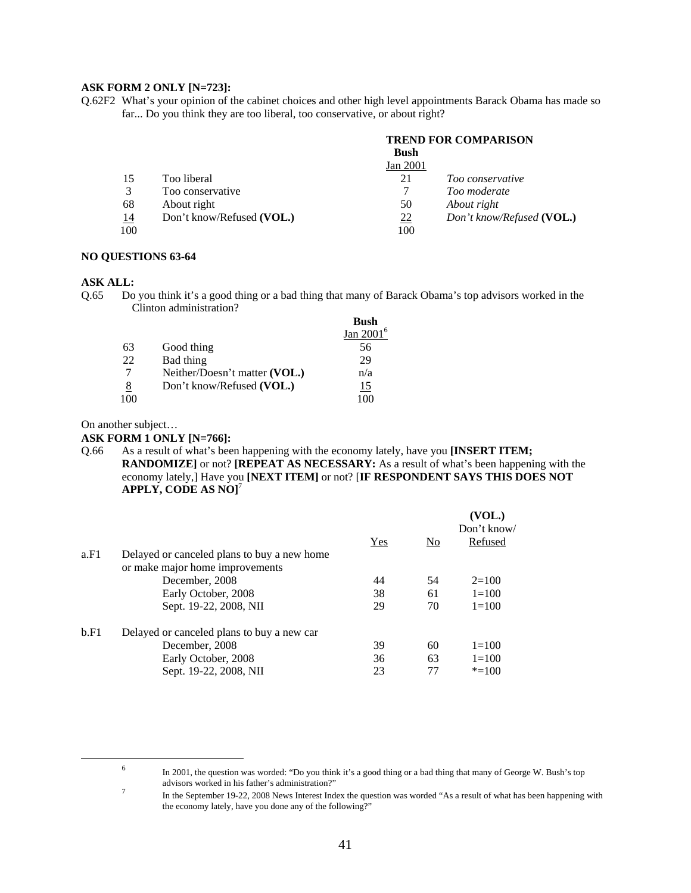#### **ASK FORM 2 ONLY [N=723]:**

Q.62F2 What's your opinion of the cabinet choices and other high level appointments Barack Obama has made so far... Do you think they are too liberal, too conservative, or about right?

|     |                           | <b>TREND FOR COMPARISON</b> |                           |  |
|-----|---------------------------|-----------------------------|---------------------------|--|
|     |                           | <b>Bush</b>                 |                           |  |
|     |                           | Jan 2001                    |                           |  |
| 15  | Too liberal               | 21                          | Too conservative          |  |
|     | Too conservative          |                             | Too moderate              |  |
| 68  | About right               | 50                          | About right               |  |
| 14  | Don't know/Refused (VOL.) | $\frac{22}{2}$              | Don't know/Refused (VOL.) |  |
| 100 |                           | 100                         |                           |  |

#### **NO QUESTIONS 63-64**

#### **ASK ALL:**

Q.65 Do you think it's a good thing or a bad thing that many of Barack Obama's top advisors worked in the Clinton administration?

|    |                               | <b>Bush</b>   |
|----|-------------------------------|---------------|
|    |                               | Jan 2001 $^6$ |
| 63 | Good thing                    | 56            |
| 22 | Bad thing                     | 29            |
|    | Neither/Doesn't matter (VOL.) | n/a           |
| 8  | Don't know/Refused (VOL.)     | 15            |
|    |                               |               |

On another subject…

#### **ASK FORM 1 ONLY [N=766]:**

Q.66 As a result of what's been happening with the economy lately, have you **[INSERT ITEM; RANDOMIZE]** or not? **[REPEAT AS NECESSARY:** As a result of what's been happening with the economy lately,] Have you **[NEXT ITEM]** or not? [**IF RESPONDENT SAYS THIS DOES NOT APPLY, CODE AS NO]**<sup>7</sup>

|      |                                                                                |     |                | (VOL.)<br>Don't know/ |
|------|--------------------------------------------------------------------------------|-----|----------------|-----------------------|
|      |                                                                                | Yes | N <sub>0</sub> | Refused               |
| a.F1 | Delayed or canceled plans to buy a new home<br>or make major home improvements |     |                |                       |
|      | December, 2008                                                                 | 44  | 54             | $2=100$               |
|      | Early October, 2008                                                            | 38  | 61             | $1 = 100$             |
|      | Sept. 19-22, 2008, NII                                                         | 29  | 70             | $1 = 100$             |
| b.F1 | Delayed or canceled plans to buy a new car                                     |     |                |                       |
|      | December, 2008                                                                 | 39  | 60             | $1=100$               |
|      | Early October, 2008                                                            | 36  | 63             | $1 = 100$             |
|      | Sept. 19-22, 2008, NII                                                         | 23  | 77             | $* = 100$             |
|      |                                                                                |     |                |                       |

 <sup>6</sup>

In 2001, the question was worded: "Do you think it's a good thing or a bad thing that many of George W. Bush's top advisors worked in his father's administration?"<br>The the September 10.22, 2009 News Interest Ind.

In the September 19-22, 2008 News Interest Index the question was worded "As a result of what has been happening with the economy lately, have you done any of the following?"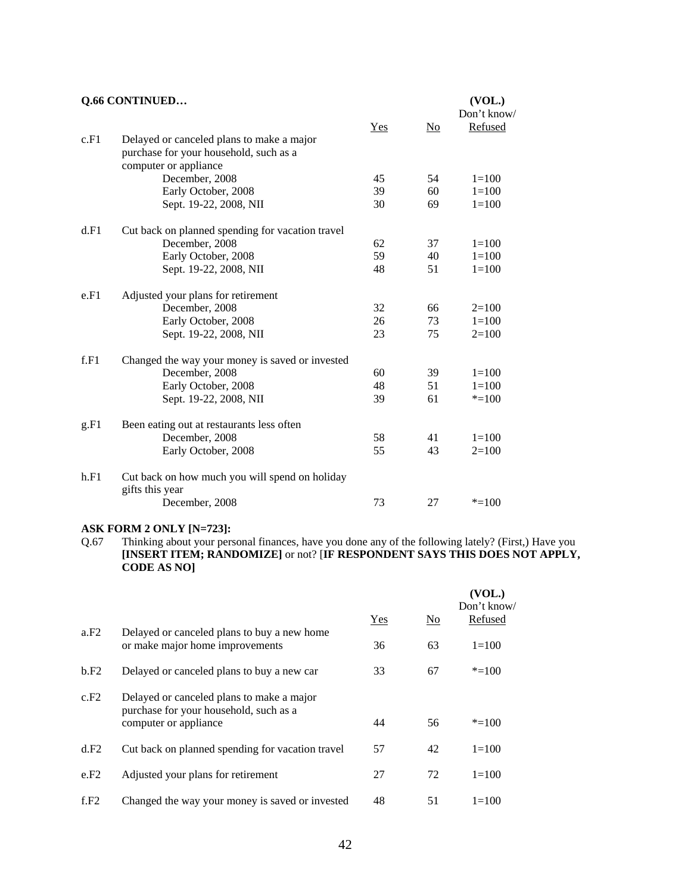|      | Q.66 CONTINUED                                                    |     |    | (VOL.)      |
|------|-------------------------------------------------------------------|-----|----|-------------|
|      |                                                                   |     |    | Don't know/ |
|      |                                                                   | Yes | No | Refused     |
| c.F1 | Delayed or canceled plans to make a major                         |     |    |             |
|      | purchase for your household, such as a                            |     |    |             |
|      | computer or appliance                                             |     |    |             |
|      | December, 2008                                                    | 45  | 54 | $1 = 100$   |
|      | Early October, 2008                                               | 39  | 60 | $1=100$     |
|      | Sept. 19-22, 2008, NII                                            | 30  | 69 | $1 = 100$   |
| d.F1 | Cut back on planned spending for vacation travel                  |     |    |             |
|      | December, 2008                                                    | 62  | 37 | $1=100$     |
|      | Early October, 2008                                               | 59  | 40 | $1=100$     |
|      | Sept. 19-22, 2008, NII                                            | 48  | 51 | $1 = 100$   |
| e.F1 | Adjusted your plans for retirement                                |     |    |             |
|      | December, 2008                                                    | 32  | 66 | $2=100$     |
|      | Early October, 2008                                               | 26  | 73 | $1=100$     |
|      | Sept. 19-22, 2008, NII                                            | 23  | 75 | $2=100$     |
| f.F1 | Changed the way your money is saved or invested                   |     |    |             |
|      | December, 2008                                                    | 60  | 39 | $1 = 100$   |
|      | Early October, 2008                                               | 48  | 51 | $1 = 100$   |
|      | Sept. 19-22, 2008, NII                                            | 39  | 61 | $* = 100$   |
| g.F1 | Been eating out at restaurants less often                         |     |    |             |
|      | December, 2008                                                    | 58  | 41 | $1 = 100$   |
|      | Early October, 2008                                               | 55  | 43 | $2=100$     |
| h.F1 | Cut back on how much you will spend on holiday<br>gifts this year |     |    |             |
|      | December, 2008                                                    | 73  | 27 | $* = 100$   |
|      |                                                                   |     |    |             |

#### **ASK FORM 2 ONLY [N=723]:**

Q.67 Thinking about your personal finances, have you done any of the following lately? (First,) Have you **[INSERT ITEM; RANDOMIZE]** or not? [**IF RESPONDENT SAYS THIS DOES NOT APPLY, CODE AS NO]** 

|      |                                                                                     |     |                        | (VOL.)<br>Don't know/ |
|------|-------------------------------------------------------------------------------------|-----|------------------------|-----------------------|
|      |                                                                                     | Yes | $\overline{\text{No}}$ | Refused               |
| a.F2 | Delayed or canceled plans to buy a new home<br>or make major home improvements      | 36  | 63                     | $1=100$               |
| b.F2 | Delayed or canceled plans to buy a new car                                          | 33  | 67                     | $* = 100$             |
| c.F2 | Delayed or canceled plans to make a major<br>purchase for your household, such as a |     |                        |                       |
|      | computer or appliance                                                               | 44  | 56                     | $* = 100$             |
| d.F2 | Cut back on planned spending for vacation travel                                    | 57  | 42                     | $1 = 100$             |
| e.F2 | Adjusted your plans for retirement                                                  | 27  | 72                     | $1 = 100$             |
| f.F2 | Changed the way your money is saved or invested                                     | 48  | 51                     | $1 = 100$             |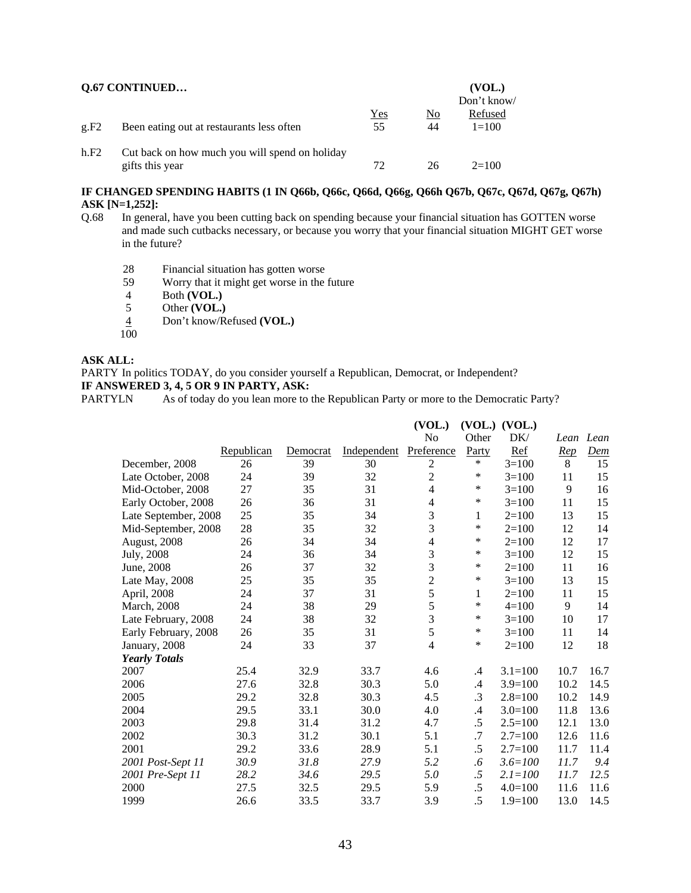| <b>Q.67 CONTINUED</b> | (VOL.)<br>Don't know/                                             |           |                      |                      |
|-----------------------|-------------------------------------------------------------------|-----------|----------------------|----------------------|
| g.F2                  | Been eating out at restaurants less often                         | Yes<br>55 | N <sub>0</sub><br>44 | Refused<br>$1 = 100$ |
| h.F2                  | Cut back on how much you will spend on holiday<br>gifts this year | 72        | 26                   | $2=100$              |

#### **IF CHANGED SPENDING HABITS (1 IN Q66b, Q66c, Q66d, Q66g, Q66h Q67b, Q67c, Q67d, Q67g, Q67h) ASK [N=1,252]:**

- Q.68 In general, have you been cutting back on spending because your financial situation has GOTTEN worse and made such cutbacks necessary, or because you worry that your financial situation MIGHT GET worse in the future?
	- 28 Financial situation has gotten worse<br>59 Worry that it might get worse in the 3
	- 59 Worry that it might get worse in the future
	-
	- 4 Both **(VOL.)**<br>5 Other **(VOL.)** Other **(VOL.)**
	- 4 Don't know/Refused **(VOL.)**
	- 100

# **ASK ALL:**

PARTY In politics TODAY, do you consider yourself a Republican, Democrat, or Independent?

### **IF ANSWERED 3, 4, 5 OR 9 IN PARTY, ASK:**

PARTYLN As of today do you lean more to the Republican Party or more to the Democratic Party?

|                      |            |          |             | (VOL.)         | (VOL.)    | (VOL.)      |            |            |
|----------------------|------------|----------|-------------|----------------|-----------|-------------|------------|------------|
|                      |            |          |             | No             | Other     | DK/         |            | Lean Lean  |
|                      | Republican | Democrat | Independent | Preference     | Party     | Ref         | <u>Rep</u> | <b>Dem</b> |
| December, 2008       | 26         | 39       | 30          | 2              | $\ast$    | $3=100$     | 8          | 15         |
| Late October, 2008   | 24         | 39       | 32          | $\overline{2}$ | $\ast$    | $3 = 100$   | 11         | 15         |
| Mid-October, 2008    | 27         | 35       | 31          | 4              | $\ast$    | $3=100$     | 9          | 16         |
| Early October, 2008  | 26         | 36       | 31          | $\overline{4}$ | $\ast$    | $3 = 100$   | 11         | 15         |
| Late September, 2008 | 25         | 35       | 34          | 3              | 1         | $2=100$     | 13         | 15         |
| Mid-September, 2008  | 28         | 35       | 32          | 3              | $\ast$    | $2=100$     | 12         | 14         |
| August, 2008         | 26         | 34       | 34          | $\overline{4}$ | $\ast$    | $2=100$     | 12         | 17         |
| July, 2008           | 24         | 36       | 34          | $\mathfrak{Z}$ | $\ast$    | $3=100$     | 12         | 15         |
| June, 2008           | 26         | 37       | 32          | 3              | $\ast$    | $2 = 100$   | 11         | 16         |
| Late May, 2008       | 25         | 35       | 35          | $\overline{2}$ | ∗         | $3=100$     | 13         | 15         |
| April, 2008          | 24         | 37       | 31          | 5              | 1         | $2=100$     | 11         | 15         |
| March, 2008          | 24         | 38       | 29          | 5              | $\ast$    | $4 = 100$   | 9          | 14         |
| Late February, 2008  | 24         | 38       | 32          | $\overline{3}$ | $\ast$    | $3=100$     | 10         | 17         |
| Early February, 2008 | 26         | 35       | 31          | 5              | $\ast$    | $3=100$     | 11         | 14         |
| January, 2008        | 24         | 33       | 37          | $\overline{4}$ | $\ast$    | $2=100$     | 12         | 18         |
| <b>Yearly Totals</b> |            |          |             |                |           |             |            |            |
| 2007                 | 25.4       | 32.9     | 33.7        | 4.6            | $\cdot$   | $3.1 = 100$ | 10.7       | 16.7       |
| 2006                 | 27.6       | 32.8     | 30.3        | 5.0            | .4        | $3.9=100$   | 10.2       | 14.5       |
| 2005                 | 29.2       | 32.8     | 30.3        | 4.5            | $\cdot$ 3 | $2.8 = 100$ | 10.2       | 14.9       |
| 2004                 | 29.5       | 33.1     | 30.0        | 4.0            | $\cdot$ 4 | $3.0=100$   | 11.8       | 13.6       |
| 2003                 | 29.8       | 31.4     | 31.2        | 4.7            | .5        | $2.5 = 100$ | 12.1       | 13.0       |
| 2002                 | 30.3       | 31.2     | 30.1        | 5.1            | .7        | $2.7 = 100$ | 12.6       | 11.6       |
| 2001                 | 29.2       | 33.6     | 28.9        | 5.1            | $.5\,$    | $2.7 = 100$ | 11.7       | 11.4       |
| 2001 Post-Sept 11    | 30.9       | 31.8     | 27.9        | 5.2            | $.6\,$    | $3.6 = 100$ | 11.7       | 9.4        |
| 2001 Pre-Sept 11     | 28.2       | 34.6     | 29.5        | 5.0            | .5        | $2.1 = 100$ | 11.7       | 12.5       |
| 2000                 | 27.5       | 32.5     | 29.5        | 5.9            | .5        | $4.0 = 100$ | 11.6       | 11.6       |
| 1999                 | 26.6       | 33.5     | 33.7        | 3.9            | .5        | $1.9 = 100$ | 13.0       | 14.5       |
|                      |            |          |             |                |           |             |            |            |